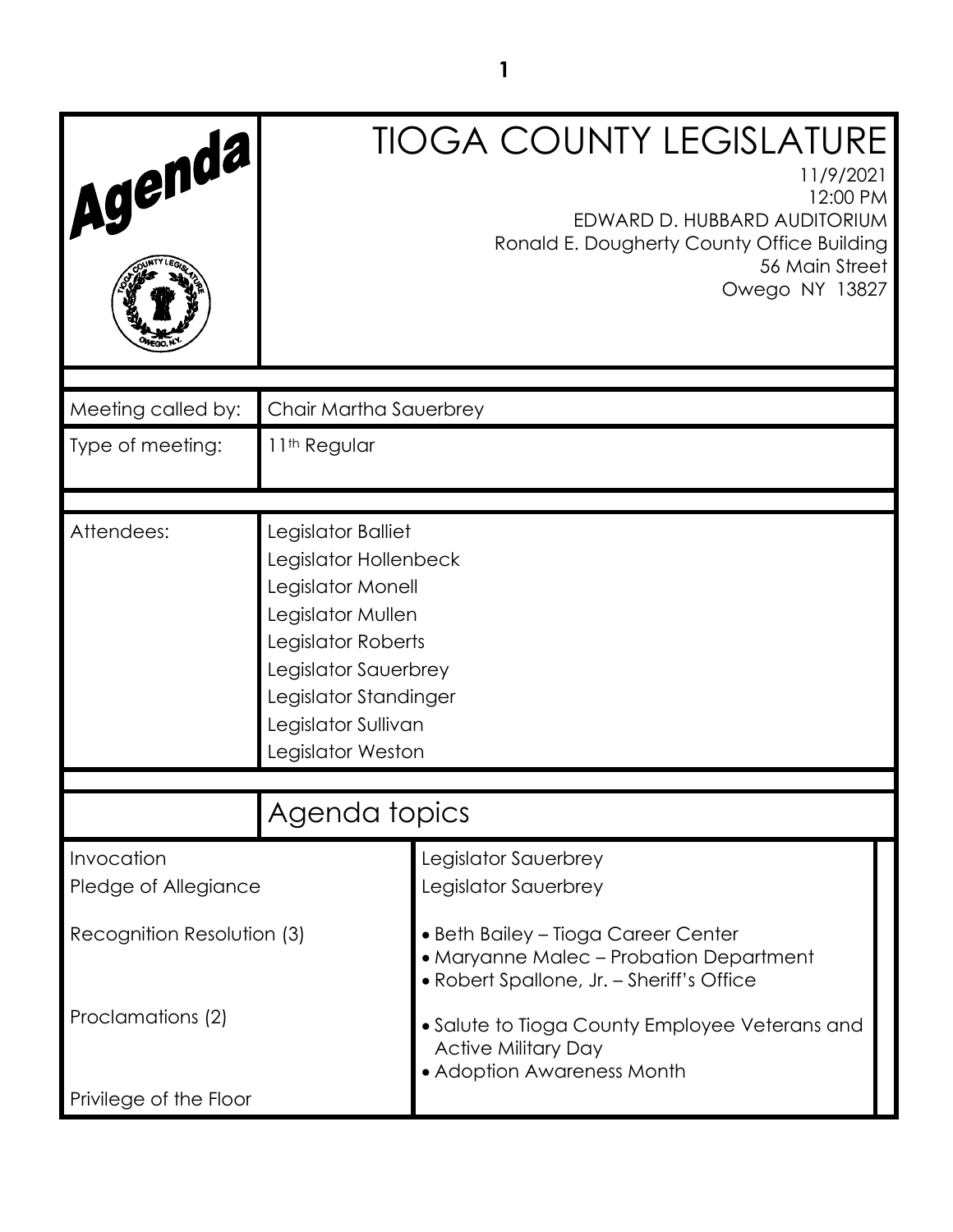| Agenda,                            |                                                                                                                                                                                                          | <b>TIOGA COUNTY LEGISLATURE</b><br>11/9/2021<br>12:00 PM<br>EDWARD D. HUBBARD AUDITORIUM<br>Ronald E. Dougherty County Office Building<br>56 Main Street<br>Owego NY 13827 |
|------------------------------------|----------------------------------------------------------------------------------------------------------------------------------------------------------------------------------------------------------|----------------------------------------------------------------------------------------------------------------------------------------------------------------------------|
|                                    |                                                                                                                                                                                                          |                                                                                                                                                                            |
| Meeting called by:                 | Chair Martha Sauerbrey                                                                                                                                                                                   |                                                                                                                                                                            |
| Type of meeting:                   | 11 <sup>th</sup> Regular                                                                                                                                                                                 |                                                                                                                                                                            |
|                                    |                                                                                                                                                                                                          |                                                                                                                                                                            |
| Attendees:                         | Legislator Balliet<br>Legislator Hollenbeck<br>Legislator Monell<br>Legislator Mullen<br>Legislator Roberts<br>Legislator Sauerbrey<br>Legislator Standinger<br>Legislator Sullivan<br>Legislator Weston |                                                                                                                                                                            |
|                                    | Agenda topics                                                                                                                                                                                            |                                                                                                                                                                            |
| Invocation<br>Pledge of Allegiance |                                                                                                                                                                                                          | Legislator Sauerbrey<br>Legislator Sauerbrey                                                                                                                               |
| Recognition Resolution (3)         |                                                                                                                                                                                                          | • Beth Bailey – Tioga Career Center<br>• Maryanne Malec – Probation Department<br>• Robert Spallone, Jr. - Sheriff's Office                                                |
| Proclamations (2)                  |                                                                                                                                                                                                          | • Salute to Tioga County Employee Veterans and<br><b>Active Military Day</b><br>• Adoption Awareness Month                                                                 |
| Privilege of the Floor             |                                                                                                                                                                                                          |                                                                                                                                                                            |

**1**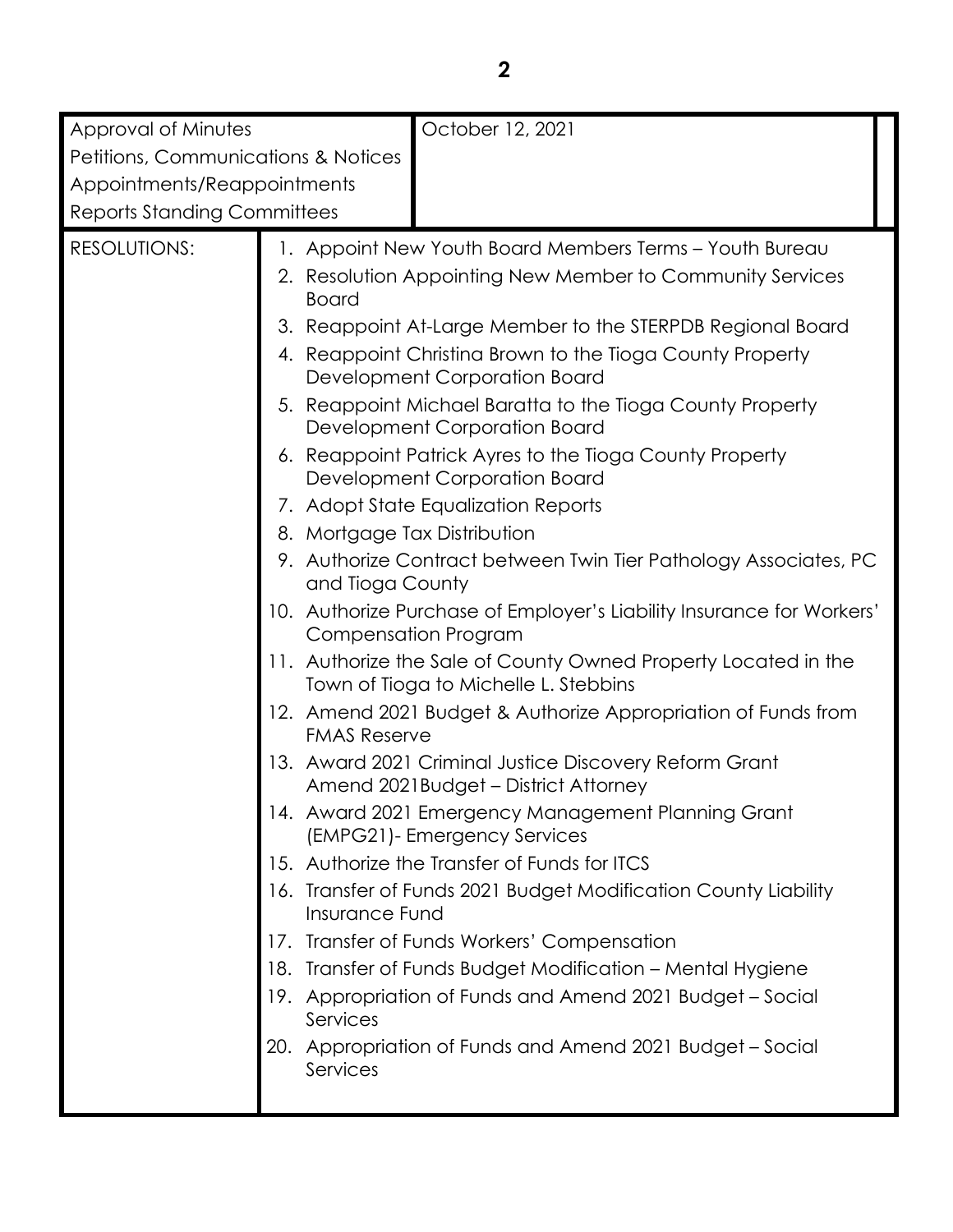| Approval of Minutes                            | October 12, 2021                                                                                                                                                                                                                                                                                                                                                                                                                                                                           |  |  |
|------------------------------------------------|--------------------------------------------------------------------------------------------------------------------------------------------------------------------------------------------------------------------------------------------------------------------------------------------------------------------------------------------------------------------------------------------------------------------------------------------------------------------------------------------|--|--|
| <b>Petitions, Communications &amp; Notices</b> |                                                                                                                                                                                                                                                                                                                                                                                                                                                                                            |  |  |
| Appointments/Reappointments                    |                                                                                                                                                                                                                                                                                                                                                                                                                                                                                            |  |  |
|                                                | <b>Reports Standing Committees</b>                                                                                                                                                                                                                                                                                                                                                                                                                                                         |  |  |
| <b>RESOLUTIONS:</b>                            | 1. Appoint New Youth Board Members Terms - Youth Bureau<br>2. Resolution Appointing New Member to Community Services<br><b>Board</b><br>3. Reappoint At-Large Member to the STERPDB Regional Board<br>4. Reappoint Christina Brown to the Tioga County Property<br>Development Corporation Board<br>5. Reappoint Michael Baratta to the Tioga County Property<br>Development Corporation Board<br>6. Reappoint Patrick Ayres to the Tioga County Property<br>Development Corporation Board |  |  |
|                                                | 7. Adopt State Equalization Reports<br>8. Mortgage Tax Distribution<br>9. Authorize Contract between Twin Tier Pathology Associates, PC<br>and Tioga County                                                                                                                                                                                                                                                                                                                                |  |  |
|                                                | 10. Authorize Purchase of Employer's Liability Insurance for Workers'<br><b>Compensation Program</b><br>11. Authorize the Sale of County Owned Property Located in the                                                                                                                                                                                                                                                                                                                     |  |  |
|                                                | Town of Tioga to Michelle L. Stebbins<br>12. Amend 2021 Budget & Authorize Appropriation of Funds from<br><b>FMAS Reserve</b>                                                                                                                                                                                                                                                                                                                                                              |  |  |
|                                                | 13. Award 2021 Criminal Justice Discovery Reform Grant<br>Amend 2021Budget - District Attorney                                                                                                                                                                                                                                                                                                                                                                                             |  |  |
|                                                | 14. Award 2021 Emergency Management Planning Grant<br>(EMPG21)- Emergency Services                                                                                                                                                                                                                                                                                                                                                                                                         |  |  |
|                                                | 15. Authorize the Transfer of Funds for ITCS<br>16. Transfer of Funds 2021 Budget Modification County Liability<br>Insurance Fund                                                                                                                                                                                                                                                                                                                                                          |  |  |
|                                                | Transfer of Funds Workers' Compensation<br>$1/\epsilon$<br>Transfer of Funds Budget Modification - Mental Hygiene<br>18.                                                                                                                                                                                                                                                                                                                                                                   |  |  |
|                                                | Appropriation of Funds and Amend 2021 Budget - Social<br>19.<br>Services                                                                                                                                                                                                                                                                                                                                                                                                                   |  |  |
|                                                | 20. Appropriation of Funds and Amend 2021 Budget - Social<br>Services                                                                                                                                                                                                                                                                                                                                                                                                                      |  |  |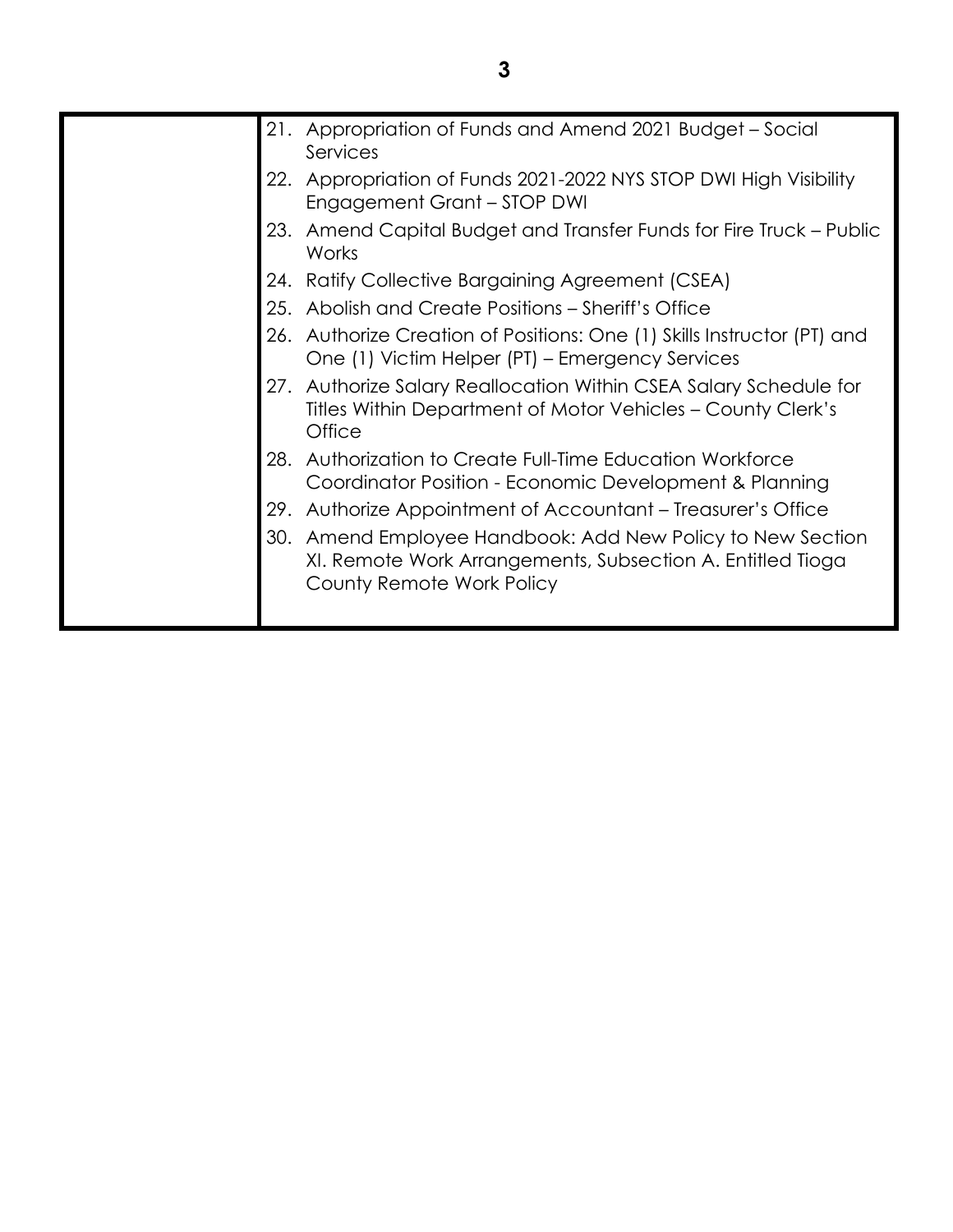| Appropriation of Funds and Amend 2021 Budget – Social<br>21.<br>Services                                                                                 |
|----------------------------------------------------------------------------------------------------------------------------------------------------------|
| Appropriation of Funds 2021-2022 NYS STOP DWI High Visibility<br>22.<br>Engagement Grant - STOP DWI                                                      |
| Amend Capital Budget and Transfer Funds for Fire Truck – Public<br>23.<br>Works                                                                          |
| Ratify Collective Bargaining Agreement (CSEA)<br>24.                                                                                                     |
| 25. Abolish and Create Positions - Sheriff's Office                                                                                                      |
| 26. Authorize Creation of Positions: One (1) Skills Instructor (PT) and<br>One (1) Victim Helper (PT) - Emergency Services                               |
| 27. Authorize Salary Reallocation Within CSEA Salary Schedule for<br>Titles Within Department of Motor Vehicles - County Clerk's<br>Office               |
| Authorization to Create Full-Time Education Workforce<br>28.<br>Coordinator Position - Economic Development & Planning                                   |
| Authorize Appointment of Accountant – Treasurer's Office<br>29.                                                                                          |
| Amend Employee Handbook: Add New Policy to New Section<br>30.<br>XI. Remote Work Arrangements, Subsection A. Entitled Tioga<br>County Remote Work Policy |
|                                                                                                                                                          |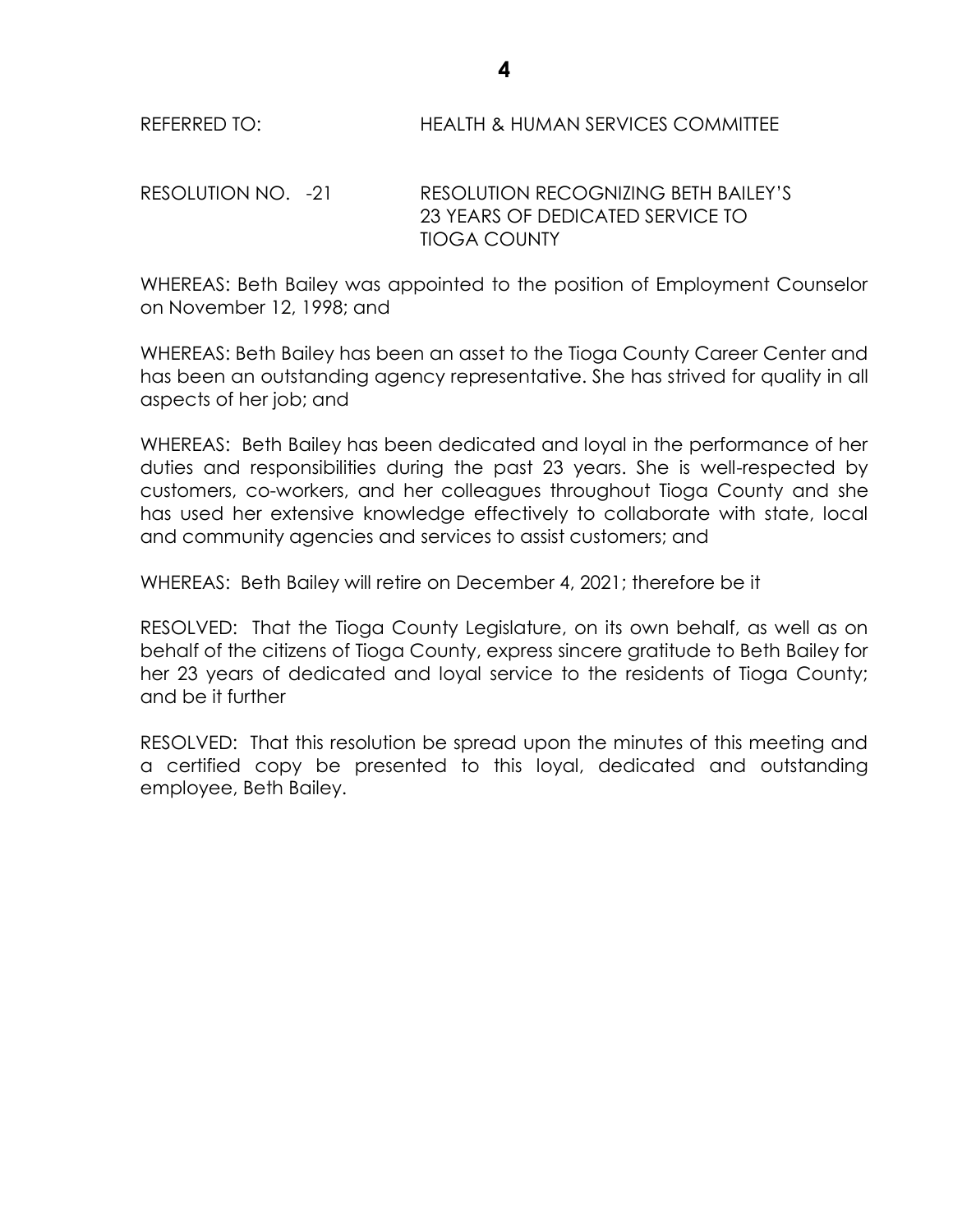REFERRED TO: HEALTH & HUMAN SERVICES COMMITTEE

RESOLUTION NO. -21 RESOLUTION RECOGNIZING BETH BAILEY'S 23 YEARS OF DEDICATED SERVICE TO TIOGA COUNTY

WHEREAS: Beth Bailey was appointed to the position of Employment Counselor on November 12, 1998; and

WHEREAS: Beth Bailey has been an asset to the Tioga County Career Center and has been an outstanding agency representative. She has strived for quality in all aspects of her job; and

WHEREAS: Beth Bailey has been dedicated and loyal in the performance of her duties and responsibilities during the past 23 years. She is well-respected by customers, co-workers, and her colleagues throughout Tioga County and she has used her extensive knowledge effectively to collaborate with state, local and community agencies and services to assist customers; and

WHEREAS: Beth Bailey will retire on December 4, 2021; therefore be it

RESOLVED: That the Tioga County Legislature, on its own behalf, as well as on behalf of the citizens of Tioga County, express sincere gratitude to Beth Bailey for her 23 years of dedicated and loyal service to the residents of Tioga County; and be it further

RESOLVED: That this resolution be spread upon the minutes of this meeting and a certified copy be presented to this loyal, dedicated and outstanding employee, Beth Bailey.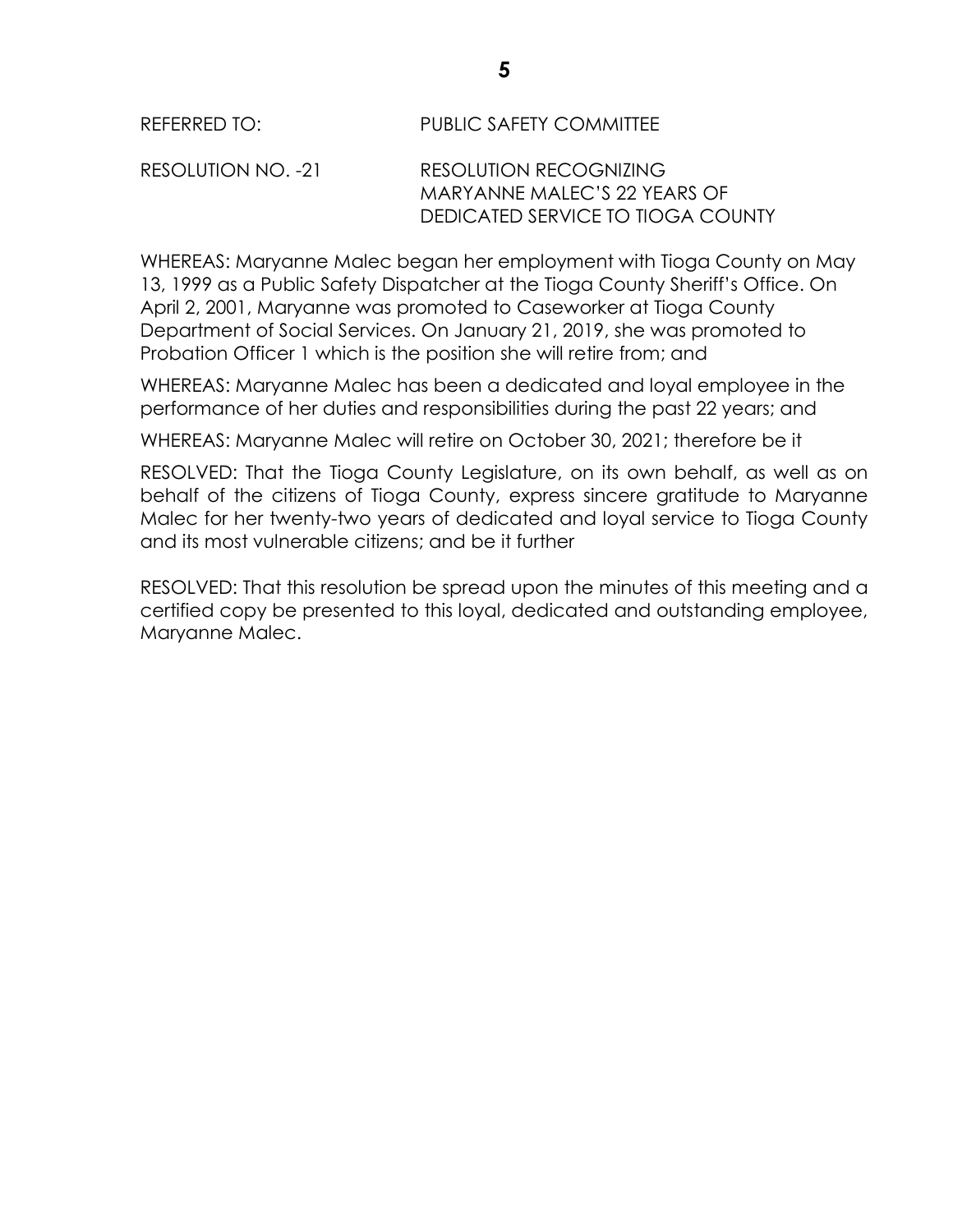#### REFERRED TO: PUBLIC SAFETY COMMITTEE

#### RESOLUTION NO. -21 RESOLUTION RECOGNIZING MARYANNE MALEC'S 22 YEARS OF DEDICATED SERVICE TO TIOGA COUNTY

WHEREAS: Maryanne Malec began her employment with Tioga County on May 13, 1999 as a Public Safety Dispatcher at the Tioga County Sheriff's Office. On April 2, 2001, Maryanne was promoted to Caseworker at Tioga County Department of Social Services. On January 21, 2019, she was promoted to Probation Officer 1 which is the position she will retire from; and

WHEREAS: Maryanne Malec has been a dedicated and loyal employee in the performance of her duties and responsibilities during the past 22 years; and

WHEREAS: Maryanne Malec will retire on October 30, 2021; therefore be it

RESOLVED: That the Tioga County Legislature, on its own behalf, as well as on behalf of the citizens of Tioga County, express sincere gratitude to Maryanne Malec for her twenty-two years of dedicated and loyal service to Tioga County and its most vulnerable citizens; and be it further

RESOLVED: That this resolution be spread upon the minutes of this meeting and a certified copy be presented to this loyal, dedicated and outstanding employee, Maryanne Malec.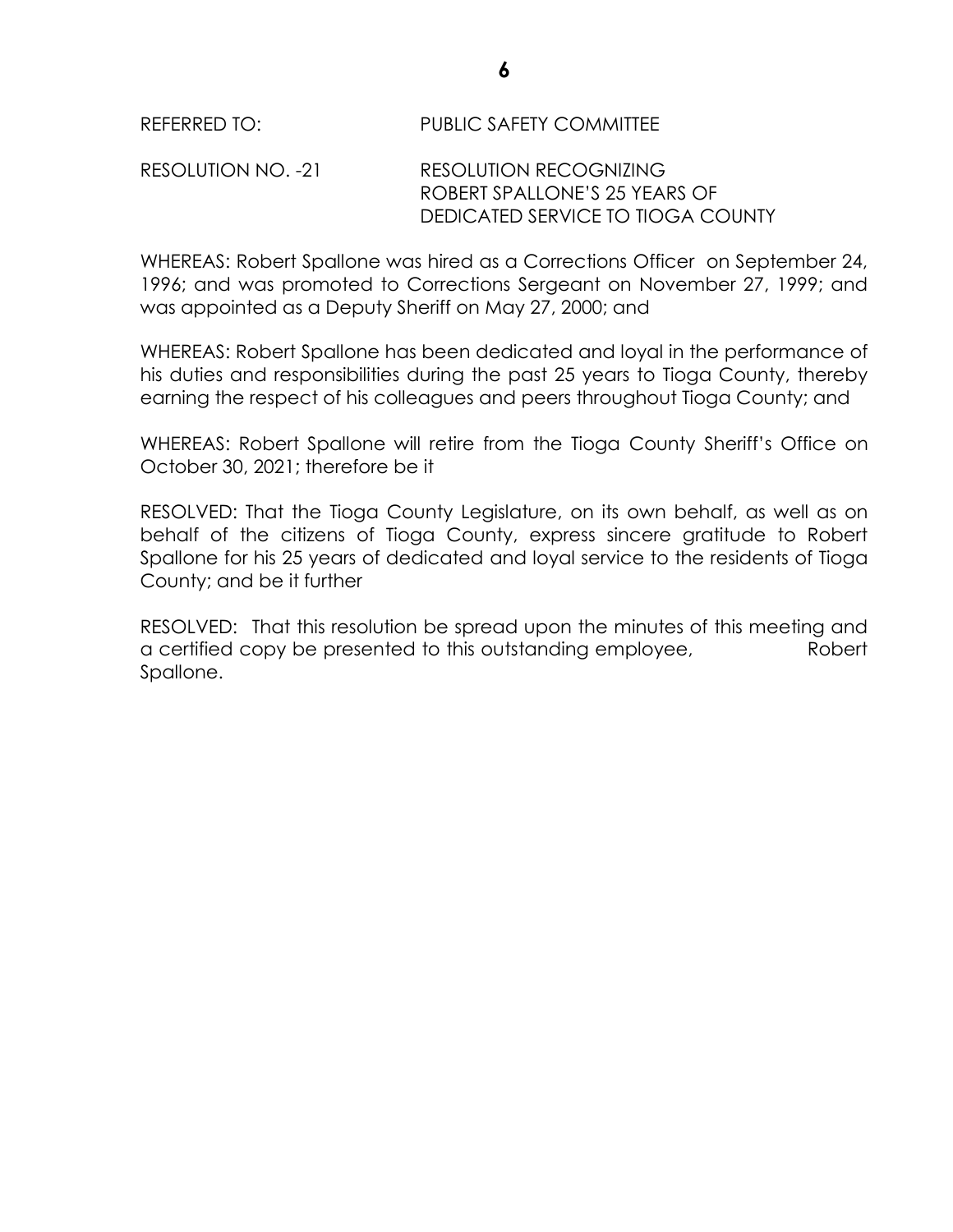#### REFERRED TO: PUBLIC SAFETY COMMITTEE

#### RESOLUTION NO. -21 RESOLUTION RECOGNIZING ROBERT SPALLONE'S 25 YEARS OF DEDICATED SERVICE TO TIOGA COUNTY

WHEREAS: Robert Spallone was hired as a Corrections Officer on September 24, 1996; and was promoted to Corrections Sergeant on November 27, 1999; and was appointed as a Deputy Sheriff on May 27, 2000; and

WHEREAS: Robert Spallone has been dedicated and loyal in the performance of his duties and responsibilities during the past 25 years to Tioga County, thereby earning the respect of his colleagues and peers throughout Tioga County; and

WHEREAS: Robert Spallone will retire from the Tioga County Sheriff's Office on October 30, 2021; therefore be it

RESOLVED: That the Tioga County Legislature, on its own behalf, as well as on behalf of the citizens of Tioga County, express sincere gratitude to Robert Spallone for his 25 years of dedicated and loyal service to the residents of Tioga County; and be it further

RESOLVED: That this resolution be spread upon the minutes of this meeting and a certified copy be presented to this outstanding employee, Robert Spallone.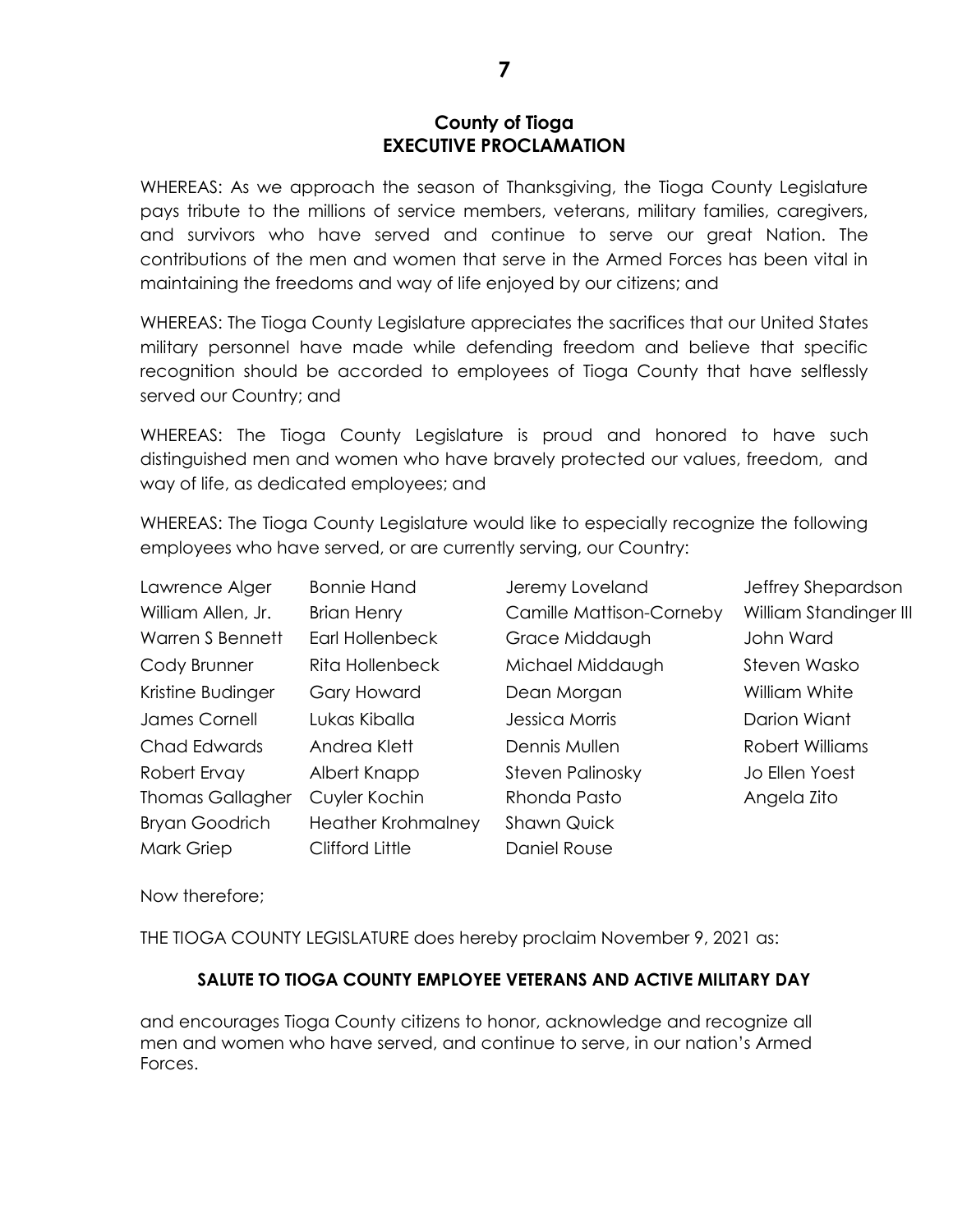#### **County of Tioga EXECUTIVE PROCLAMATION**

WHEREAS: As we approach the season of Thanksgiving, the Tioga County Legislature pays tribute to the millions of service members, veterans, military families, caregivers, and survivors who have served and continue to serve our great Nation. The contributions of the men and women that serve in the Armed Forces has been vital in maintaining the freedoms and way of life enjoyed by our citizens; and

WHEREAS: The Tioga County Legislature appreciates the sacrifices that our United States military personnel have made while defending freedom and believe that specific recognition should be accorded to employees of Tioga County that have selflessly served our Country; and

WHEREAS: The Tioga County Legislature is proud and honored to have such distinguished men and women who have bravely protected our values, freedom, and way of life, as dedicated employees; and

WHEREAS: The Tioga County Legislature would like to especially recognize the following employees who have served, or are currently serving, our Country:

| Lawrence Alger          | <b>Bonnie Hand</b>        | Jeremy Loveland          | Jeffrey Shepardson     |
|-------------------------|---------------------------|--------------------------|------------------------|
| William Allen, Jr.      | <b>Brian Henry</b>        | Camille Mattison-Corneby | William Standinger III |
| Warren S Bennett        | Earl Hollenbeck           | Grace Middaugh           | John Ward              |
| Cody Brunner            | <b>Rita Hollenbeck</b>    | Michael Middaugh         | Steven Wasko           |
| Kristine Budinger       | Gary Howard               | Dean Morgan              | William White          |
| <b>James Cornell</b>    | Lukas Kiballa             | Jessica Morris           | Darion Wiant           |
| Chad Edwards            | Andrea Klett              | Dennis Mullen            | Robert Williams        |
| Robert Ervay            | Albert Knapp              | <b>Steven Palinosky</b>  | Jo Ellen Yoest         |
| <b>Thomas Gallagher</b> | Cuyler Kochin             | Rhonda Pasto             | Angela Zito            |
| <b>Bryan Goodrich</b>   | <b>Heather Krohmalney</b> | <b>Shawn Quick</b>       |                        |
| Mark Griep              | Clifford Little           | Daniel Rouse             |                        |

Now therefore;

THE TIOGA COUNTY LEGISLATURE does hereby proclaim November 9, 2021 as:

#### **SALUTE TO TIOGA COUNTY EMPLOYEE VETERANS AND ACTIVE MILITARY DAY**

and encourages Tioga County citizens to honor, acknowledge and recognize all men and women who have served, and continue to serve, in our nation's Armed Forces.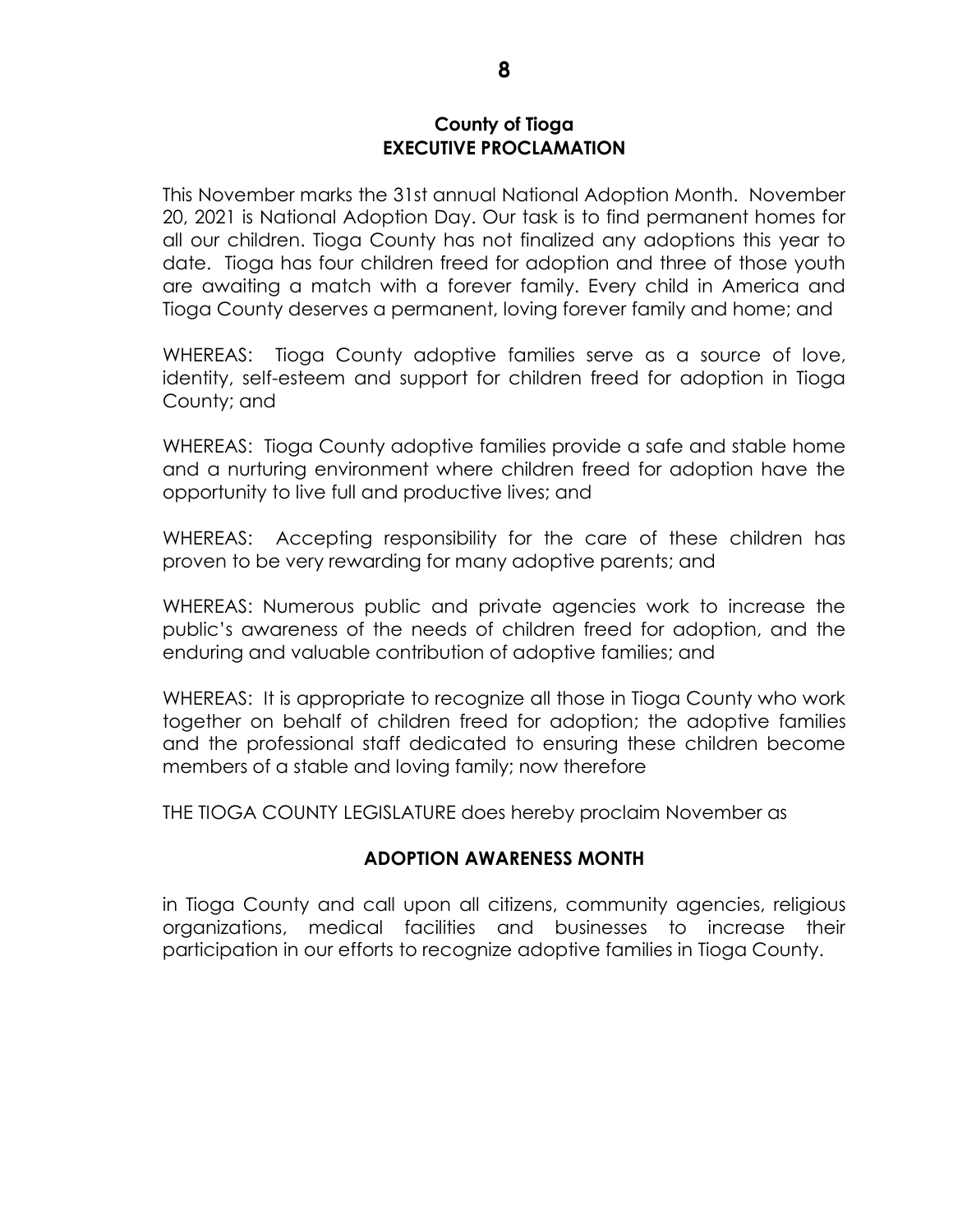#### **County of Tioga EXECUTIVE PROCLAMATION**

This November marks the 31st annual National Adoption Month. November 20, 2021 is National Adoption Day. Our task is to find permanent homes for all our children. Tioga County has not finalized any adoptions this year to date. Tioga has four children freed for adoption and three of those youth are awaiting a match with a forever family. Every child in America and Tioga County deserves a permanent, loving forever family and home; and

WHEREAS: Tioga County adoptive families serve as a source of love, identity, self-esteem and support for children freed for adoption in Tioga County; and

WHEREAS: Tioga County adoptive families provide a safe and stable home and a nurturing environment where children freed for adoption have the opportunity to live full and productive lives; and

WHEREAS: Accepting responsibility for the care of these children has proven to be very rewarding for many adoptive parents; and

WHEREAS: Numerous public and private agencies work to increase the public's awareness of the needs of children freed for adoption, and the enduring and valuable contribution of adoptive families; and

WHEREAS: It is appropriate to recognize all those in Tioga County who work together on behalf of children freed for adoption; the adoptive families and the professional staff dedicated to ensuring these children become members of a stable and loving family; now therefore

THE TIOGA COUNTY LEGISLATURE does hereby proclaim November as

#### **ADOPTION AWARENESS MONTH**

in Tioga County and call upon all citizens, community agencies, religious organizations, medical facilities and businesses to increase their participation in our efforts to recognize adoptive families in Tioga County.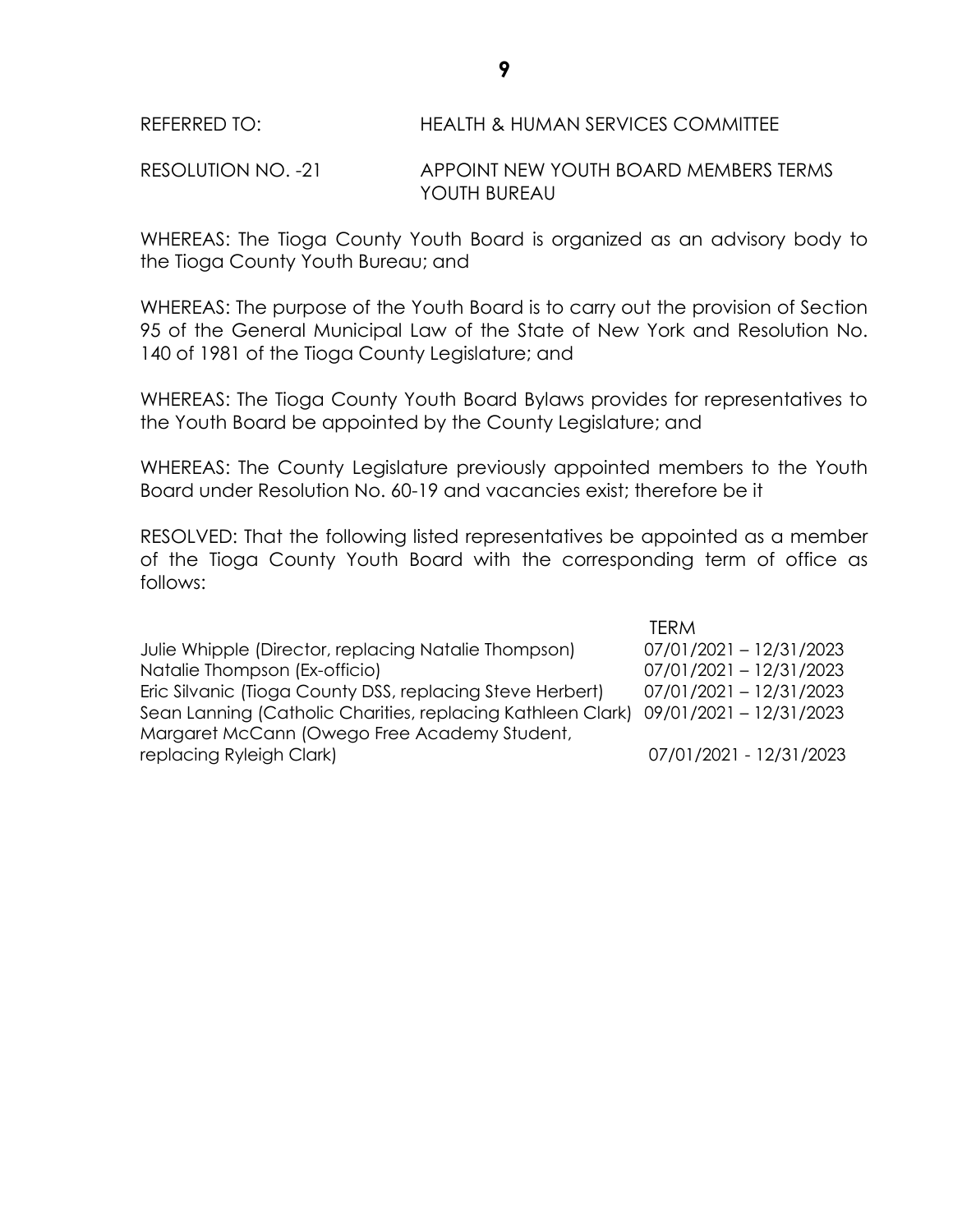REFERRED TO: HEALTH & HUMAN SERVICES COMMITTEE

RESOLUTION NO. -21 APPOINT NEW YOUTH BOARD MEMBERS TERMS YOUTH BUREAU

WHEREAS: The Tioga County Youth Board is organized as an advisory body to the Tioga County Youth Bureau; and

WHEREAS: The purpose of the Youth Board is to carry out the provision of Section 95 of the General Municipal Law of the State of New York and Resolution No. 140 of 1981 of the Tioga County Legislature; and

WHEREAS: The Tioga County Youth Board Bylaws provides for representatives to the Youth Board be appointed by the County Legislature; and

WHEREAS: The County Legislature previously appointed members to the Youth Board under Resolution No. 60-19 and vacancies exist; therefore be it

RESOLVED: That the following listed representatives be appointed as a member of the Tioga County Youth Board with the corresponding term of office as follows:

TERM Julie Whipple (Director, replacing Natalie Thompson) 07/01/2021 – 12/31/2023 Natalie Thompson (Ex-officio) 07/01/2021 – 12/31/2023 Eric Silvanic (Tioga County DSS, replacing Steve Herbert) 07/01/2021 – 12/31/2023 Sean Lanning (Catholic Charities, replacing Kathleen Clark) 09/01/2021 – 12/31/2023 Margaret McCann (Owego Free Academy Student, replacing Ryleigh Clark) 07/01/2021 - 12/31/2023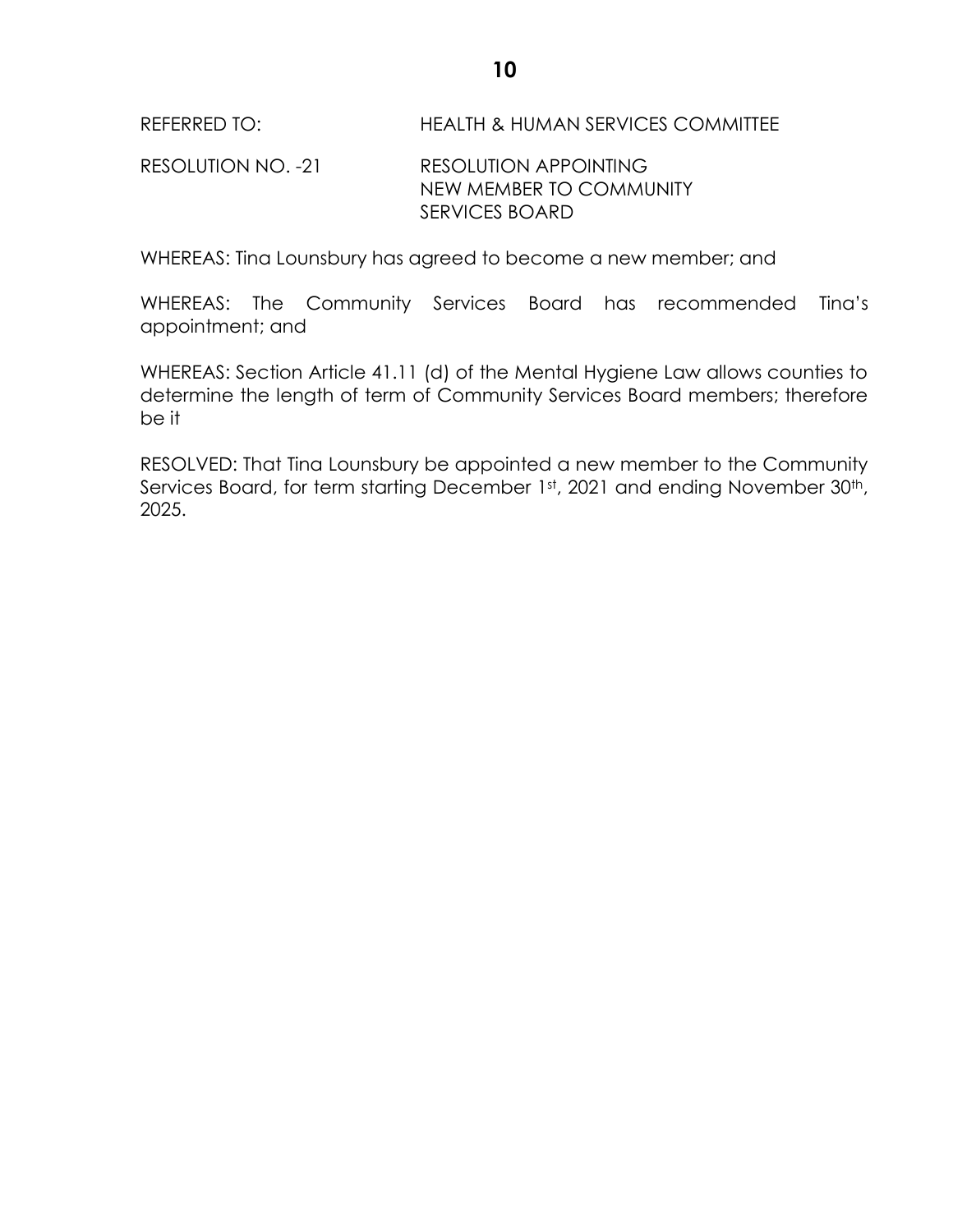REFERRED TO: HEALTH & HUMAN SERVICES COMMITTEE

RESOLUTION NO. -21 RESOLUTION APPOINTING NEW MEMBER TO COMMUNITY SERVICES BOARD

WHEREAS: Tina Lounsbury has agreed to become a new member; and

WHEREAS: The Community Services Board has recommended Tina's appointment; and

WHEREAS: Section Article 41.11 (d) of the Mental Hygiene Law allows counties to determine the length of term of Community Services Board members; therefore be it

RESOLVED: That Tina Lounsbury be appointed a new member to the Community Services Board, for term starting December 1st, 2021 and ending November 30<sup>th</sup>, 2025.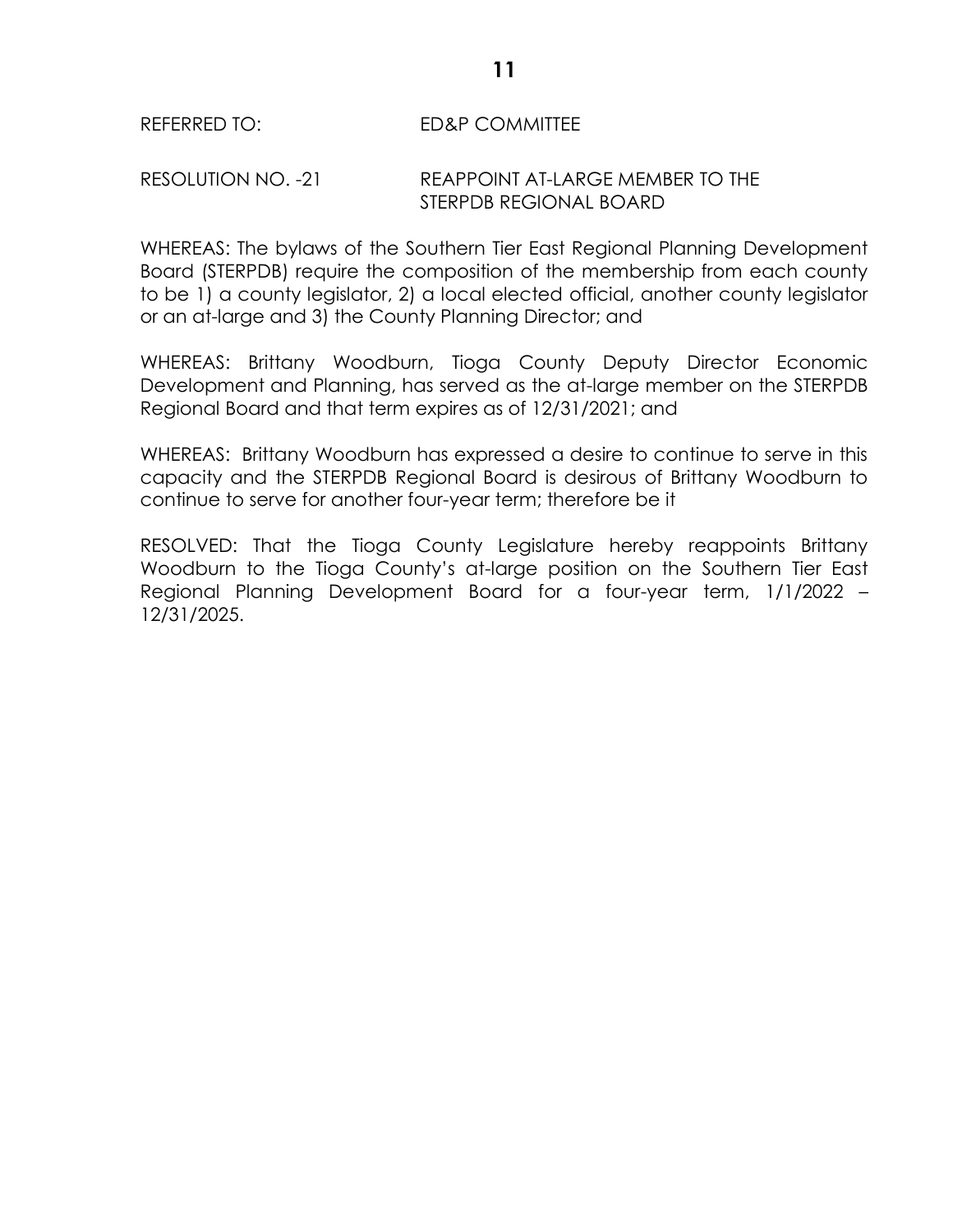#### REFERRED TO: ED&P COMMITTEE

#### RESOLUTION NO. -21 REAPPOINT AT-LARGE MEMBER TO THE STERPDB REGIONAL BOARD

WHEREAS: The bylaws of the Southern Tier East Regional Planning Development Board (STERPDB) require the composition of the membership from each county to be 1) a county legislator, 2) a local elected official, another county legislator or an at-large and 3) the County Planning Director; and

WHEREAS: Brittany Woodburn, Tioga County Deputy Director Economic Development and Planning, has served as the at-large member on the STERPDB Regional Board and that term expires as of 12/31/2021; and

WHEREAS: Brittany Woodburn has expressed a desire to continue to serve in this capacity and the STERPDB Regional Board is desirous of Brittany Woodburn to continue to serve for another four-year term; therefore be it

RESOLVED: That the Tioga County Legislature hereby reappoints Brittany Woodburn to the Tioga County's at-large position on the Southern Tier East Regional Planning Development Board for a four-year term, 1/1/2022 – 12/31/2025.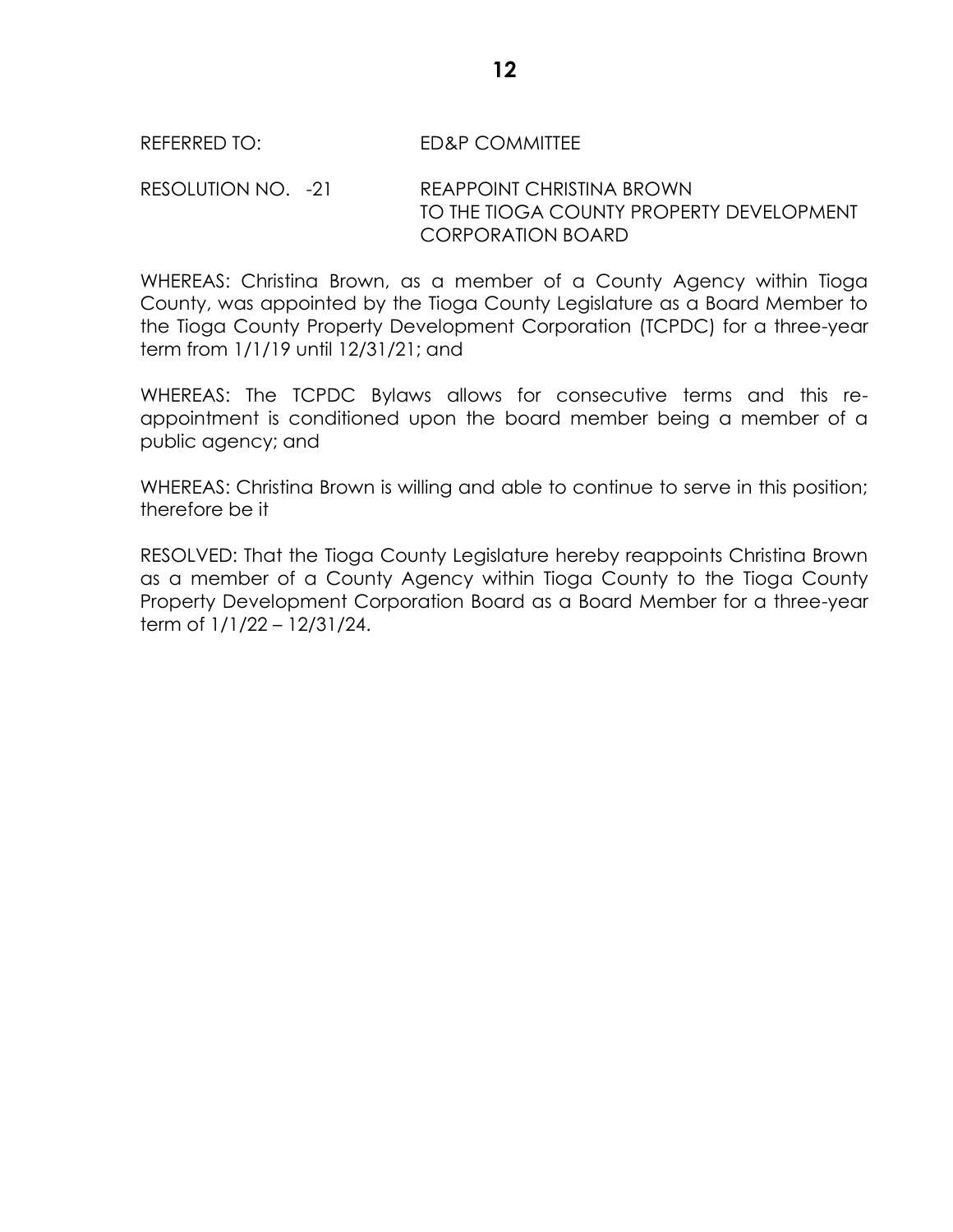#### REFERRED TO: ED&P COMMITTEE

RESOLUTION NO. -21 REAPPOINT CHRISTINA BROWN TO THE TIOGA COUNTY PROPERTY DEVELOPMENT CORPORATION BOARD

WHEREAS: Christina Brown, as a member of a County Agency within Tioga County, was appointed by the Tioga County Legislature as a Board Member to the Tioga County Property Development Corporation (TCPDC) for a three-year term from 1/1/19 until 12/31/21; and

WHEREAS: The TCPDC Bylaws allows for consecutive terms and this reappointment is conditioned upon the board member being a member of a public agency; and

WHEREAS: Christina Brown is willing and able to continue to serve in this position; therefore be it

RESOLVED: That the Tioga County Legislature hereby reappoints Christina Brown as a member of a County Agency within Tioga County to the Tioga County Property Development Corporation Board as a Board Member for a three-year term of 1/1/22 – 12/31/24.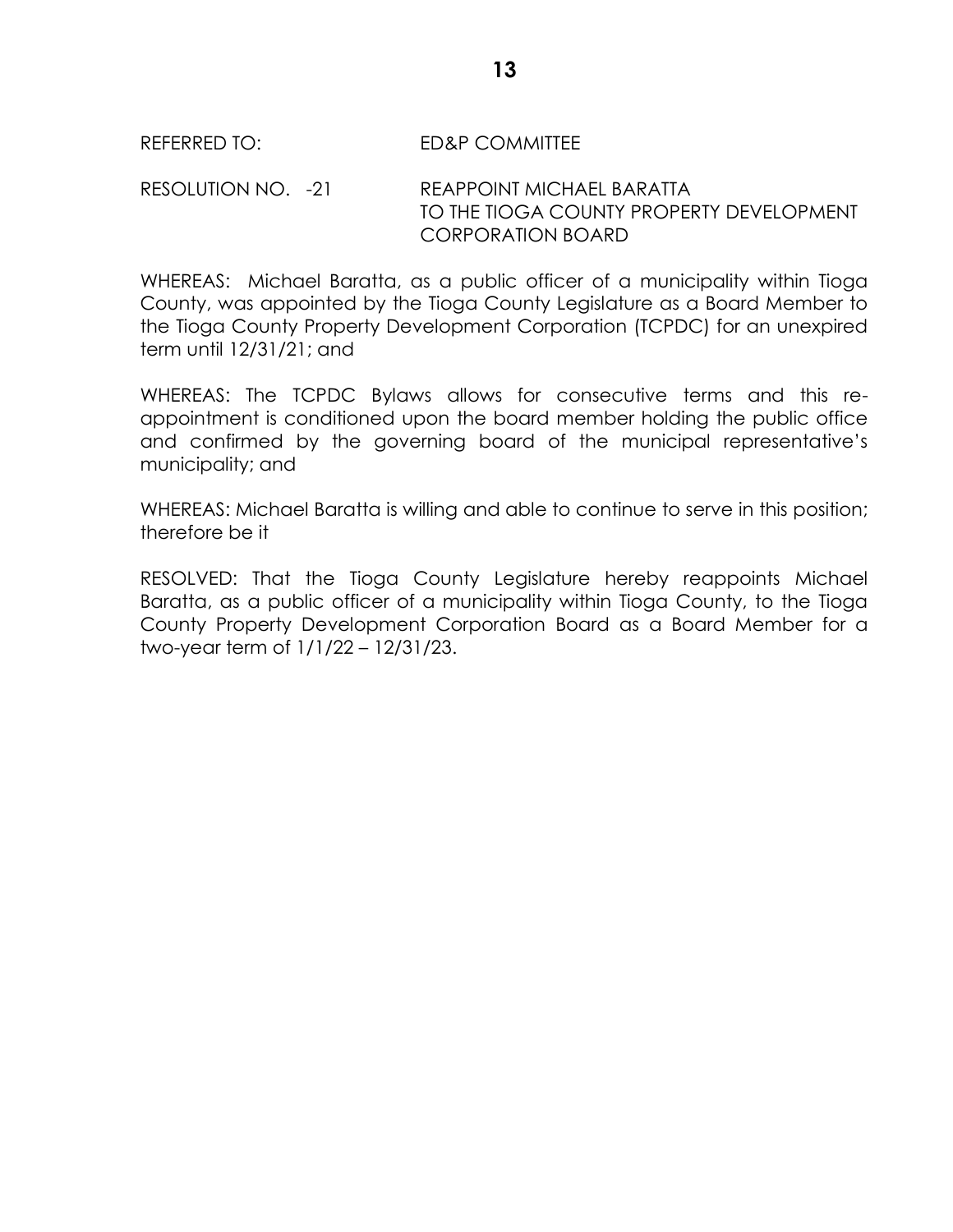#### REFERRED TO: FD&P COMMITTEE

RESOLUTION NO. - 21 REAPPOINT MICHAEL BARATTA TO THE TIOGA COUNTY PROPERTY DEVELOPMENT CORPORATION BOARD

WHEREAS: Michael Baratta, as a public officer of a municipality within Tioga County, was appointed by the Tioga County Legislature as a Board Member to the Tioga County Property Development Corporation (TCPDC) for an unexpired term until 12/31/21; and

WHEREAS: The TCPDC Bylaws allows for consecutive terms and this reappointment is conditioned upon the board member holding the public office and confirmed by the governing board of the municipal representative's municipality; and

WHEREAS: Michael Baratta is willing and able to continue to serve in this position; therefore be it

RESOLVED: That the Tioga County Legislature hereby reappoints Michael Baratta, as a public officer of a municipality within Tioga County, to the Tioga County Property Development Corporation Board as a Board Member for a two-year term of 1/1/22 – 12/31/23.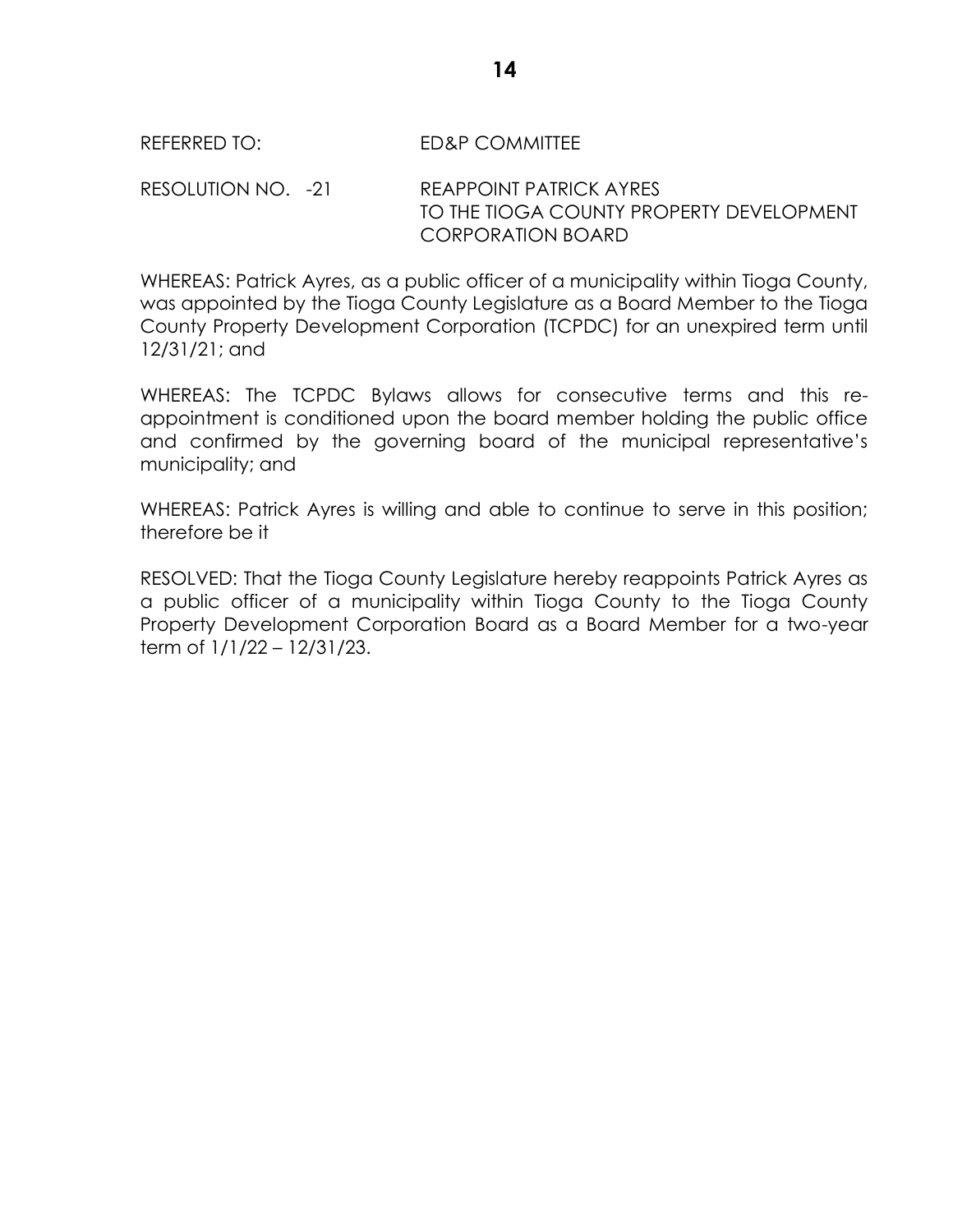#### REFERRED TO: FD&P COMMITTEE

RESOLUTION NO. - 21 REAPPOINT PATRICK AYRES TO THE TIOGA COUNTY PROPERTY DEVELOPMENT CORPORATION BOARD

WHEREAS: Patrick Ayres, as a public officer of a municipality within Tioga County, was appointed by the Tioga County Legislature as a Board Member to the Tioga County Property Development Corporation (TCPDC) for an unexpired term until 12/31/21; and

WHEREAS: The TCPDC Bylaws allows for consecutive terms and this reappointment is conditioned upon the board member holding the public office and confirmed by the governing board of the municipal representative's municipality; and

WHEREAS: Patrick Ayres is willing and able to continue to serve in this position; therefore be it

RESOLVED: That the Tioga County Legislature hereby reappoints Patrick Ayres as a public officer of a municipality within Tioga County to the Tioga County Property Development Corporation Board as a Board Member for a two-year term of 1/1/22 – 12/31/23.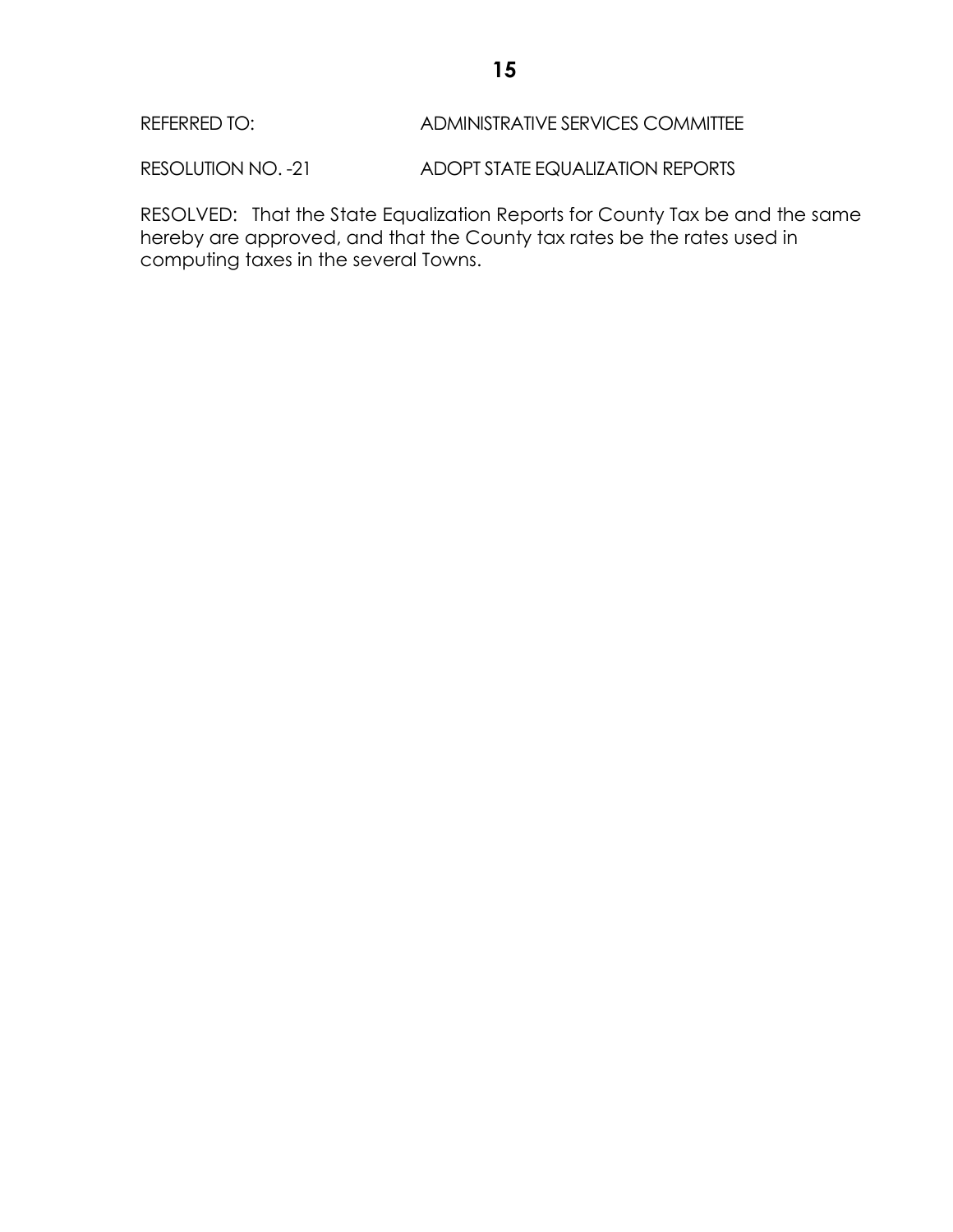## REFERRED TO: ADMINISTRATIVE SERVICES COMMITTEE

RESOLUTION NO. -21 ADOPT STATE EQUALIZATION REPORTS

RESOLVED: That the State Equalization Reports for County Tax be and the same hereby are approved, and that the County tax rates be the rates used in computing taxes in the several Towns.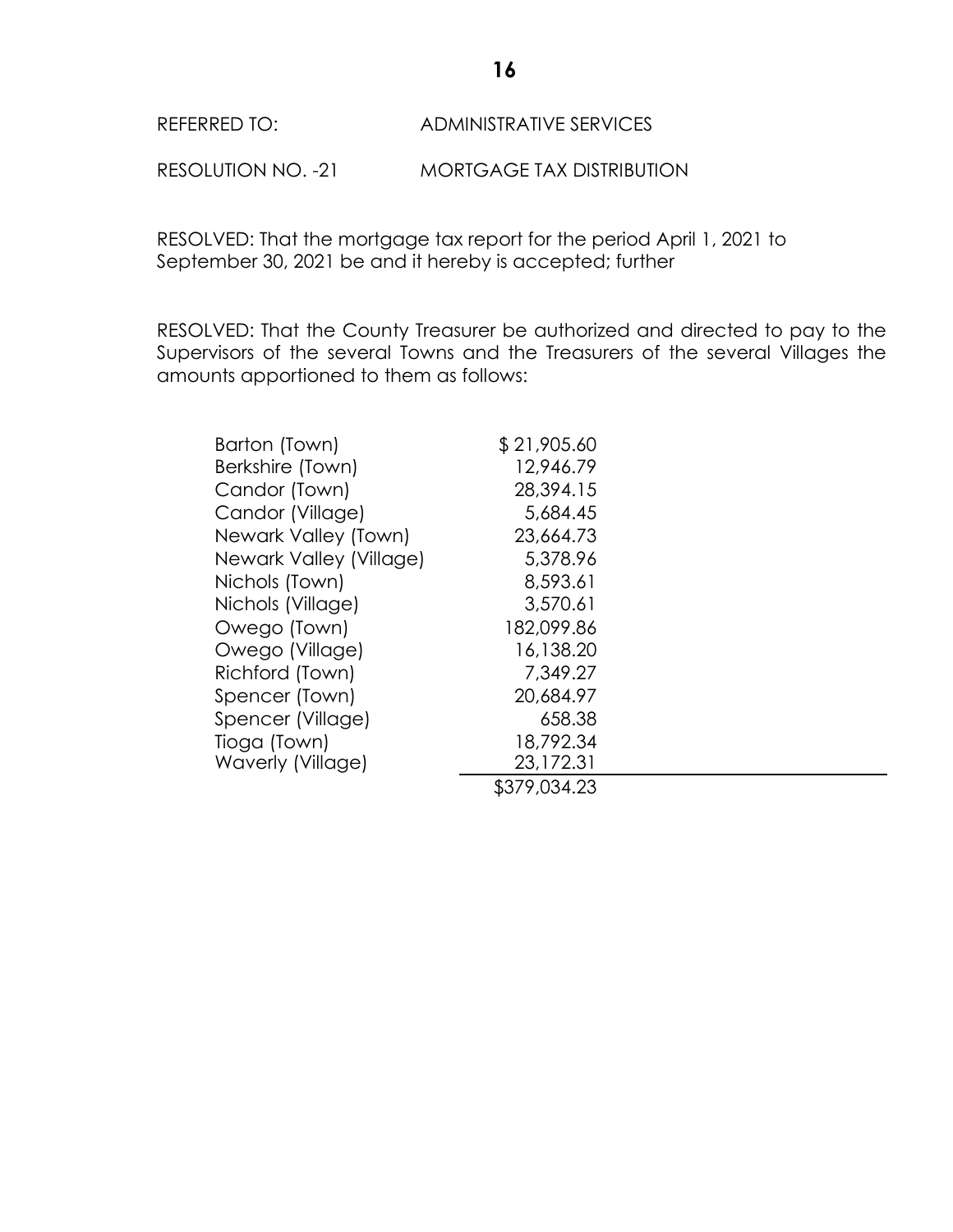## REFERRED TO: ADMINISTRATIVE SERVICES

RESOLUTION NO. -21 MORTGAGE TAX DISTRIBUTION

RESOLVED: That the mortgage tax report for the period April 1, 2021 to September 30, 2021 be and it hereby is accepted; further

RESOLVED: That the County Treasurer be authorized and directed to pay to the Supervisors of the several Towns and the Treasurers of the several Villages the amounts apportioned to them as follows:

| Barton (Town)           | \$21,905.60  |
|-------------------------|--------------|
| Berkshire (Town)        | 12,946.79    |
| Candor (Town)           | 28,394.15    |
| Candor (Village)        | 5,684.45     |
| Newark Valley (Town)    | 23,664.73    |
| Newark Valley (Village) | 5,378.96     |
| Nichols (Town)          | 8,593.61     |
| Nichols (Village)       | 3,570.61     |
| Owego (Town)            | 182,099.86   |
| Owego (Village)         | 16,138.20    |
| Richford (Town)         | 7,349.27     |
| Spencer (Town)          | 20,684.97    |
| Spencer (Village)       | 658.38       |
| Tioga (Town)            | 18,792.34    |
| Waverly (Village)       | 23,172.31    |
|                         | \$379,034.23 |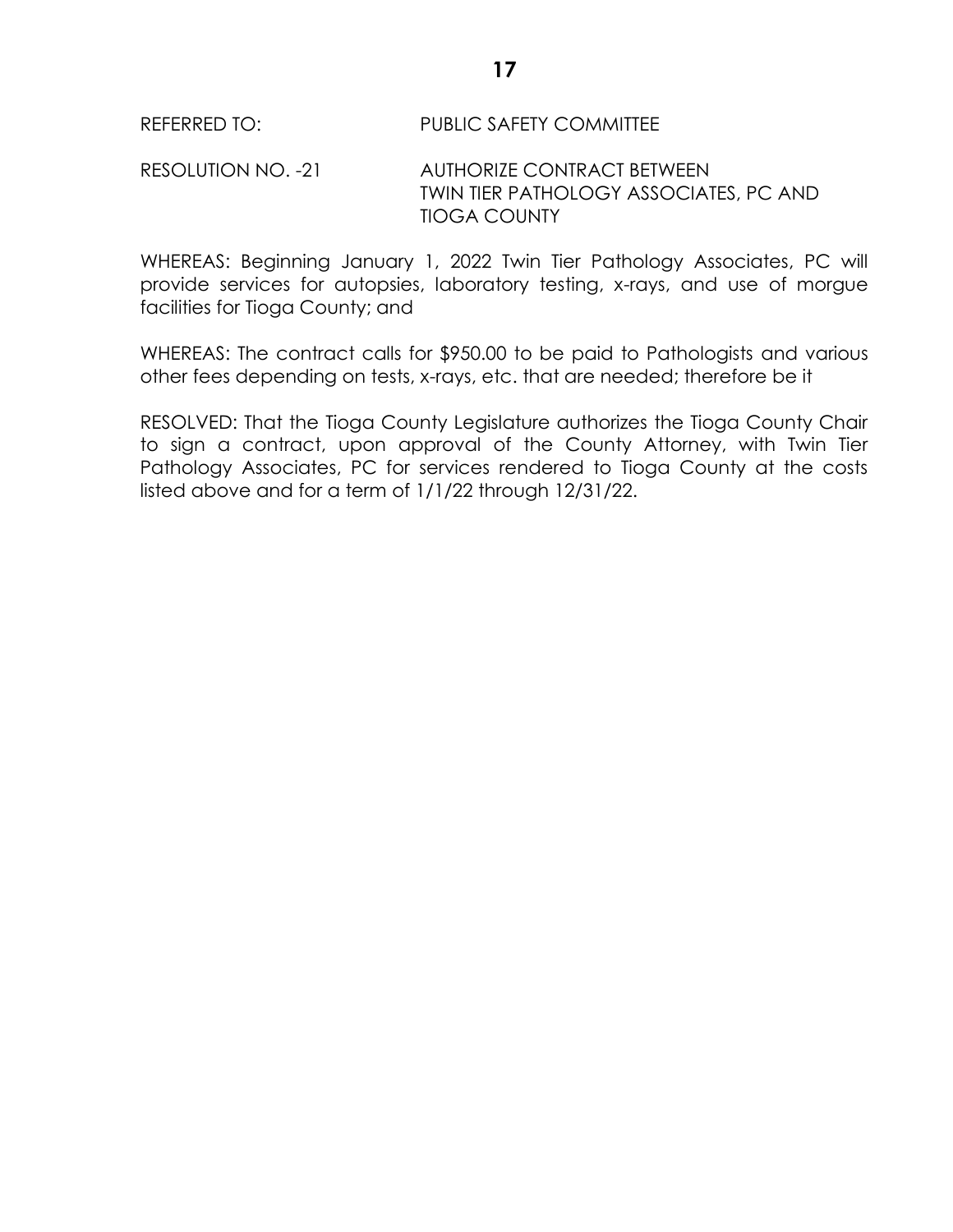RESOLUTION NO. -21 AUTHORIZE CONTRACT BETWEEN TWIN TIER PATHOLOGY ASSOCIATES, PC AND TIOGA COUNTY

WHEREAS: Beginning January 1, 2022 Twin Tier Pathology Associates, PC will provide services for autopsies, laboratory testing, x-rays, and use of morgue facilities for Tioga County; and

WHEREAS: The contract calls for \$950.00 to be paid to Pathologists and various other fees depending on tests, x-rays, etc. that are needed; therefore be it

RESOLVED: That the Tioga County Legislature authorizes the Tioga County Chair to sign a contract, upon approval of the County Attorney, with Twin Tier Pathology Associates, PC for services rendered to Tioga County at the costs listed above and for a term of 1/1/22 through 12/31/22.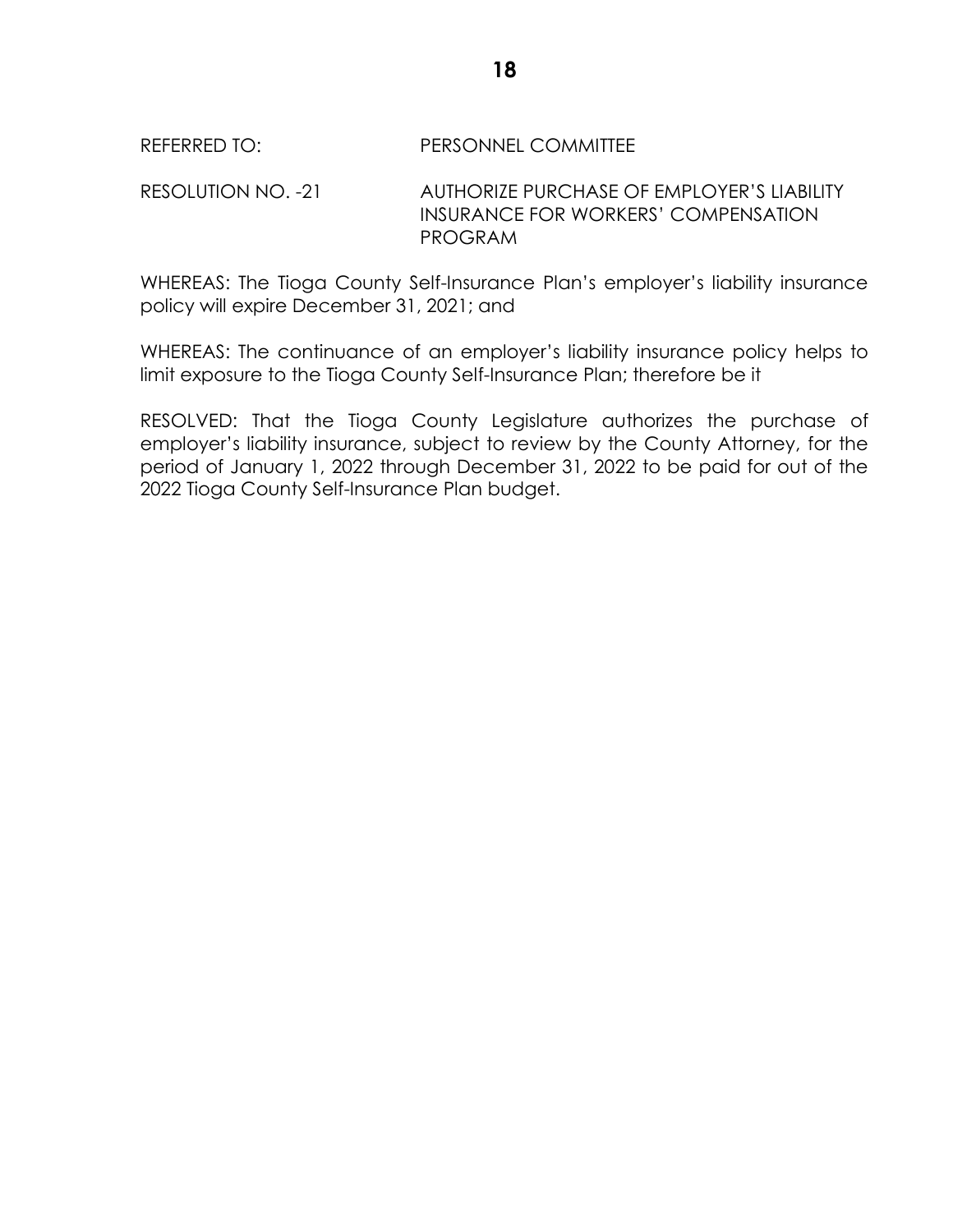#### REFERRED TO: PERSONNEL COMMITTEE

RESOLUTION NO. -21 AUTHORIZE PURCHASE OF EMPLOYER'S LIABILITY INSURANCE FOR WORKERS' COMPENSATION PROGRAM

WHEREAS: The Tioga County Self-Insurance Plan's employer's liability insurance policy will expire December 31, 2021; and

WHEREAS: The continuance of an employer's liability insurance policy helps to limit exposure to the Tioga County Self-Insurance Plan; therefore be it

RESOLVED: That the Tioga County Legislature authorizes the purchase of employer's liability insurance, subject to review by the County Attorney, for the period of January 1, 2022 through December 31, 2022 to be paid for out of the 2022 Tioga County Self-Insurance Plan budget.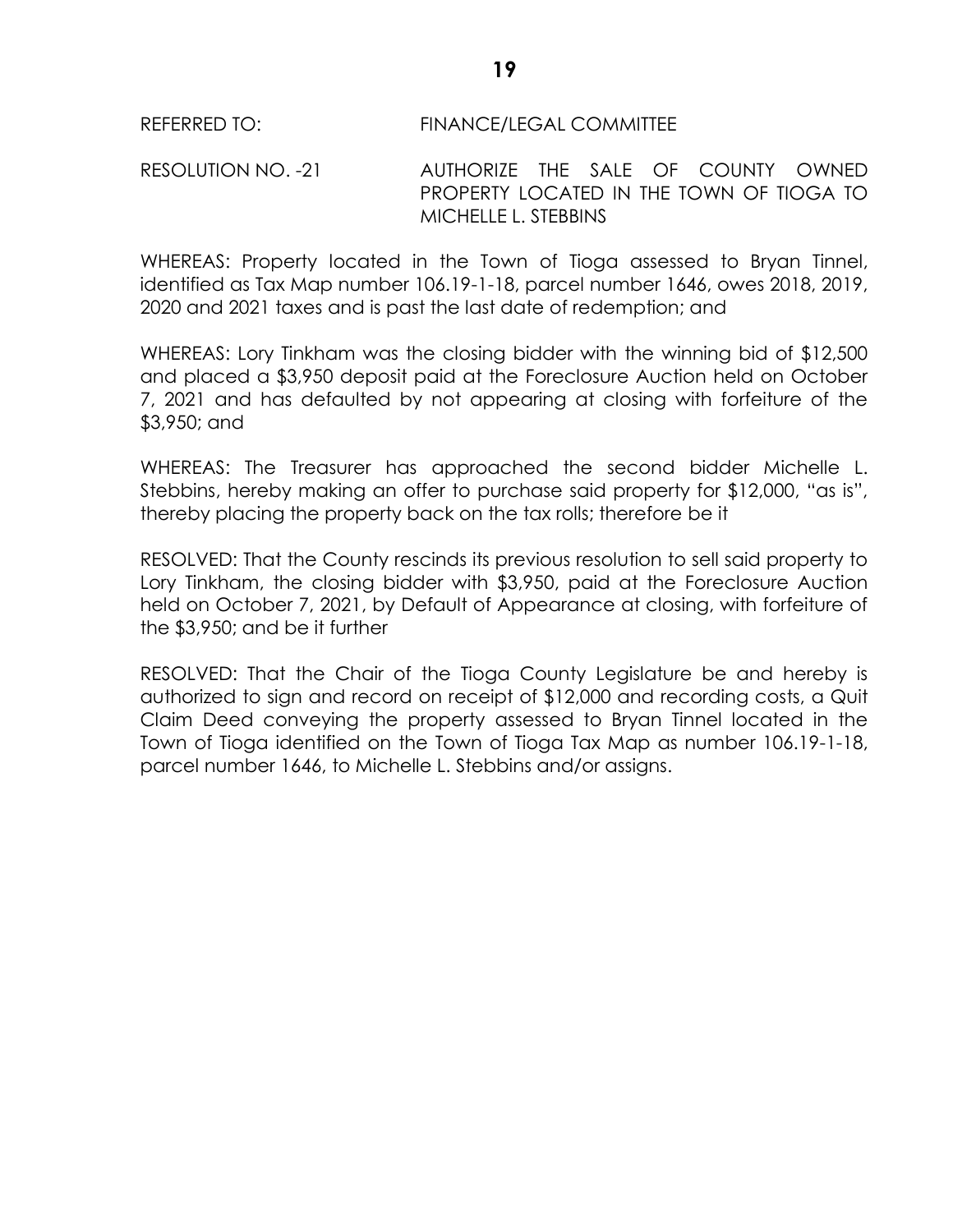#### REFERRED TO: FINANCE/LEGAL COMMITTEE

RESOLUTION NO. -21 AUTHORIZE THE SALE OF COUNTY OWNED PROPERTY LOCATED IN THE TOWN OF TIOGA TO MICHELLE L. STEBBINS

WHEREAS: Property located in the Town of Tioga assessed to Bryan Tinnel, identified as Tax Map number 106.19-1-18, parcel number 1646, owes 2018, 2019, 2020 and 2021 taxes and is past the last date of redemption; and

WHEREAS: Lory Tinkham was the closing bidder with the winning bid of \$12,500 and placed a \$3,950 deposit paid at the Foreclosure Auction held on October 7, 2021 and has defaulted by not appearing at closing with forfeiture of the \$3,950; and

WHEREAS: The Treasurer has approached the second bidder Michelle L. Stebbins, hereby making an offer to purchase said property for \$12,000, "as is", thereby placing the property back on the tax rolls; therefore be it

RESOLVED: That the County rescinds its previous resolution to sell said property to Lory Tinkham, the closing bidder with \$3,950, paid at the Foreclosure Auction held on October 7, 2021, by Default of Appearance at closing, with forfeiture of the \$3,950; and be it further

RESOLVED: That the Chair of the Tioga County Legislature be and hereby is authorized to sign and record on receipt of \$12,000 and recording costs, a Quit Claim Deed conveying the property assessed to Bryan Tinnel located in the Town of Tioga identified on the Town of Tioga Tax Map as number 106.19-1-18, parcel number 1646, to Michelle L. Stebbins and/or assigns.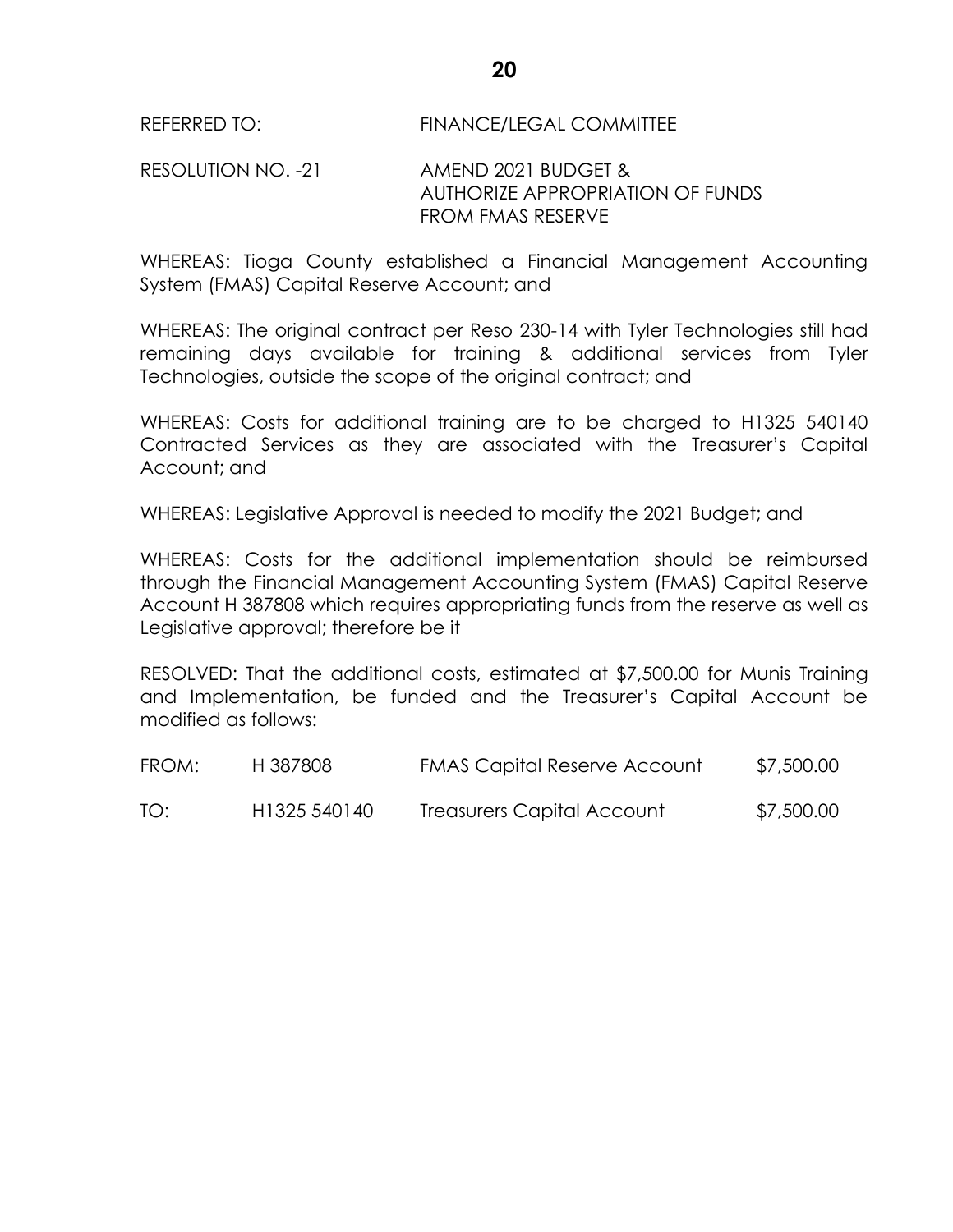#### RESOLUTION NO. -21 AMEND 2021 BUDGET & AUTHORIZE APPROPRIATION OF FUNDS FROM FMAS RESERVE

WHEREAS: Tioga County established a Financial Management Accounting System (FMAS) Capital Reserve Account; and

WHEREAS: The original contract per Reso 230-14 with Tyler Technologies still had remaining days available for training & additional services from Tyler Technologies, outside the scope of the original contract; and

WHEREAS: Costs for additional training are to be charged to H1325 540140 Contracted Services as they are associated with the Treasurer's Capital Account; and

WHEREAS: Legislative Approval is needed to modify the 2021 Budget; and

WHEREAS: Costs for the additional implementation should be reimbursed through the Financial Management Accounting System (FMAS) Capital Reserve Account H 387808 which requires appropriating funds from the reserve as well as Legislative approval; therefore be it

RESOLVED: That the additional costs, estimated at \$7,500.00 for Munis Training and Implementation, be funded and the Treasurer's Capital Account be modified as follows:

| FROM: | H 387808     | <b>FMAS Capital Reserve Account</b> | \$7,500.00 |
|-------|--------------|-------------------------------------|------------|
| TO:   | H1325 540140 | Treasurers Capital Account          | \$7,500.00 |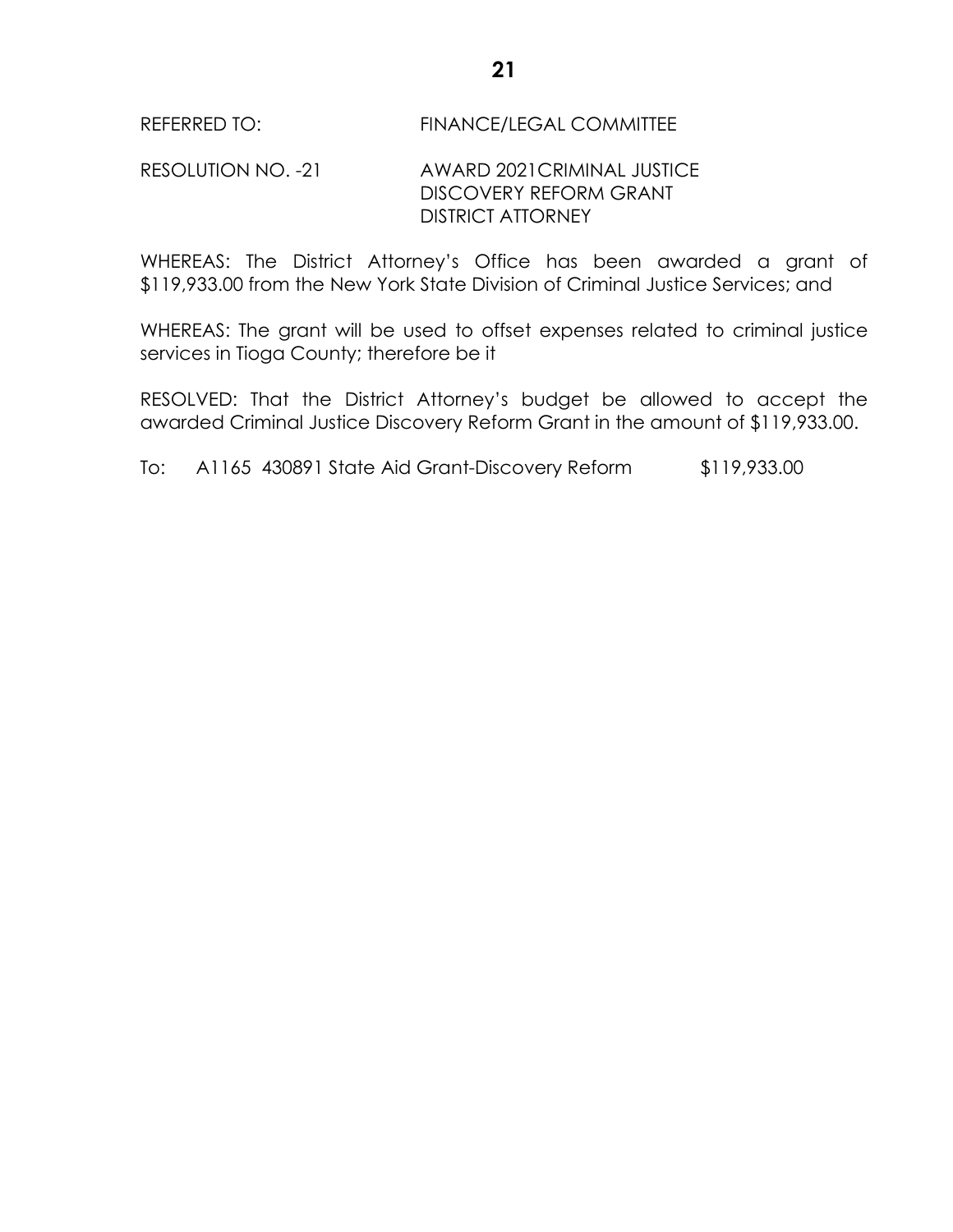#### REFERRED TO: FINANCE/LEGAL COMMITTEE

#### RESOLUTION NO. -21 AWARD 2021CRIMINAL JUSTICE DISCOVERY REFORM GRANT DISTRICT ATTORNEY

WHEREAS: The District Attorney's Office has been awarded a grant of \$119,933.00 from the New York State Division of Criminal Justice Services; and

WHEREAS: The grant will be used to offset expenses related to criminal justice services in Tioga County; therefore be it

RESOLVED: That the District Attorney's budget be allowed to accept the awarded Criminal Justice Discovery Reform Grant in the amount of \$119,933.00.

To: A1165 430891 State Aid Grant-Discovery Reform \$119,933.00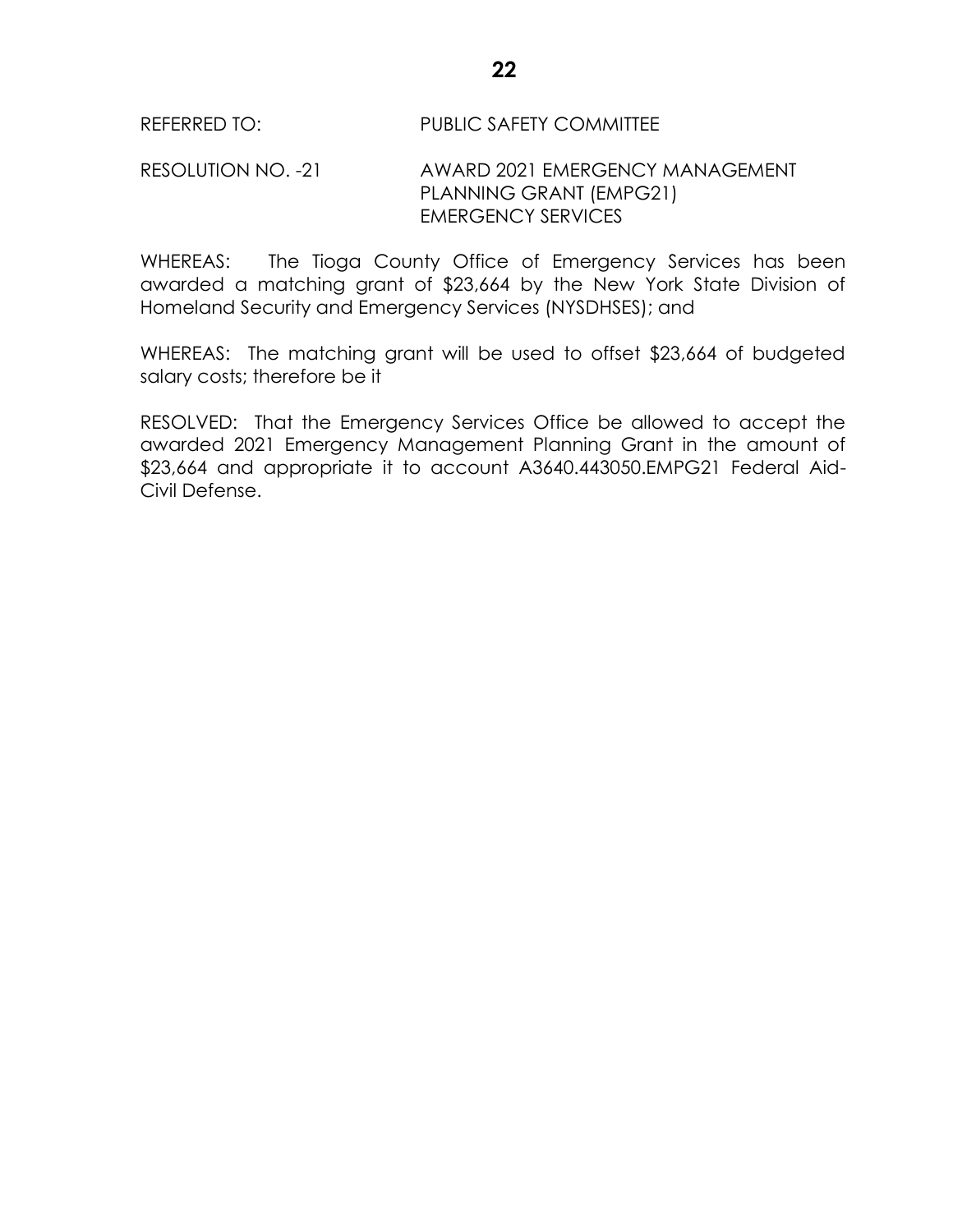#### RESOLUTION NO. -21 AWARD 2021 EMERGENCY MANAGEMENT PLANNING GRANT (EMPG21) EMERGENCY SERVICES

WHEREAS: The Tioga County Office of Emergency Services has been awarded a matching grant of \$23,664 by the New York State Division of Homeland Security and Emergency Services (NYSDHSES); and

WHEREAS: The matching grant will be used to offset \$23,664 of budgeted salary costs; therefore be it

RESOLVED: That the Emergency Services Office be allowed to accept the awarded 2021 Emergency Management Planning Grant in the amount of \$23,664 and appropriate it to account A3640.443050.EMPG21 Federal Aid-Civil Defense.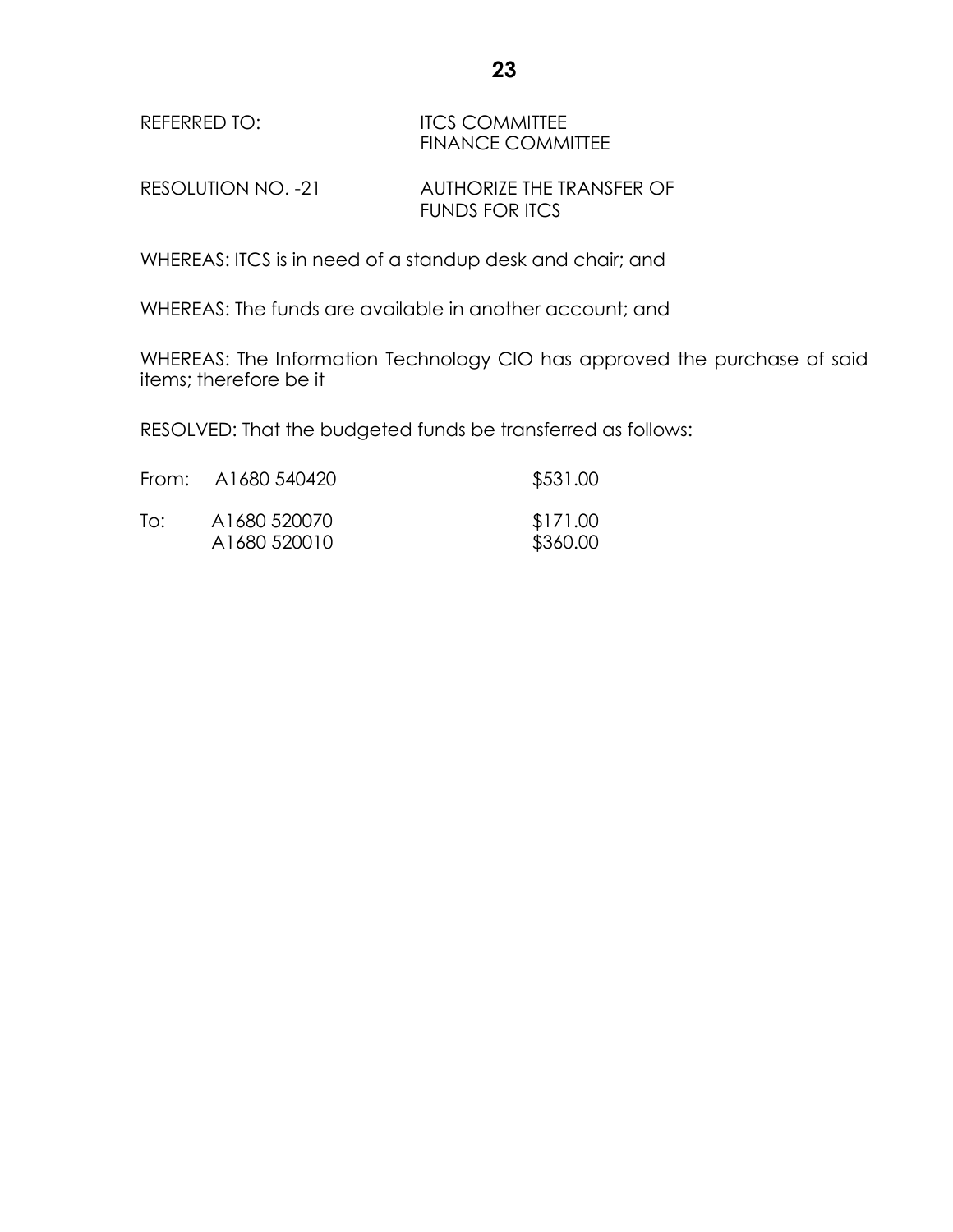| REFERRED TO: | <b>ITCS COMMITTEE</b>    |
|--------------|--------------------------|
|              | <b>FINANCE COMMITTEE</b> |
|              |                          |

RESOLUTION NO. -21 AUTHORIZE THE TRANSFER OF FUNDS FOR ITCS

WHEREAS: ITCS is in need of a standup desk and chair; and

WHEREAS: The funds are available in another account; and

WHEREAS: The Information Technology CIO has approved the purchase of said items; therefore be it

RESOLVED: That the budgeted funds be transferred as follows:

|     | From: A1680 540420           | \$531.00             |
|-----|------------------------------|----------------------|
| To: | A1680 520070<br>A1680 520010 | \$171.00<br>\$360.00 |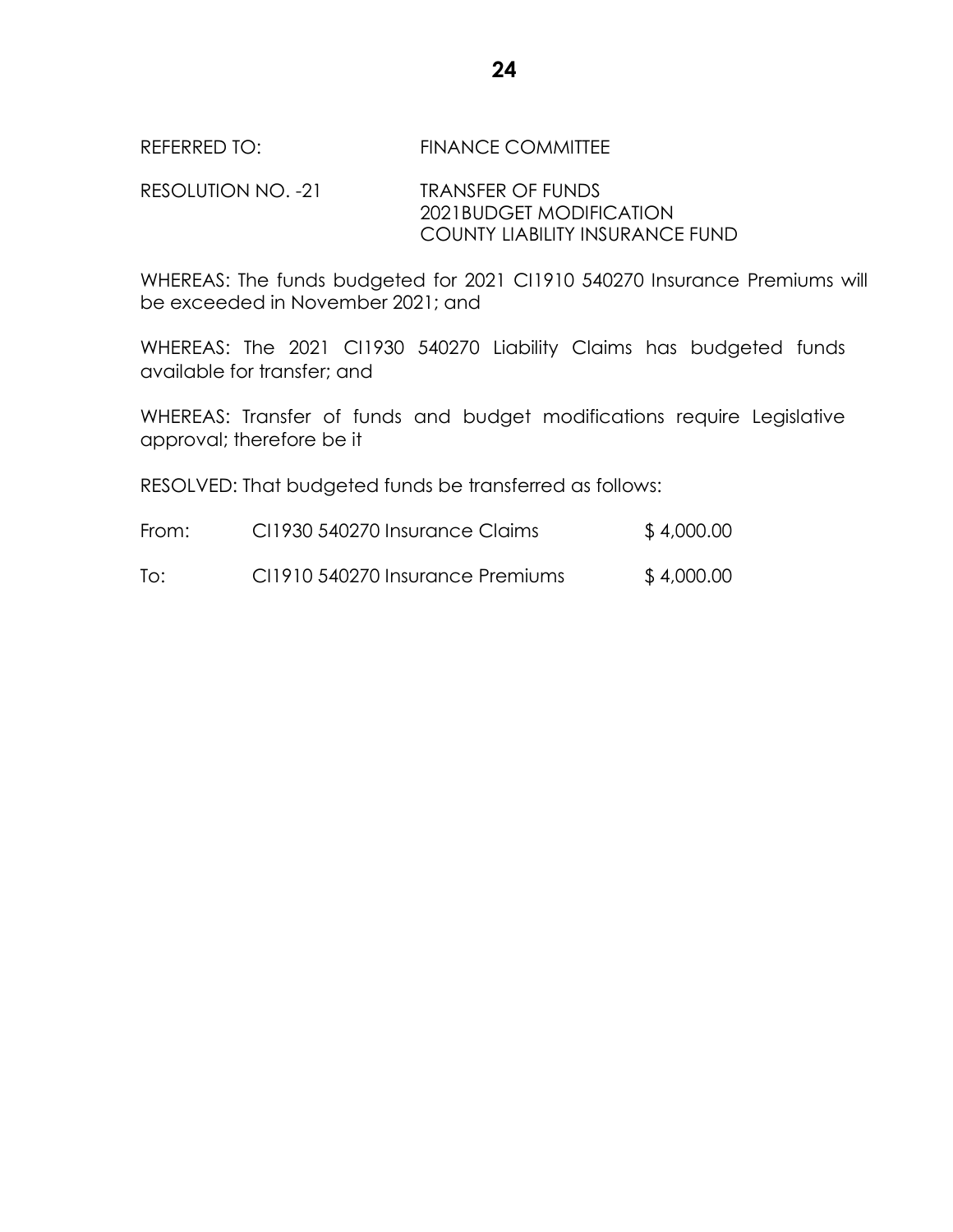RESOLUTION NO. -21 TRANSFER OF FUNDS 2021BUDGET MODIFICATION COUNTY LIABILITY INSURANCE FUND

WHEREAS: The funds budgeted for 2021 CI1910 540270 Insurance Premiums will be exceeded in November 2021; and

WHEREAS: The 2021 CI1930 540270 Liability Claims has budgeted funds available for transfer; and

WHEREAS: Transfer of funds and budget modifications require Legislative approval; therefore be it

RESOLVED: That budgeted funds be transferred as follows:

| From: | CI1930 540270 Insurance Claims   | \$4,000.00 |
|-------|----------------------------------|------------|
| To:   | CI1910 540270 Insurance Premiums | \$4,000.00 |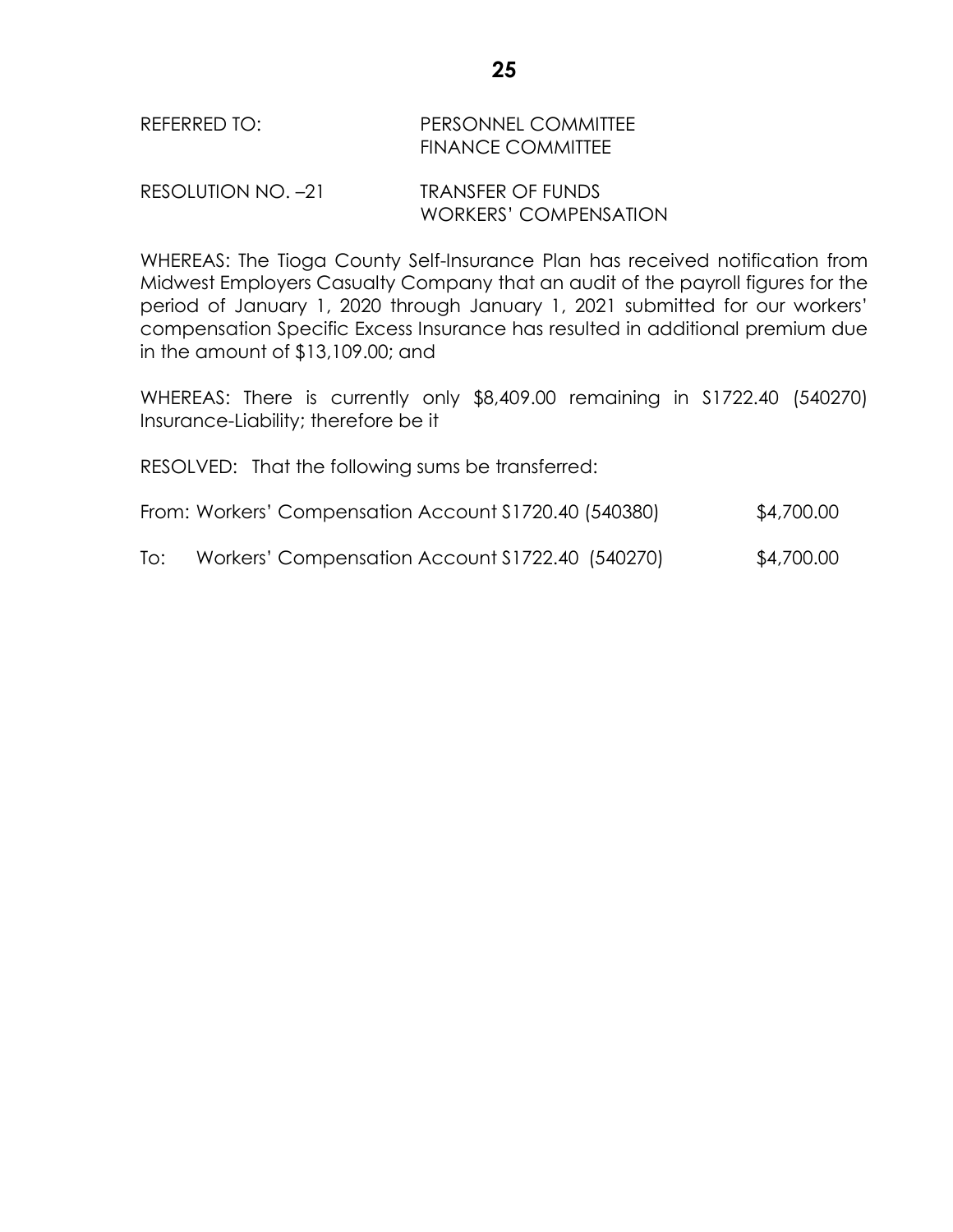## REFERRED TO: PERSONNEL COMMITTEE FINANCE COMMITTEE

#### RESOLUTION NO. –21 TRANSFER OF FUNDS WORKERS' COMPENSATION

WHEREAS: The Tioga County Self-Insurance Plan has received notification from Midwest Employers Casualty Company that an audit of the payroll figures for the period of January 1, 2020 through January 1, 2021 submitted for our workers' compensation Specific Excess Insurance has resulted in additional premium due in the amount of \$13,109.00; and

WHEREAS: There is currently only \$8,409.00 remaining in S1722.40 (540270) Insurance-Liability; therefore be it

RESOLVED: That the following sums be transferred:

- From: Workers' Compensation Account S1720.40 (540380) \$4,700.00
- To: Workers' Compensation Account S1722.40 (540270) \$4,700.00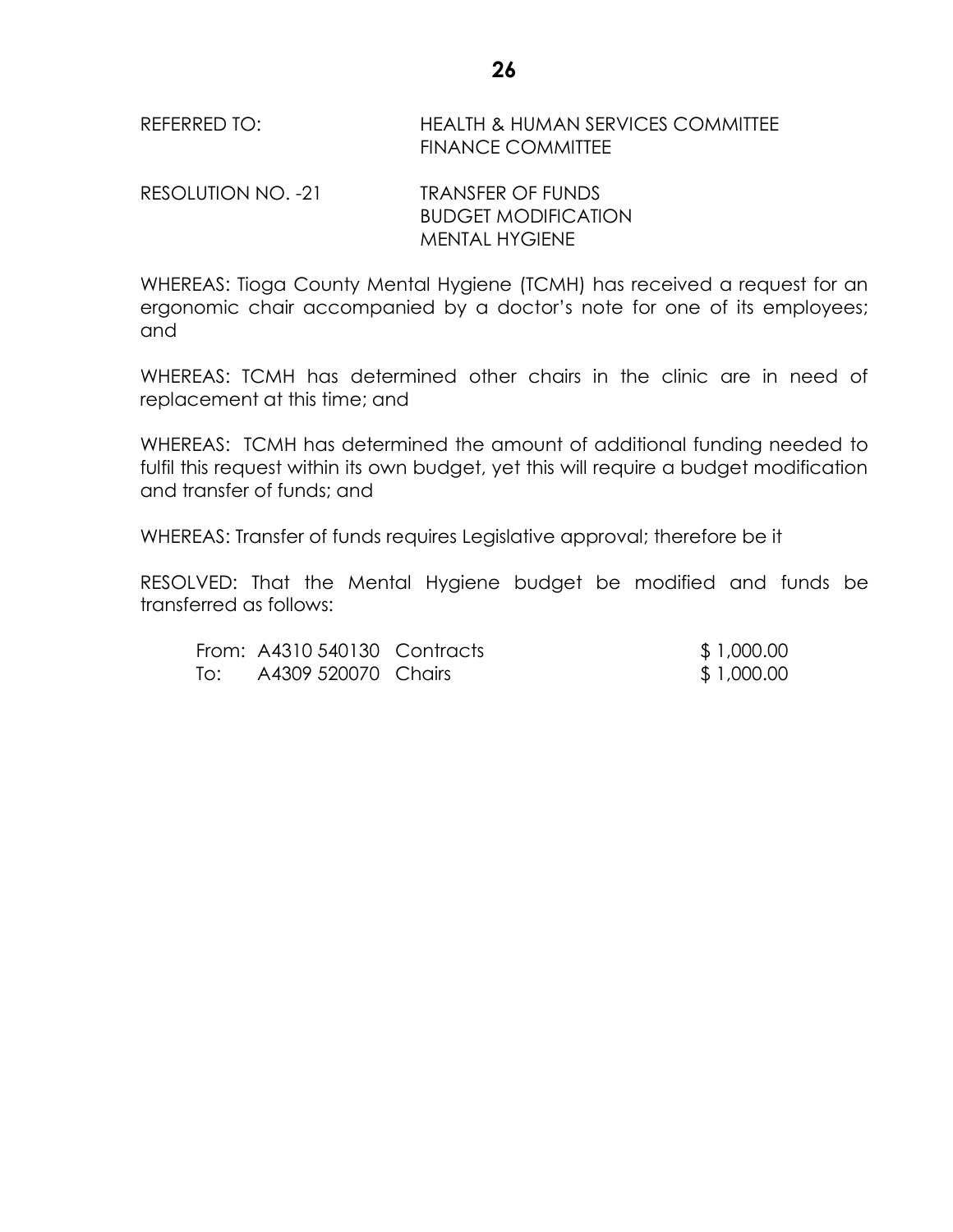REFERRED TO: HEALTH & HUMAN SERVICES COMMITTEE FINANCE COMMITTEE

RESOLUTION NO. -21 TRANSFER OF FUNDS BUDGET MODIFICATION MENTAL HYGIENE

WHEREAS: Tioga County Mental Hygiene (TCMH) has received a request for an ergonomic chair accompanied by a doctor's note for one of its employees; and

WHEREAS: TCMH has determined other chairs in the clinic are in need of replacement at this time; and

WHEREAS: TCMH has determined the amount of additional funding needed to fulfil this request within its own budget, yet this will require a budget modification and transfer of funds; and

WHEREAS: Transfer of funds requires Legislative approval; therefore be it

RESOLVED: That the Mental Hygiene budget be modified and funds be transferred as follows:

From: A4310 540130 Contracts \$ 1,000.00 To: A4309 520070 Chairs \$ 1,000.00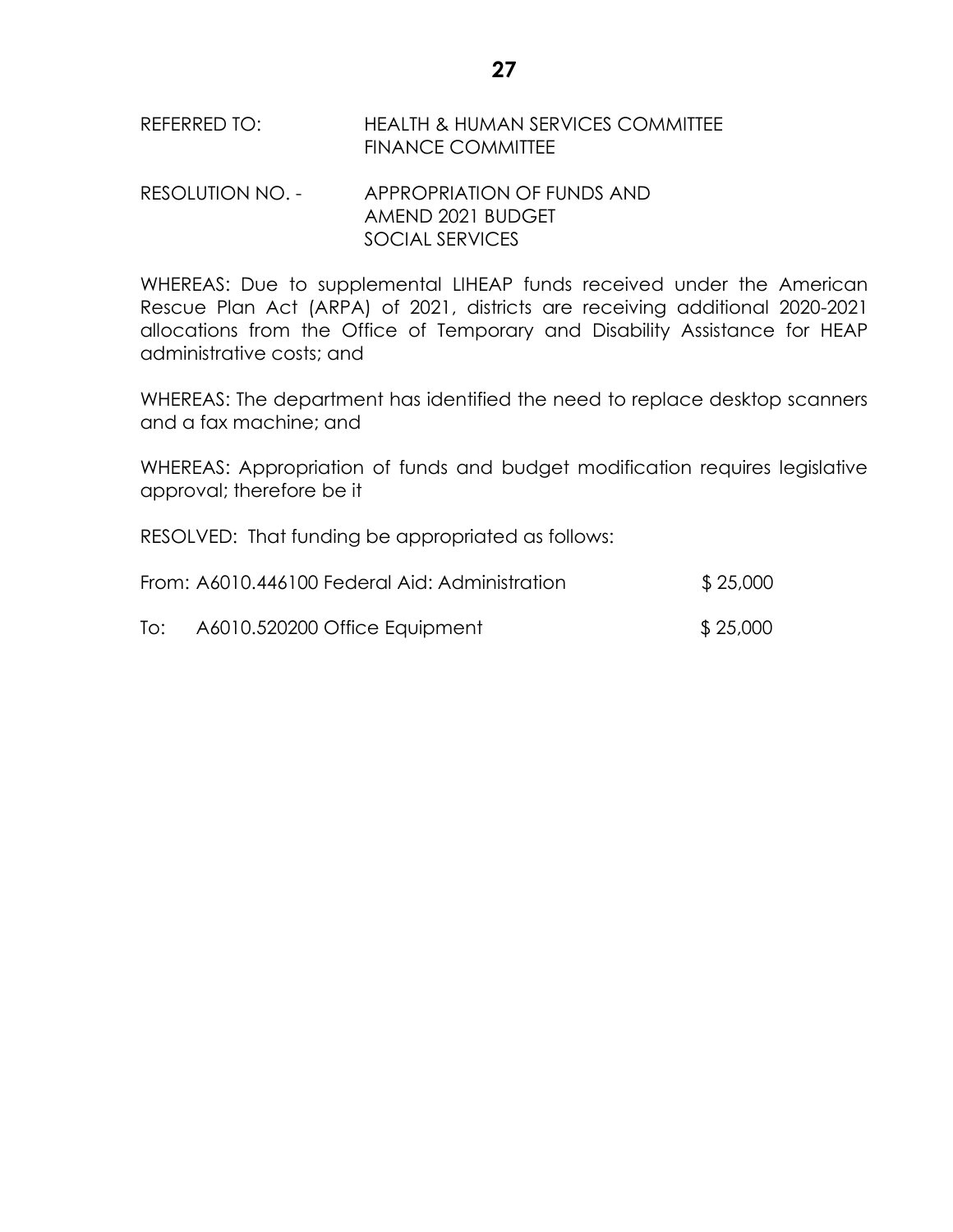# REFERRED TO: HEALTH & HUMAN SERVICES COMMITTEE FINANCE COMMITTEE

## RESOLUTION NO. - APPROPRIATION OF FUNDS AND AMEND 2021 BUDGET SOCIAL SERVICES

WHEREAS: Due to supplemental LIHEAP funds received under the American Rescue Plan Act (ARPA) of 2021, districts are receiving additional 2020-2021 allocations from the Office of Temporary and Disability Assistance for HEAP administrative costs; and

WHEREAS: The department has identified the need to replace desktop scanners and a fax machine; and

WHEREAS: Appropriation of funds and budget modification requires legislative approval; therefore be it

RESOLVED: That funding be appropriated as follows:

|     | From: A6010.446100 Federal Aid: Administration | \$25,000 |
|-----|------------------------------------------------|----------|
| To: | A6010.520200 Office Equipment                  | \$25,000 |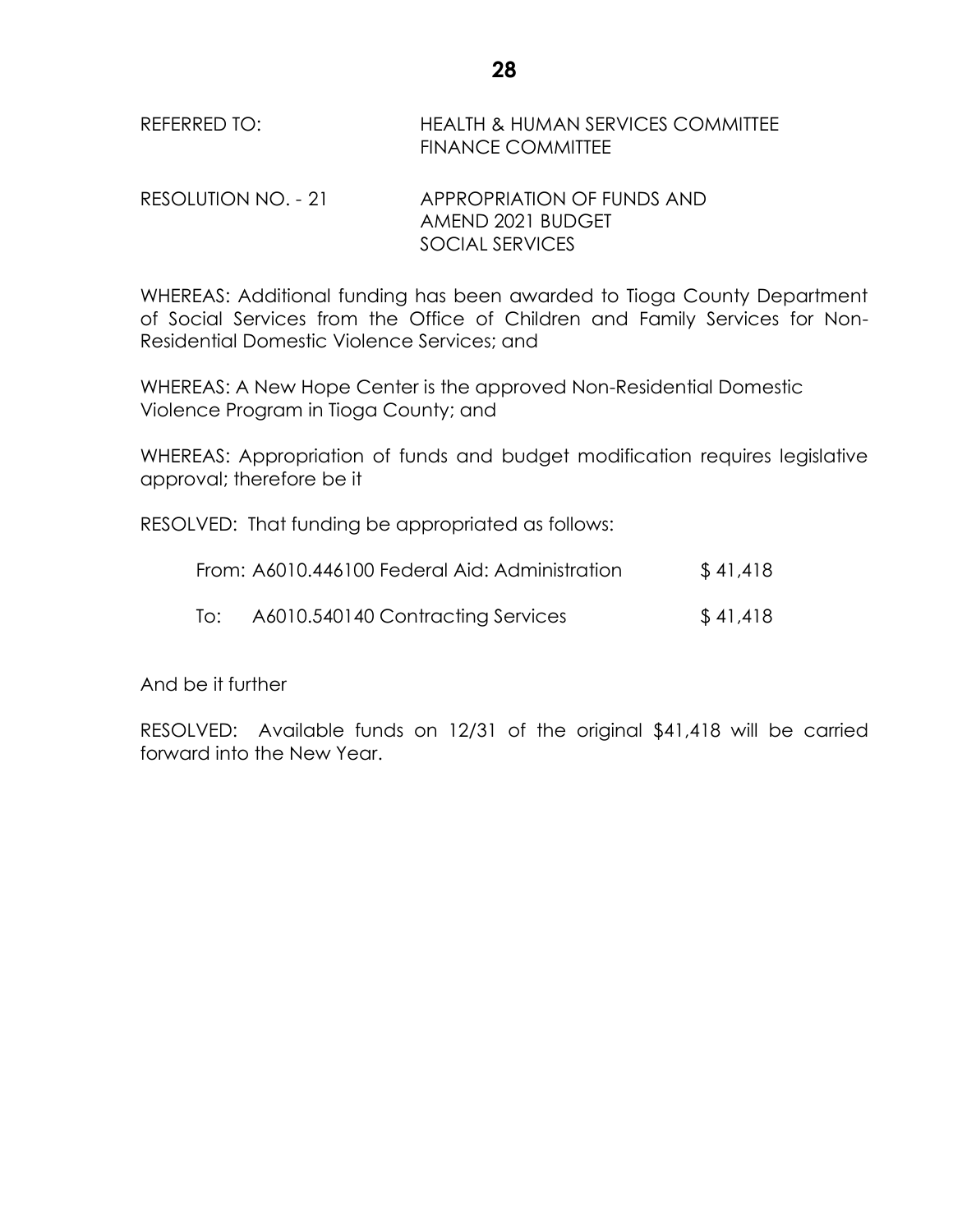REFERRED TO: HEALTH & HUMAN SERVICES COMMITTEE FINANCE COMMITTEE

RESOLUTION NO. - 21 APPROPRIATION OF FUNDS AND AMEND 2021 BUDGET SOCIAL SERVICES

WHEREAS: Additional funding has been awarded to Tioga County Department of Social Services from the Office of Children and Family Services for Non-Residential Domestic Violence Services; and

WHEREAS: A New Hope Center is the approved Non-Residential Domestic Violence Program in Tioga County; and

WHEREAS: Appropriation of funds and budget modification requires legislative approval; therefore be it

RESOLVED: That funding be appropriated as follows:

|     | From: A6010.446100 Federal Aid: Administration | \$41,418 |
|-----|------------------------------------------------|----------|
| To: | A6010.540140 Contracting Services              | \$41,418 |

And be it further

RESOLVED: Available funds on 12/31 of the original \$41,418 will be carried forward into the New Year.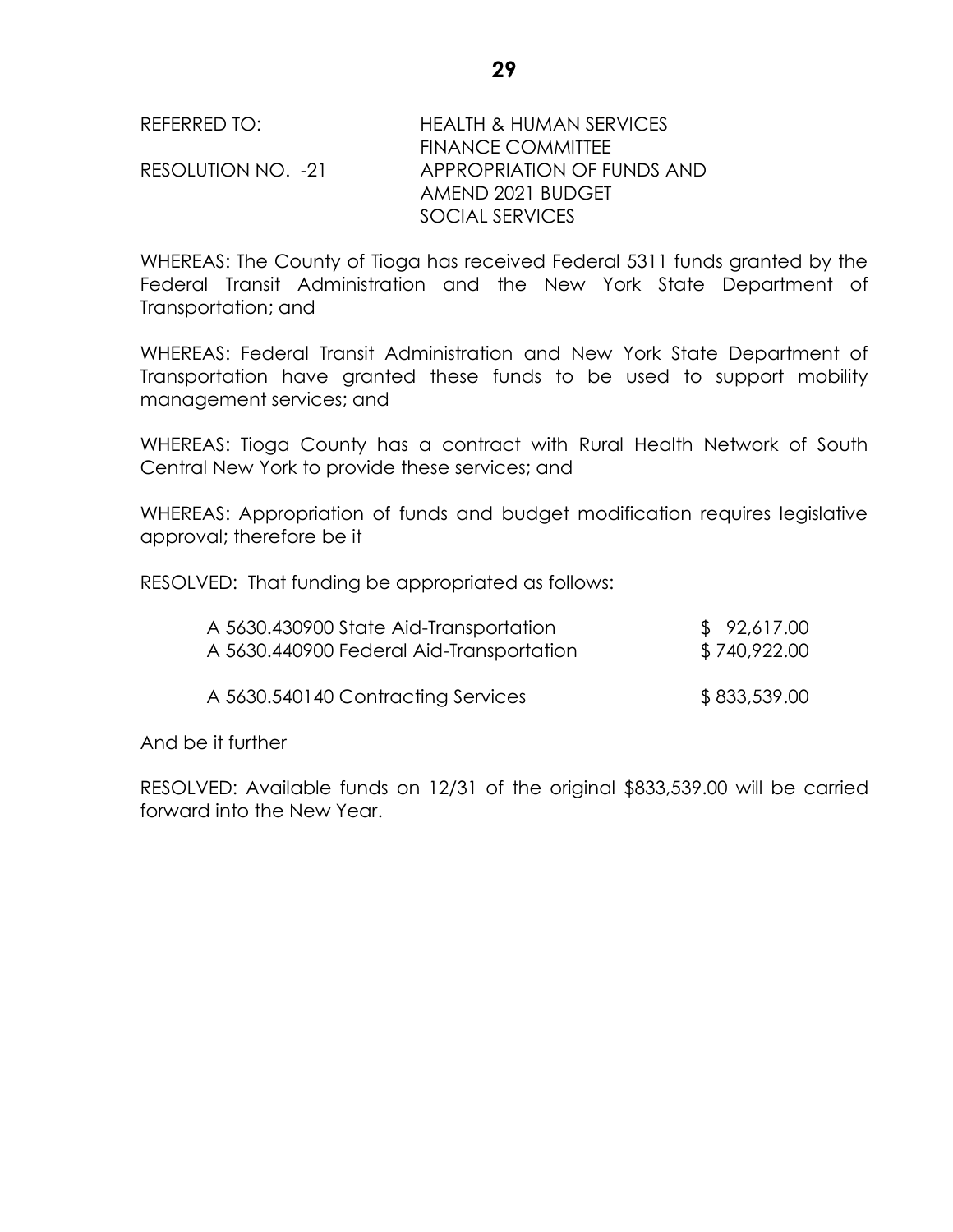| REFERRED TO: |
|--------------|
|--------------|

## HEALTH & HUMAN SERVICES FINANCE COMMITTEE RESOLUTION NO. -21 APPROPRIATION OF FUNDS AND AMEND 2021 BUDGET SOCIAL SERVICES

WHEREAS: The County of Tioga has received Federal 5311 funds granted by the Federal Transit Administration and the New York State Department of Transportation; and

WHEREAS: Federal Transit Administration and New York State Department of Transportation have granted these funds to be used to support mobility management services; and

WHEREAS: Tioga County has a contract with Rural Health Network of South Central New York to provide these services; and

WHEREAS: Appropriation of funds and budget modification requires legislative approval; therefore be it

RESOLVED: That funding be appropriated as follows:

| A 5630.430900 State Aid-Transportation   | \$92,617.00  |
|------------------------------------------|--------------|
| A 5630.440900 Federal Aid-Transportation | \$740,922.00 |
| A 5630.540140 Contracting Services       | \$833,539.00 |

And be it further

RESOLVED: Available funds on 12/31 of the original \$833,539.00 will be carried forward into the New Year.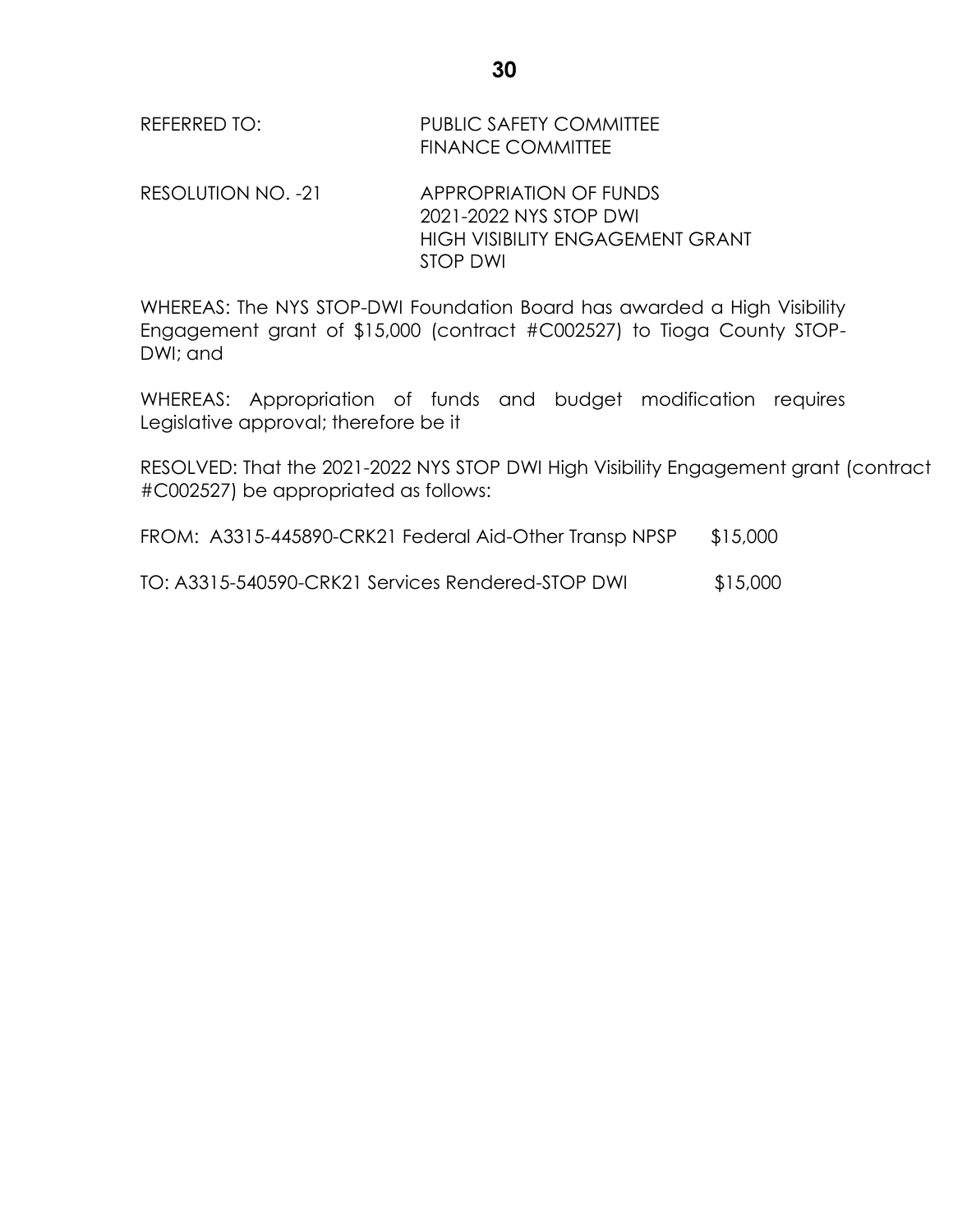| REFERRED TO: | <b>PUBLIC SAFETY COMMITTEE</b> |
|--------------|--------------------------------|
|              | <b>FINANCE COMMITTEE</b>       |

RESOLUTION NO. -21 APPROPRIATION OF FUNDS 2021-2022 NYS STOP DWI HIGH VISIBILITY ENGAGEMENT GRANT STOP DWI

WHEREAS: The NYS STOP-DWI Foundation Board has awarded a High Visibility Engagement grant of \$15,000 (contract #C002527) to Tioga County STOP-DWI; and

WHEREAS: Appropriation of funds and budget modification requires Legislative approval; therefore be it

RESOLVED: That the 2021-2022 NYS STOP DWI High Visibility Engagement grant (contract #C002527) be appropriated as follows:

FROM: A3315-445890-CRK21 Federal Aid-Other Transp NPSP \$15,000

TO: A3315-540590-CRK21 Services Rendered-STOP DWI \$15,000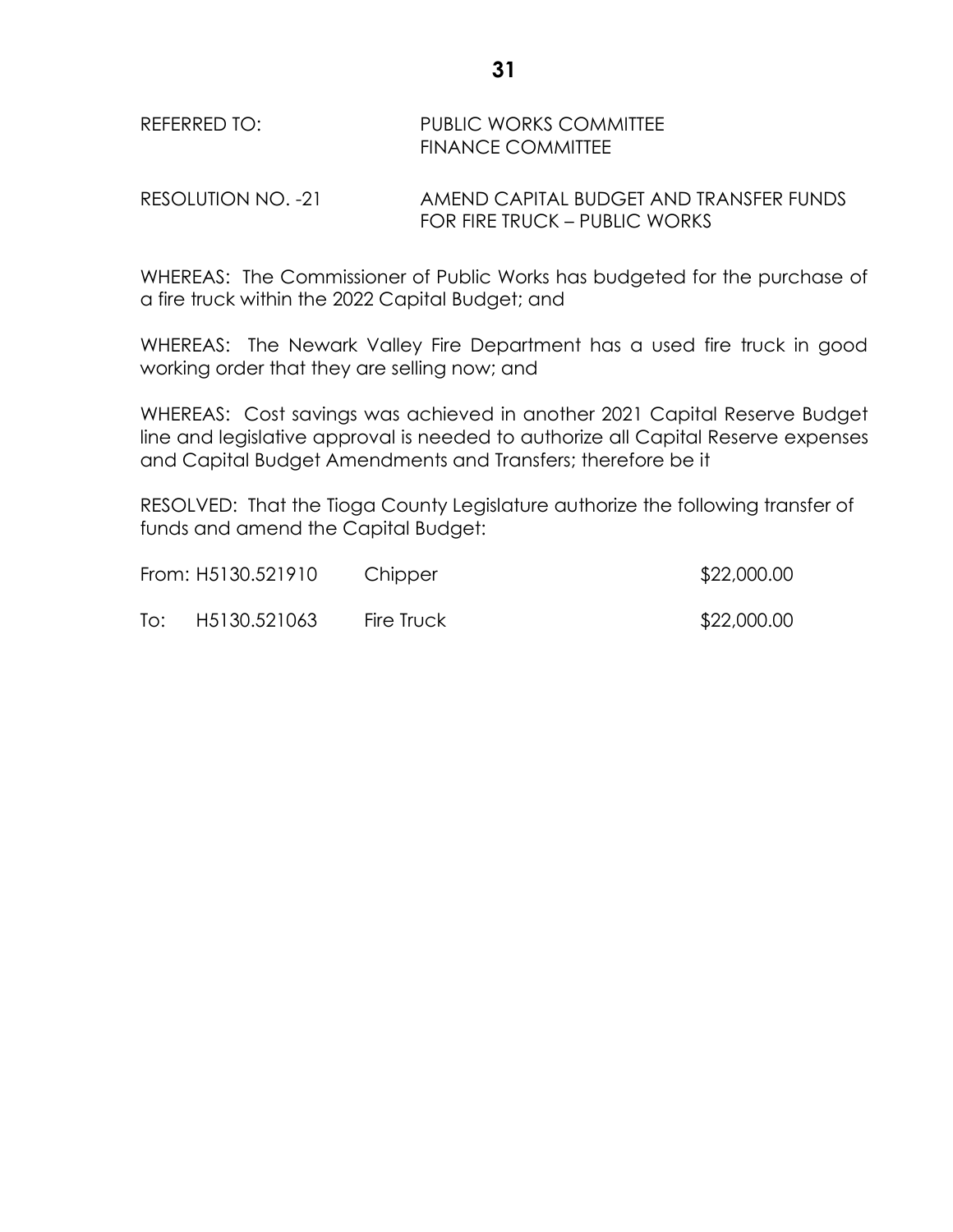#### REFERRED TO: PUBLIC WORKS COMMITTEE FINANCE COMMITTEE

RESOLUTION NO. -21 AMEND CAPITAL BUDGET AND TRANSFER FUNDS FOR FIRE TRUCK – PUBLIC WORKS

WHEREAS: The Commissioner of Public Works has budgeted for the purchase of a fire truck within the 2022 Capital Budget; and

WHEREAS: The Newark Valley Fire Department has a used fire truck in good working order that they are selling now; and

WHEREAS: Cost savings was achieved in another 2021 Capital Reserve Budget line and legislative approval is needed to authorize all Capital Reserve expenses and Capital Budget Amendments and Transfers; therefore be it

RESOLVED: That the Tioga County Legislature authorize the following transfer of funds and amend the Capital Budget:

|     | From: H5130.521910 | Chipper    | \$22,000.00 |
|-----|--------------------|------------|-------------|
| To: | H5130.521063       | Fire Truck | \$22,000.00 |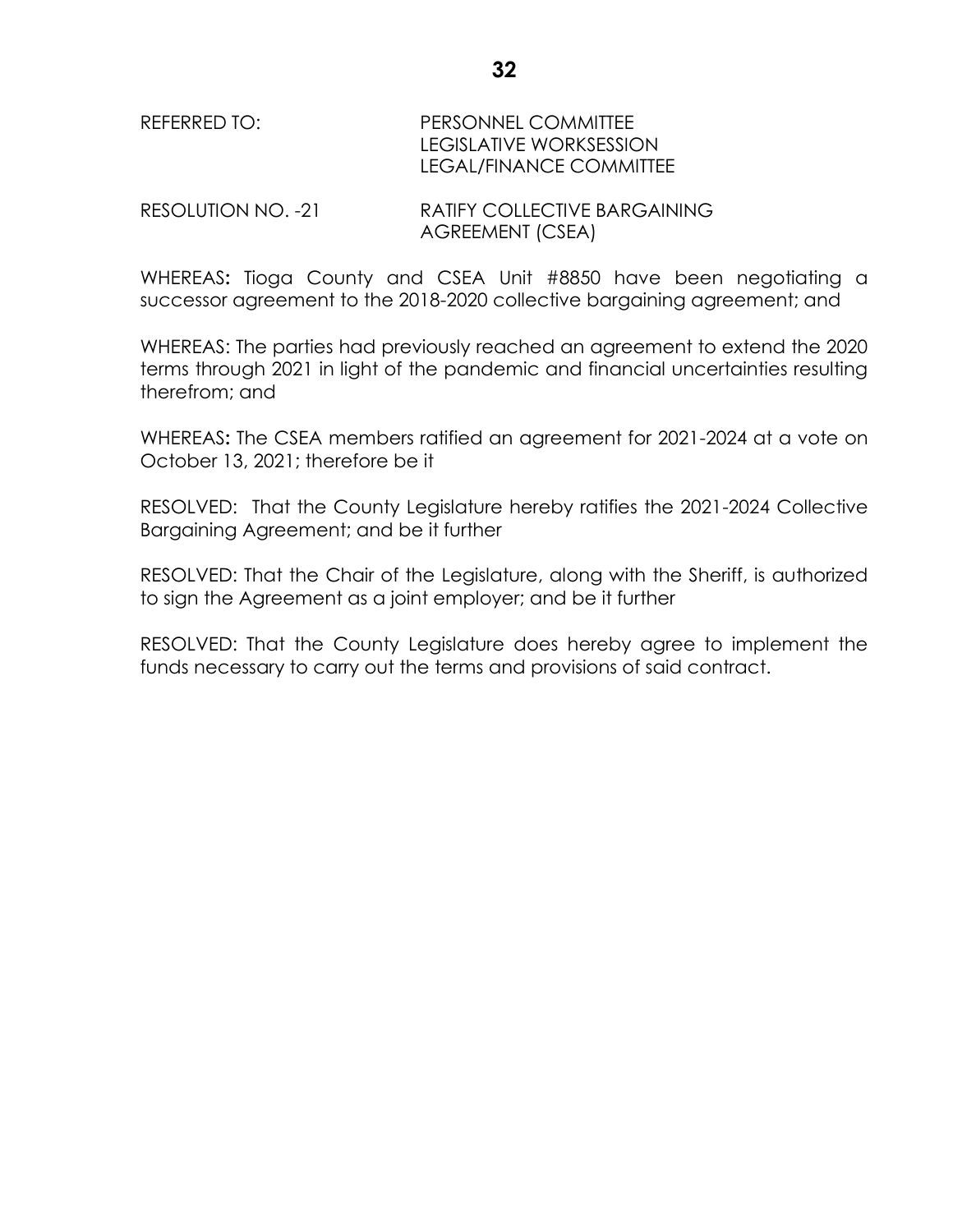RESOLUTION NO. -21 RATIFY COLLECTIVE BARGAINING AGREEMENT (CSEA)

WHEREAS**:** Tioga County and CSEA Unit #8850 have been negotiating a successor agreement to the 2018-2020 collective bargaining agreement; and

WHEREAS: The parties had previously reached an agreement to extend the 2020 terms through 2021 in light of the pandemic and financial uncertainties resulting therefrom; and

WHEREAS**:** The CSEA members ratified an agreement for 2021-2024 at a vote on October 13, 2021; therefore be it

RESOLVED: That the County Legislature hereby ratifies the 2021-2024 Collective Bargaining Agreement; and be it further

RESOLVED: That the Chair of the Legislature, along with the Sheriff, is authorized to sign the Agreement as a joint employer; and be it further

RESOLVED: That the County Legislature does hereby agree to implement the funds necessary to carry out the terms and provisions of said contract.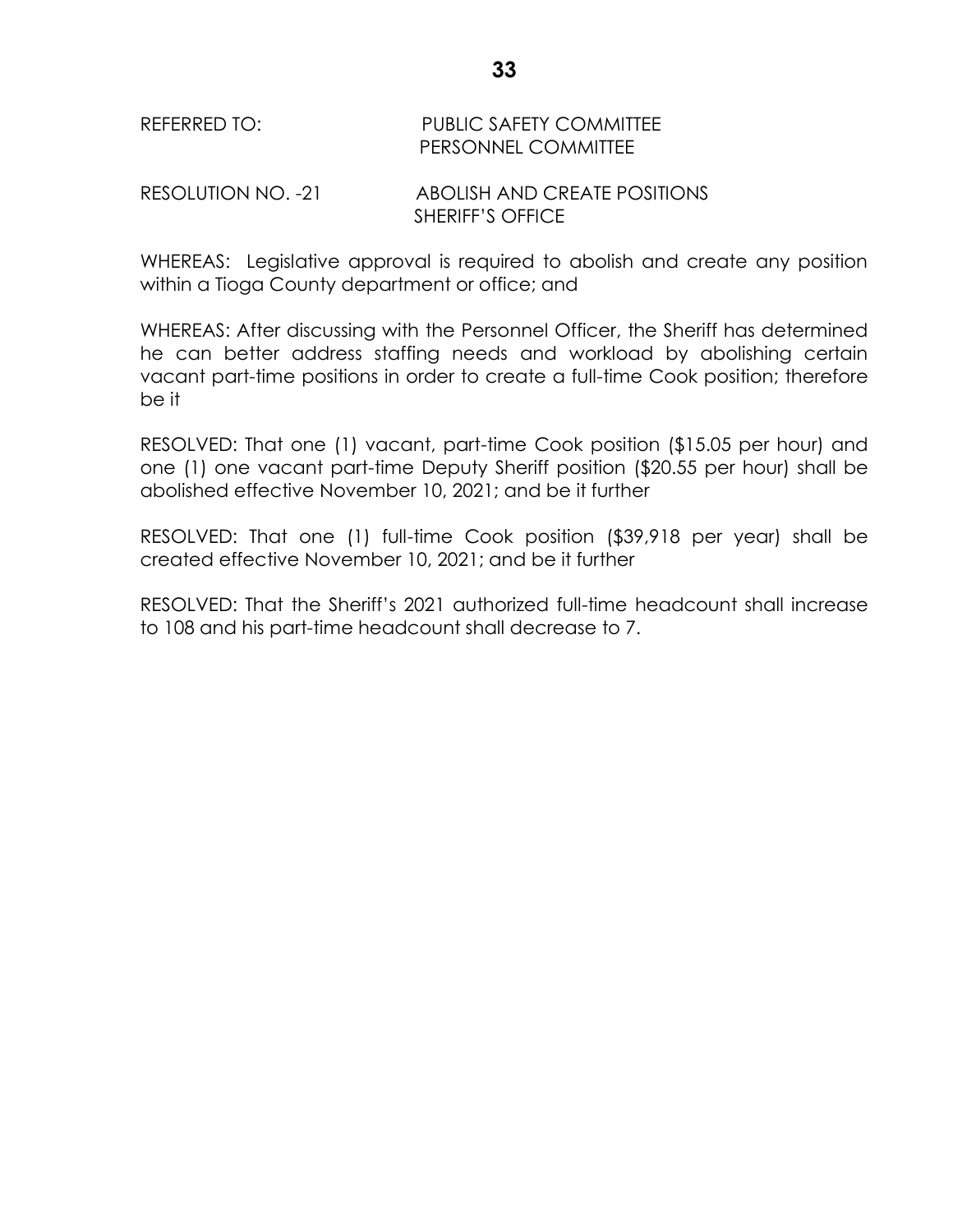## REFERRED TO: PUBLIC SAFETY COMMITTEE PERSONNEL COMMITTEE

#### RESOLUTION NO. -21 ABOLISH AND CREATE POSITIONS SHERIFF'S OFFICE

WHEREAS: Legislative approval is required to abolish and create any position within a Tioga County department or office; and

WHEREAS: After discussing with the Personnel Officer, the Sheriff has determined he can better address staffing needs and workload by abolishing certain vacant part-time positions in order to create a full-time Cook position; therefore be it

RESOLVED: That one (1) vacant, part-time Cook position (\$15.05 per hour) and one (1) one vacant part-time Deputy Sheriff position (\$20.55 per hour) shall be abolished effective November 10, 2021; and be it further

RESOLVED: That one (1) full-time Cook position (\$39,918 per year) shall be created effective November 10, 2021; and be it further

RESOLVED: That the Sheriff's 2021 authorized full-time headcount shall increase to 108 and his part-time headcount shall decrease to 7.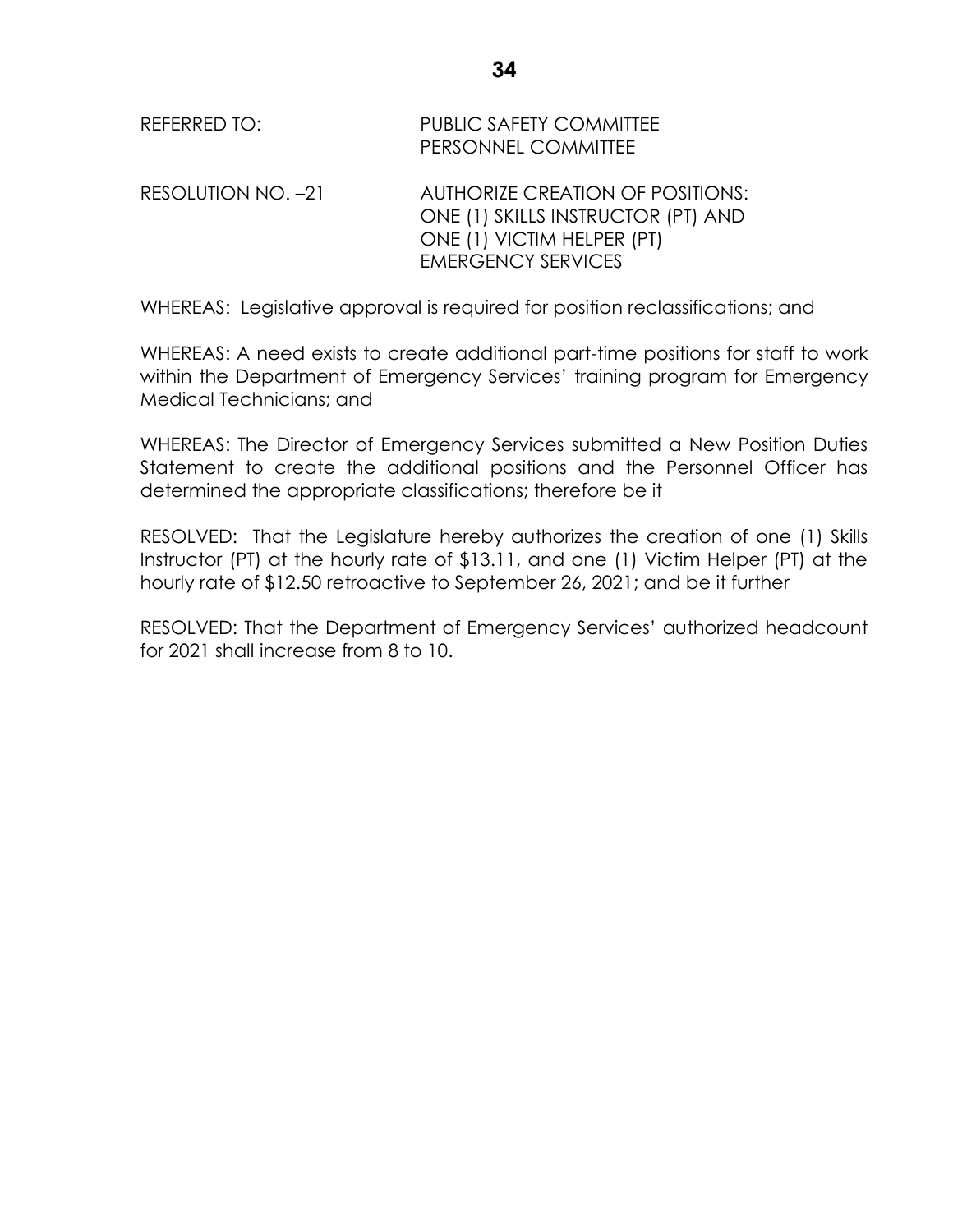| REFERRED TO:       | PUBLIC SAFETY COMMITTEE<br>PERSONNEL COMMITTEE                                                                                    |
|--------------------|-----------------------------------------------------------------------------------------------------------------------------------|
| RESOLUTION NO. -21 | AUTHORIZE CREATION OF POSITIONS:<br>ONE (1) SKILLS INSTRUCTOR (PT) AND<br>ONE (1) VICTIM HELPER (PT)<br><b>EMERGENCY SERVICES</b> |

WHEREAS: Legislative approval is required for position reclassifications; and

WHEREAS: A need exists to create additional part-time positions for staff to work within the Department of Emergency Services' training program for Emergency Medical Technicians; and

WHEREAS: The Director of Emergency Services submitted a New Position Duties Statement to create the additional positions and the Personnel Officer has determined the appropriate classifications; therefore be it

RESOLVED: That the Legislature hereby authorizes the creation of one (1) Skills Instructor (PT) at the hourly rate of \$13.11, and one (1) Victim Helper (PT) at the hourly rate of \$12.50 retroactive to September 26, 2021; and be it further

RESOLVED: That the Department of Emergency Services' authorized headcount for 2021 shall increase from 8 to 10.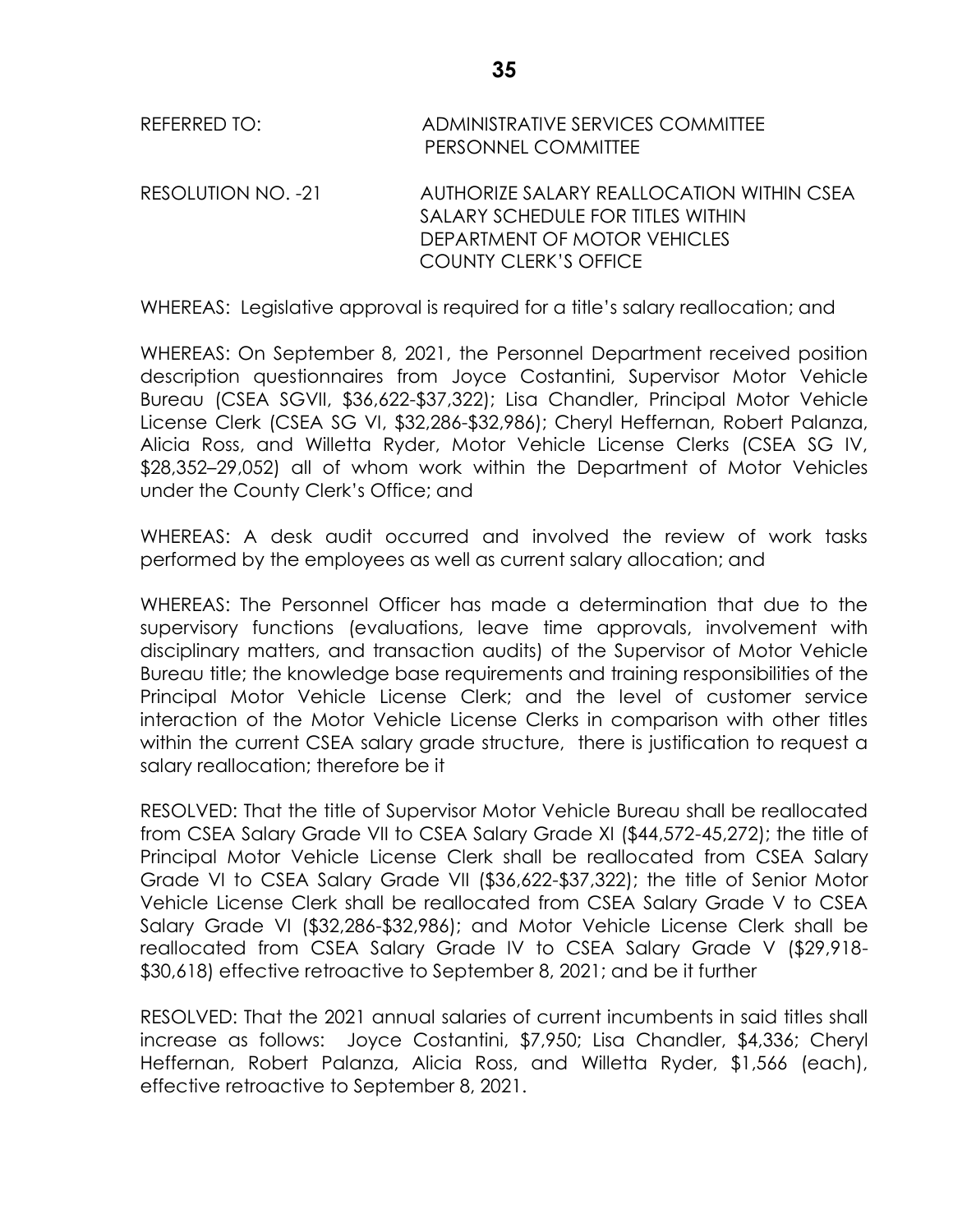REFERRED TO: ADMINISTRATIVE SERVICES COMMITTEE PERSONNEL COMMITTEE RESOLUTION NO. -21 AUTHORIZE SALARY REALLOCATION WITHIN CSEA SALARY SCHEDULE FOR TITLES WITHIN DEPARTMENT OF MOTOR VEHICLES COUNTY CLERK'S OFFICE

WHEREAS: Legislative approval is required for a title's salary reallocation; and

WHEREAS: On September 8, 2021, the Personnel Department received position description questionnaires from Joyce Costantini, Supervisor Motor Vehicle Bureau (CSEA SGVII, \$36,622-\$37,322); Lisa Chandler, Principal Motor Vehicle License Clerk (CSEA SG VI, \$32,286-\$32,986); Cheryl Heffernan, Robert Palanza, Alicia Ross, and Willetta Ryder, Motor Vehicle License Clerks (CSEA SG IV, \$28,352–29,052) all of whom work within the Department of Motor Vehicles under the County Clerk's Office; and

WHEREAS: A desk audit occurred and involved the review of work tasks performed by the employees as well as current salary allocation; and

WHEREAS: The Personnel Officer has made a determination that due to the supervisory functions (evaluations, leave time approvals, involvement with disciplinary matters, and transaction audits) of the Supervisor of Motor Vehicle Bureau title; the knowledge base requirements and training responsibilities of the Principal Motor Vehicle License Clerk; and the level of customer service interaction of the Motor Vehicle License Clerks in comparison with other titles within the current CSEA salary grade structure, there is justification to request a salary reallocation; therefore be it

RESOLVED: That the title of Supervisor Motor Vehicle Bureau shall be reallocated from CSEA Salary Grade VII to CSEA Salary Grade XI (\$44,572-45,272); the title of Principal Motor Vehicle License Clerk shall be reallocated from CSEA Salary Grade VI to CSEA Salary Grade VII (\$36,622-\$37,322); the title of Senior Motor Vehicle License Clerk shall be reallocated from CSEA Salary Grade V to CSEA Salary Grade VI (\$32,286-\$32,986); and Motor Vehicle License Clerk shall be reallocated from CSEA Salary Grade IV to CSEA Salary Grade V (\$29,918- \$30,618) effective retroactive to September 8, 2021; and be it further

RESOLVED: That the 2021 annual salaries of current incumbents in said titles shall increase as follows: Joyce Costantini, \$7,950; Lisa Chandler, \$4,336; Cheryl Heffernan, Robert Palanza, Alicia Ross, and Willetta Ryder, \$1,566 (each), effective retroactive to September 8, 2021.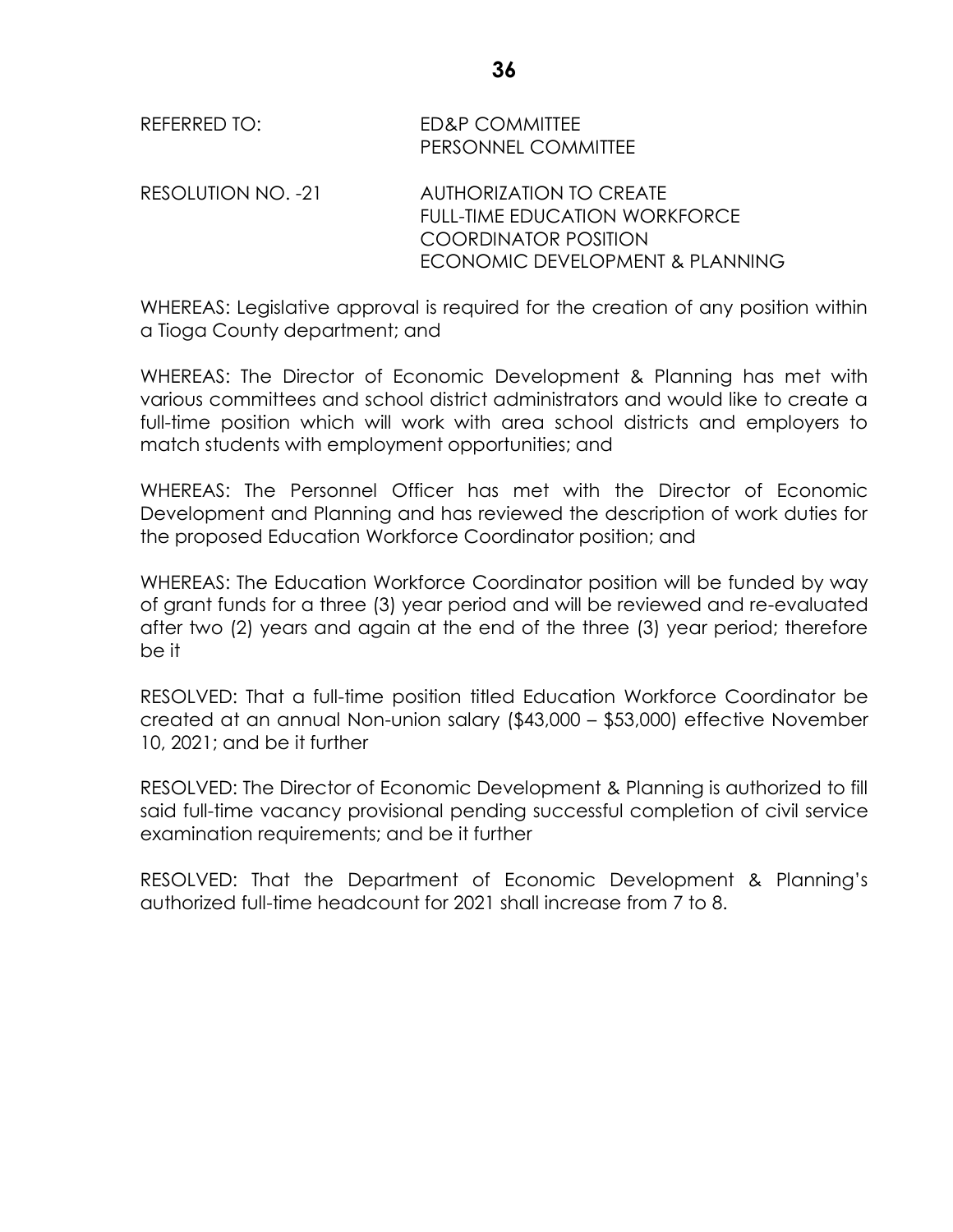| REFERRED TO:       | <b>ED&amp;P COMMITTEE</b><br>PERSONNEL COMMITTEE                                               |
|--------------------|------------------------------------------------------------------------------------------------|
| RESOLUTION NO. -21 | AUTHORIZATION TO CREATE<br><b>FULL-TIME EDUCATION WORKFORCE</b><br><b>COORDINATOR POSITION</b> |
|                    | ECONOMIC DEVELOPMENT & PLANNING                                                                |

WHEREAS: Legislative approval is required for the creation of any position within a Tioga County department; and

WHEREAS: The Director of Economic Development & Planning has met with various committees and school district administrators and would like to create a full-time position which will work with area school districts and employers to match students with employment opportunities; and

WHEREAS: The Personnel Officer has met with the Director of Economic Development and Planning and has reviewed the description of work duties for the proposed Education Workforce Coordinator position; and

WHEREAS: The Education Workforce Coordinator position will be funded by way of grant funds for a three (3) year period and will be reviewed and re-evaluated after two (2) years and again at the end of the three (3) year period; therefore be it

RESOLVED: That a full-time position titled Education Workforce Coordinator be created at an annual Non-union salary (\$43,000 – \$53,000) effective November 10, 2021; and be it further

RESOLVED: The Director of Economic Development & Planning is authorized to fill said full-time vacancy provisional pending successful completion of civil service examination requirements; and be it further

RESOLVED: That the Department of Economic Development & Planning's authorized full-time headcount for 2021 shall increase from 7 to 8.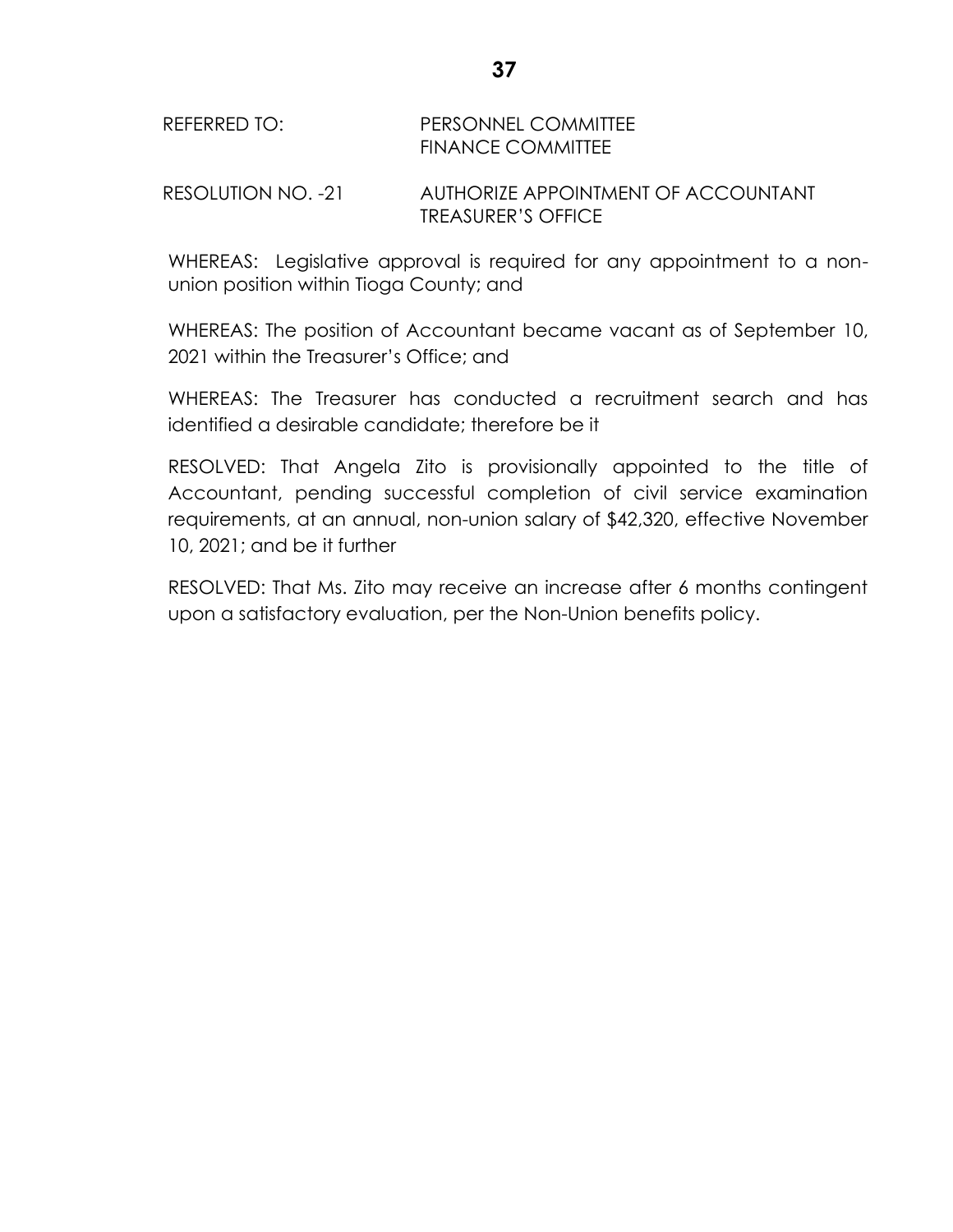## REFERRED TO: PERSONNEL COMMITTEE FINANCE COMMITTEE

RESOLUTION NO. -21 AUTHORIZE APPOINTMENT OF ACCOUNTANT TREASURER'S OFFICE

WHEREAS: Legislative approval is required for any appointment to a nonunion position within Tioga County; and

WHEREAS: The position of Accountant became vacant as of September 10, 2021 within the Treasurer's Office; and

WHEREAS: The Treasurer has conducted a recruitment search and has identified a desirable candidate; therefore be it

RESOLVED: That Angela Zito is provisionally appointed to the title of Accountant, pending successful completion of civil service examination requirements, at an annual, non-union salary of \$42,320, effective November 10, 2021; and be it further

RESOLVED: That Ms. Zito may receive an increase after 6 months contingent upon a satisfactory evaluation, per the Non-Union benefits policy.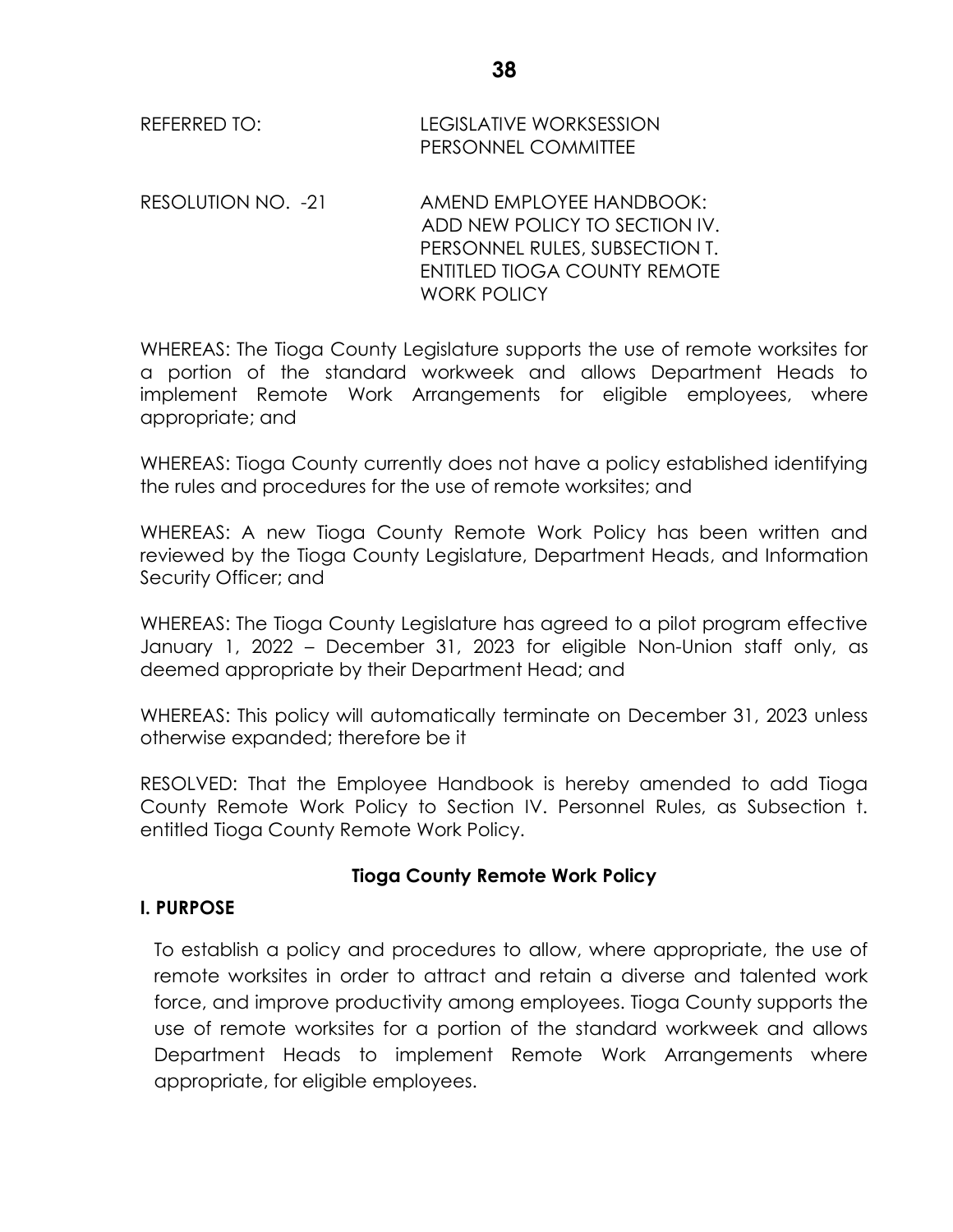| REFERRED TO: | LEGISLATIVE WORKSESSION    |
|--------------|----------------------------|
|              | <b>PERSONNEL COMMITTEE</b> |

RESOLUTION NO. -21 AMEND EMPLOYEE HANDBOOK: ADD NEW POLICY TO SECTION IV. PERSONNEL RULES, SUBSECTION T. ENTITLED TIOGA COUNTY REMOTE WORK POLICY

WHEREAS: The Tioga County Legislature supports the use of remote worksites for a portion of the standard workweek and allows Department Heads to implement Remote Work Arrangements for eligible employees, where appropriate; and

WHEREAS: Tioga County currently does not have a policy established identifying the rules and procedures for the use of remote worksites; and

WHEREAS: A new Tioga County Remote Work Policy has been written and reviewed by the Tioga County Legislature, Department Heads, and Information Security Officer; and

WHEREAS: The Tioga County Legislature has agreed to a pilot program effective January 1, 2022 – December 31, 2023 for eligible Non-Union staff only, as deemed appropriate by their Department Head; and

WHEREAS: This policy will automatically terminate on December 31, 2023 unless otherwise expanded; therefore be it

RESOLVED: That the Employee Handbook is hereby amended to add Tioga County Remote Work Policy to Section IV. Personnel Rules, as Subsection t. entitled Tioga County Remote Work Policy.

## **Tioga County Remote Work Policy**

## **I. PURPOSE**

To establish a policy and procedures to allow, where appropriate, the use of remote worksites in order to attract and retain a diverse and talented work force, and improve productivity among employees. Tioga County supports the use of remote worksites for a portion of the standard workweek and allows Department Heads to implement Remote Work Arrangements where appropriate, for eligible employees.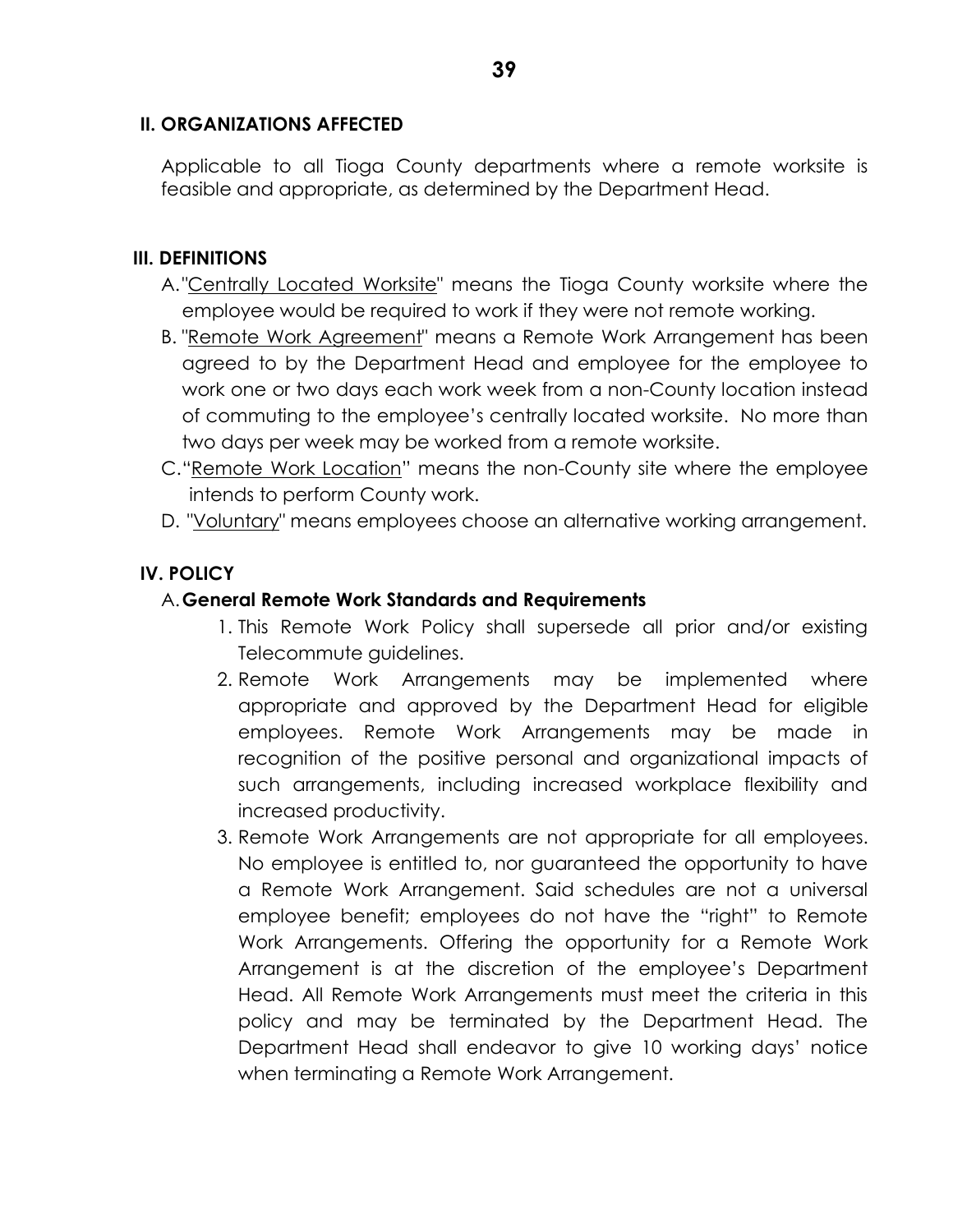#### **II. ORGANIZATIONS AFFECTED**

Applicable to all Tioga County departments where a remote worksite is feasible and appropriate, as determined by the Department Head.

## **III. DEFINITIONS**

- A."Centrally Located Worksite" means the Tioga County worksite where the employee would be required to work if they were not remote working.
- B. "Remote Work Agreement" means a Remote Work Arrangement has been agreed to by the Department Head and employee for the employee to work one or two days each work week from a non-County location instead of commuting to the employee's centrally located worksite. No more than two days per week may be worked from a remote worksite.
- C."Remote Work Location" means the non-County site where the employee intends to perform County work.
- D. "Voluntary" means employees choose an alternative working arrangement.

## **IV. POLICY**

#### A.**General Remote Work Standards and Requirements**

- 1. This Remote Work Policy shall supersede all prior and/or existing Telecommute guidelines.
- 2. Remote Work Arrangements may be implemented where appropriate and approved by the Department Head for eligible employees. Remote Work Arrangements may be made in recognition of the positive personal and organizational impacts of such arrangements, including increased workplace flexibility and increased productivity.
- 3. Remote Work Arrangements are not appropriate for all employees. No employee is entitled to, nor guaranteed the opportunity to have a Remote Work Arrangement. Said schedules are not a universal employee benefit; employees do not have the "right" to Remote Work Arrangements. Offering the opportunity for a Remote Work Arrangement is at the discretion of the employee's Department Head. All Remote Work Arrangements must meet the criteria in this policy and may be terminated by the Department Head. The Department Head shall endeavor to give 10 working days' notice when terminating a Remote Work Arrangement.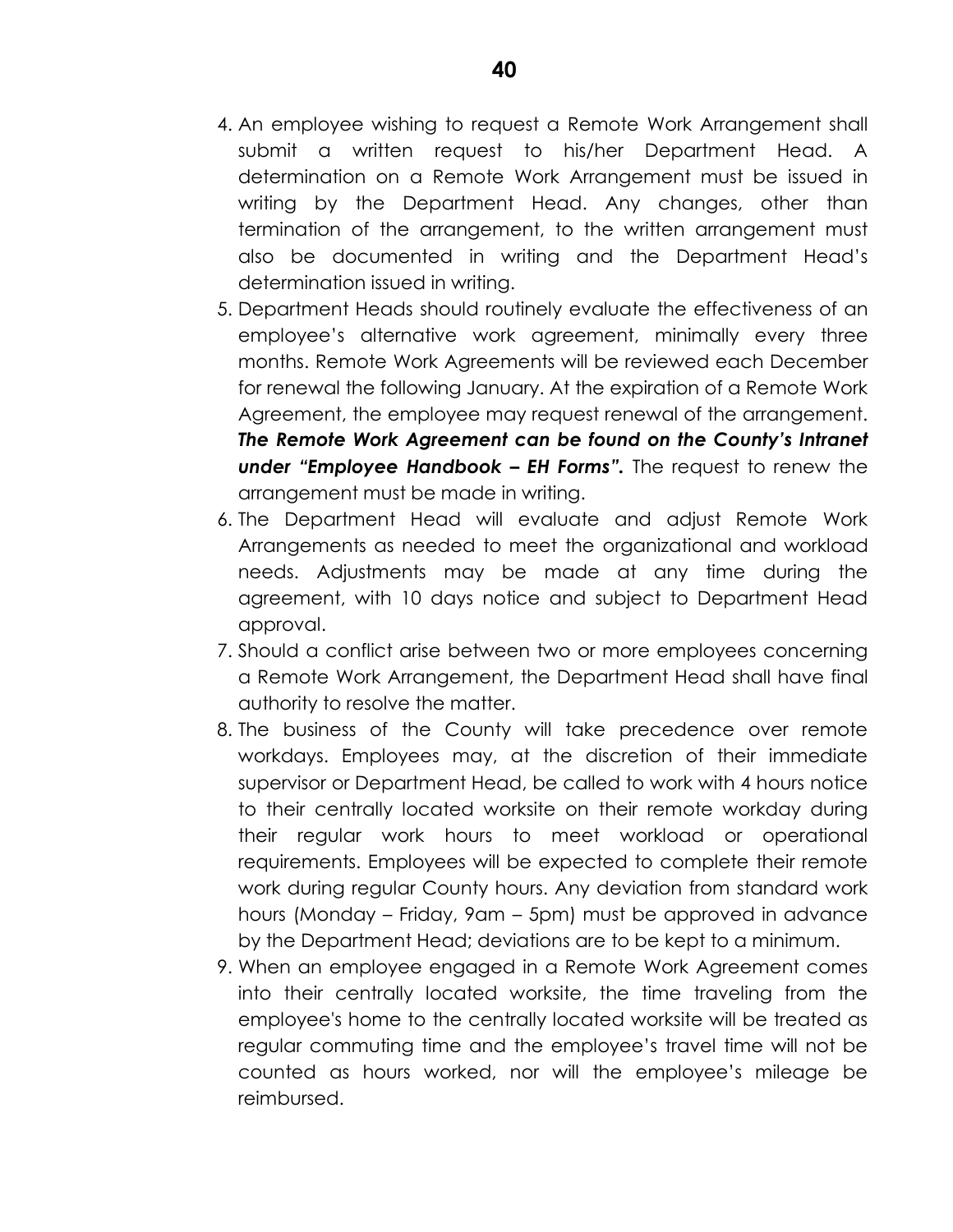- 4. An employee wishing to request a Remote Work Arrangement shall submit a written request to his/her Department Head. A determination on a Remote Work Arrangement must be issued in writing by the Department Head. Any changes, other than termination of the arrangement, to the written arrangement must also be documented in writing and the Department Head's determination issued in writing.
- 5. Department Heads should routinely evaluate the effectiveness of an employee's alternative work agreement, minimally every three months. Remote Work Agreements will be reviewed each December for renewal the following January. At the expiration of a Remote Work Agreement, the employee may request renewal of the arrangement. *The Remote Work Agreement can be found on the County's Intranet under "Employee Handbook – EH Forms".* The request to renew the arrangement must be made in writing.
- 6. The Department Head will evaluate and adjust Remote Work Arrangements as needed to meet the organizational and workload needs. Adjustments may be made at any time during the agreement, with 10 days notice and subject to Department Head approval.
- 7. Should a conflict arise between two or more employees concerning a Remote Work Arrangement, the Department Head shall have final authority to resolve the matter.
- 8. The business of the County will take precedence over remote workdays. Employees may, at the discretion of their immediate supervisor or Department Head, be called to work with 4 hours notice to their centrally located worksite on their remote workday during their regular work hours to meet workload or operational requirements. Employees will be expected to complete their remote work during regular County hours. Any deviation from standard work hours (Monday – Friday, 9am – 5pm) must be approved in advance by the Department Head; deviations are to be kept to a minimum.
- 9. When an employee engaged in a Remote Work Agreement comes into their centrally located worksite, the time traveling from the employee's home to the centrally located worksite will be treated as regular commuting time and the employee's travel time will not be counted as hours worked, nor will the employee's mileage be reimbursed.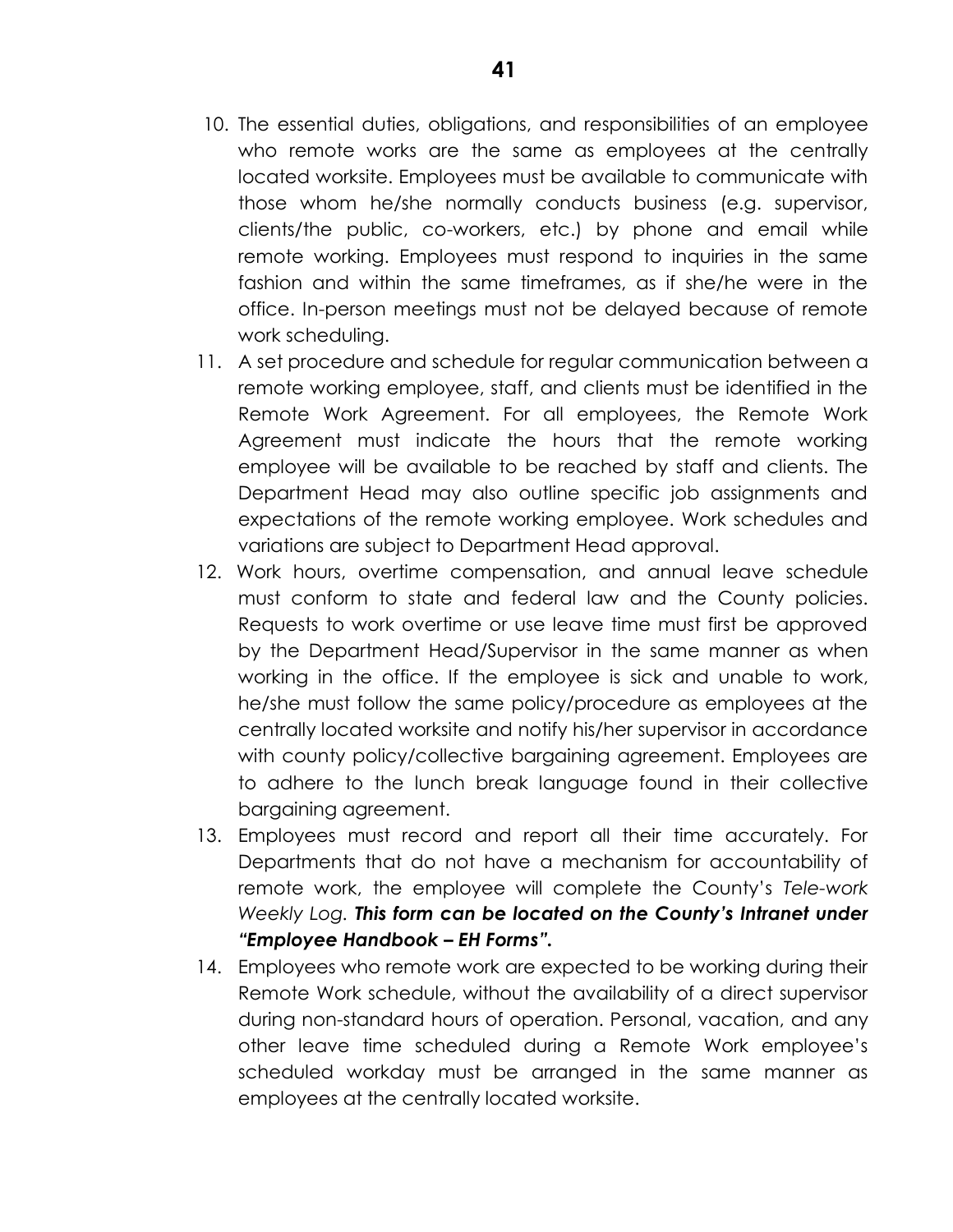- 10. The essential duties, obligations, and responsibilities of an employee who remote works are the same as employees at the centrally located worksite. Employees must be available to communicate with those whom he/she normally conducts business (e.g. supervisor, clients/the public, co-workers, etc.) by phone and email while remote working. Employees must respond to inquiries in the same fashion and within the same timeframes, as if she/he were in the office. In-person meetings must not be delayed because of remote work scheduling.
- 11. A set procedure and schedule for regular communication between a remote working employee, staff, and clients must be identified in the Remote Work Agreement. For all employees, the Remote Work Agreement must indicate the hours that the remote working employee will be available to be reached by staff and clients. The Department Head may also outline specific job assignments and expectations of the remote working employee. Work schedules and variations are subject to Department Head approval.
- 12. Work hours, overtime compensation, and annual leave schedule must conform to state and federal law and the County policies. Requests to work overtime or use leave time must first be approved by the Department Head/Supervisor in the same manner as when working in the office. If the employee is sick and unable to work, he/she must follow the same policy/procedure as employees at the centrally located worksite and notify his/her supervisor in accordance with county policy/collective bargaining agreement. Employees are to adhere to the lunch break language found in their collective bargaining agreement.
- 13. Employees must record and report all their time accurately. For Departments that do not have a mechanism for accountability of remote work, the employee will complete the County's *Tele-work Weekly Log. This form can be located on the County's Intranet under "Employee Handbook – EH Forms".*
- 14. Employees who remote work are expected to be working during their Remote Work schedule, without the availability of a direct supervisor during non-standard hours of operation. Personal, vacation, and any other leave time scheduled during a Remote Work employee's scheduled workday must be arranged in the same manner as employees at the centrally located worksite.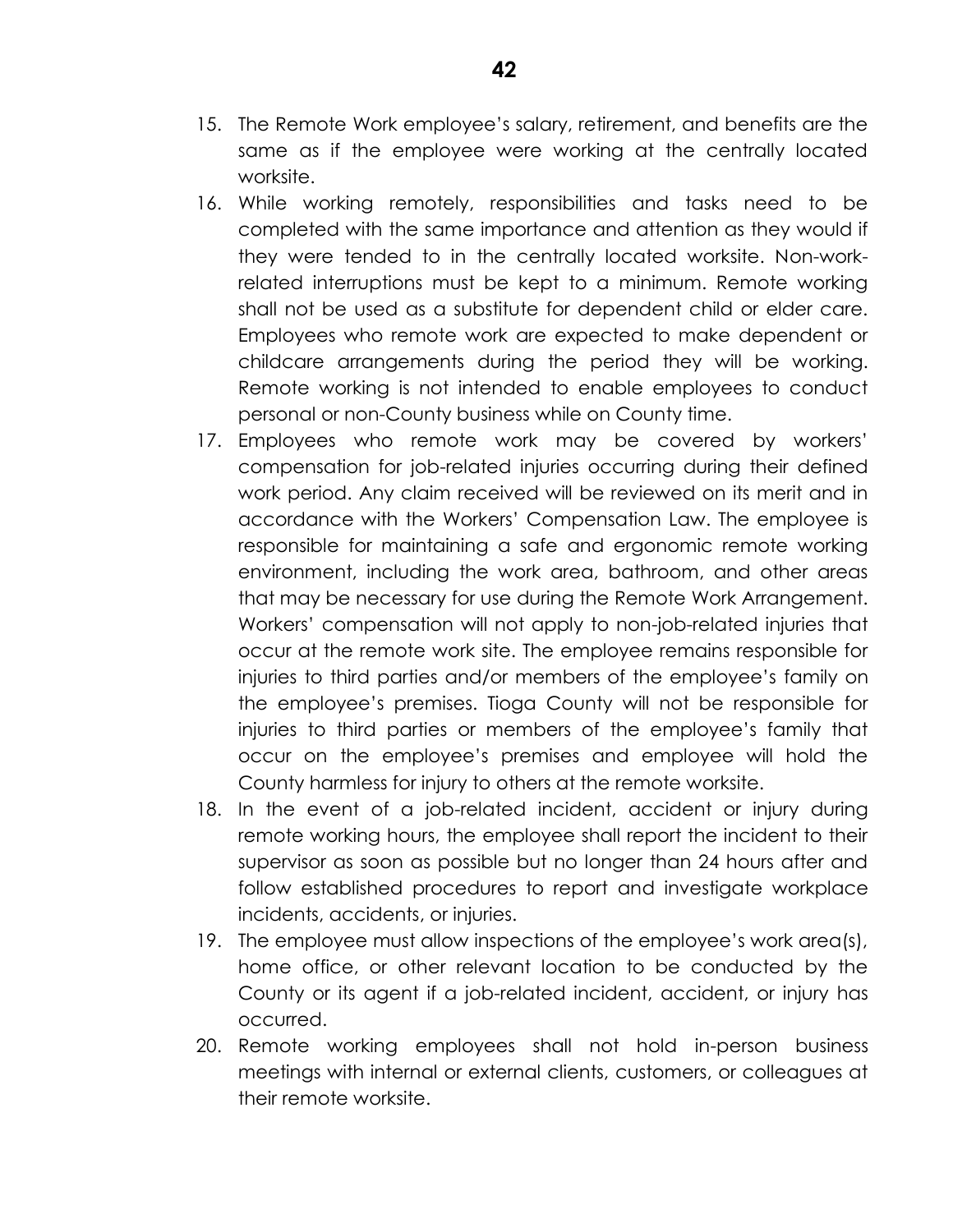- 15. The Remote Work employee's salary, retirement, and benefits are the same as if the employee were working at the centrally located worksite.
- 16. While working remotely, responsibilities and tasks need to be completed with the same importance and attention as they would if they were tended to in the centrally located worksite. Non-workrelated interruptions must be kept to a minimum. Remote working shall not be used as a substitute for dependent child or elder care. Employees who remote work are expected to make dependent or childcare arrangements during the period they will be working. Remote working is not intended to enable employees to conduct personal or non-County business while on County time.
- 17. Employees who remote work may be covered by workers' compensation for job-related injuries occurring during their defined work period. Any claim received will be reviewed on its merit and in accordance with the Workers' Compensation Law. The employee is responsible for maintaining a safe and ergonomic remote working environment, including the work area, bathroom, and other areas that may be necessary for use during the Remote Work Arrangement. Workers' compensation will not apply to non-job-related injuries that occur at the remote work site. The employee remains responsible for injuries to third parties and/or members of the employee's family on the employee's premises. Tioga County will not be responsible for injuries to third parties or members of the employee's family that occur on the employee's premises and employee will hold the County harmless for injury to others at the remote worksite.
- 18. In the event of a job-related incident, accident or injury during remote working hours, the employee shall report the incident to their supervisor as soon as possible but no longer than 24 hours after and follow established procedures to report and investigate workplace incidents, accidents, or injuries.
- 19. The employee must allow inspections of the employee's work area(s), home office, or other relevant location to be conducted by the County or its agent if a job-related incident, accident, or injury has occurred.
- 20. Remote working employees shall not hold in-person business meetings with internal or external clients, customers, or colleagues at their remote worksite.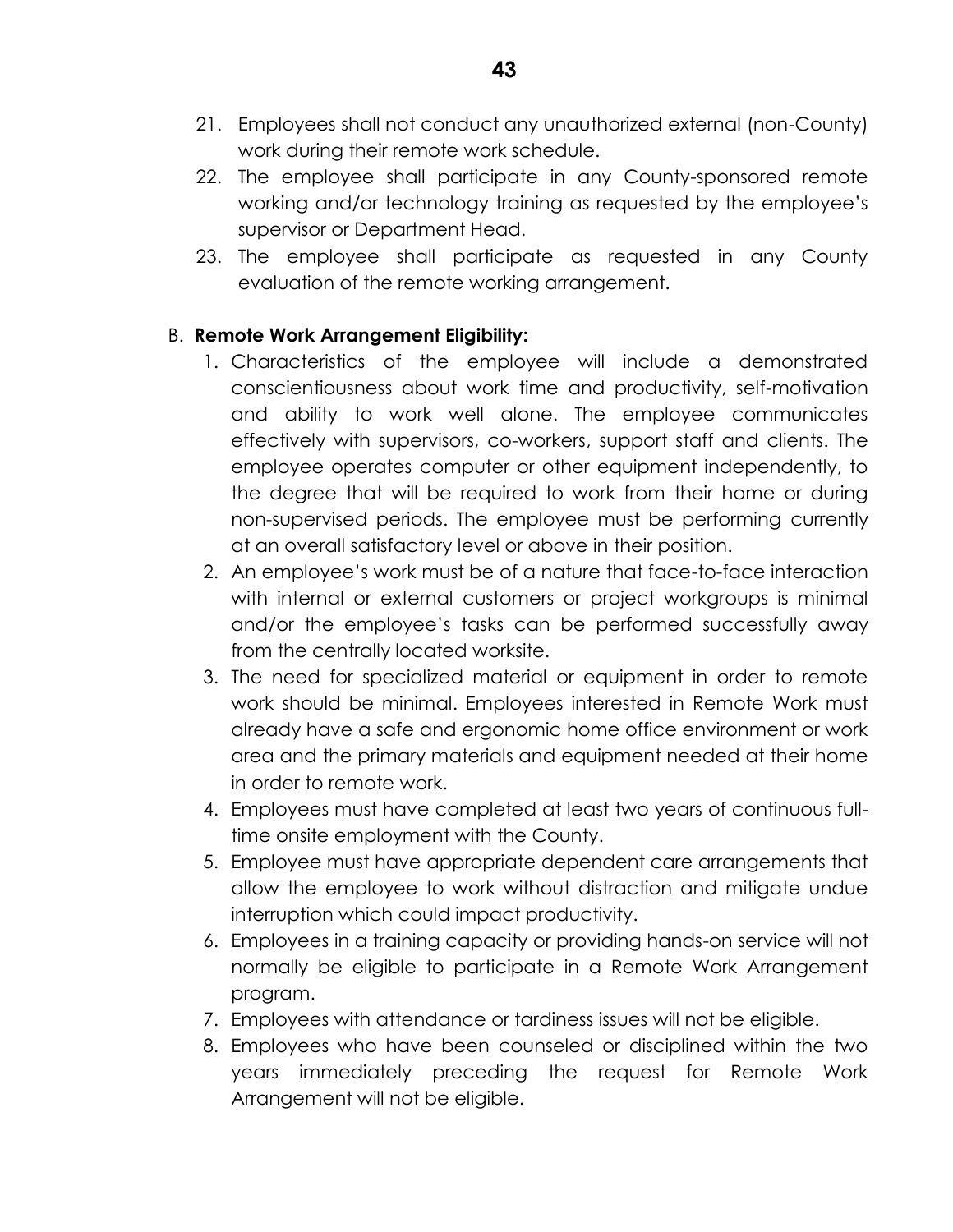- 21. Employees shall not conduct any unauthorized external (non-County) work during their remote work schedule.
- 22. The employee shall participate in any County-sponsored remote working and/or technology training as requested by the employee's supervisor or Department Head.
- 23. The employee shall participate as requested in any County evaluation of the remote working arrangement.

## B. **Remote Work Arrangement Eligibility:**

- 1. Characteristics of the employee will include a demonstrated conscientiousness about work time and productivity, self-motivation and ability to work well alone. The employee communicates effectively with supervisors, co-workers, support staff and clients. The employee operates computer or other equipment independently, to the degree that will be required to work from their home or during non-supervised periods. The employee must be performing currently at an overall satisfactory level or above in their position.
- 2. An employee's work must be of a nature that face-to-face interaction with internal or external customers or project workgroups is minimal and/or the employee's tasks can be performed successfully away from the centrally located worksite.
- 3. The need for specialized material or equipment in order to remote work should be minimal. Employees interested in Remote Work must already have a safe and ergonomic home office environment or work area and the primary materials and equipment needed at their home in order to remote work.
- 4. Employees must have completed at least two years of continuous fulltime onsite employment with the County.
- 5. Employee must have appropriate dependent care arrangements that allow the employee to work without distraction and mitigate undue interruption which could impact productivity.
- 6. Employees in a training capacity or providing hands-on service will not normally be eligible to participate in a Remote Work Arrangement program.
- 7. Employees with attendance or tardiness issues will not be eligible.
- 8. Employees who have been counseled or disciplined within the two years immediately preceding the request for Remote Work Arrangement will not be eligible.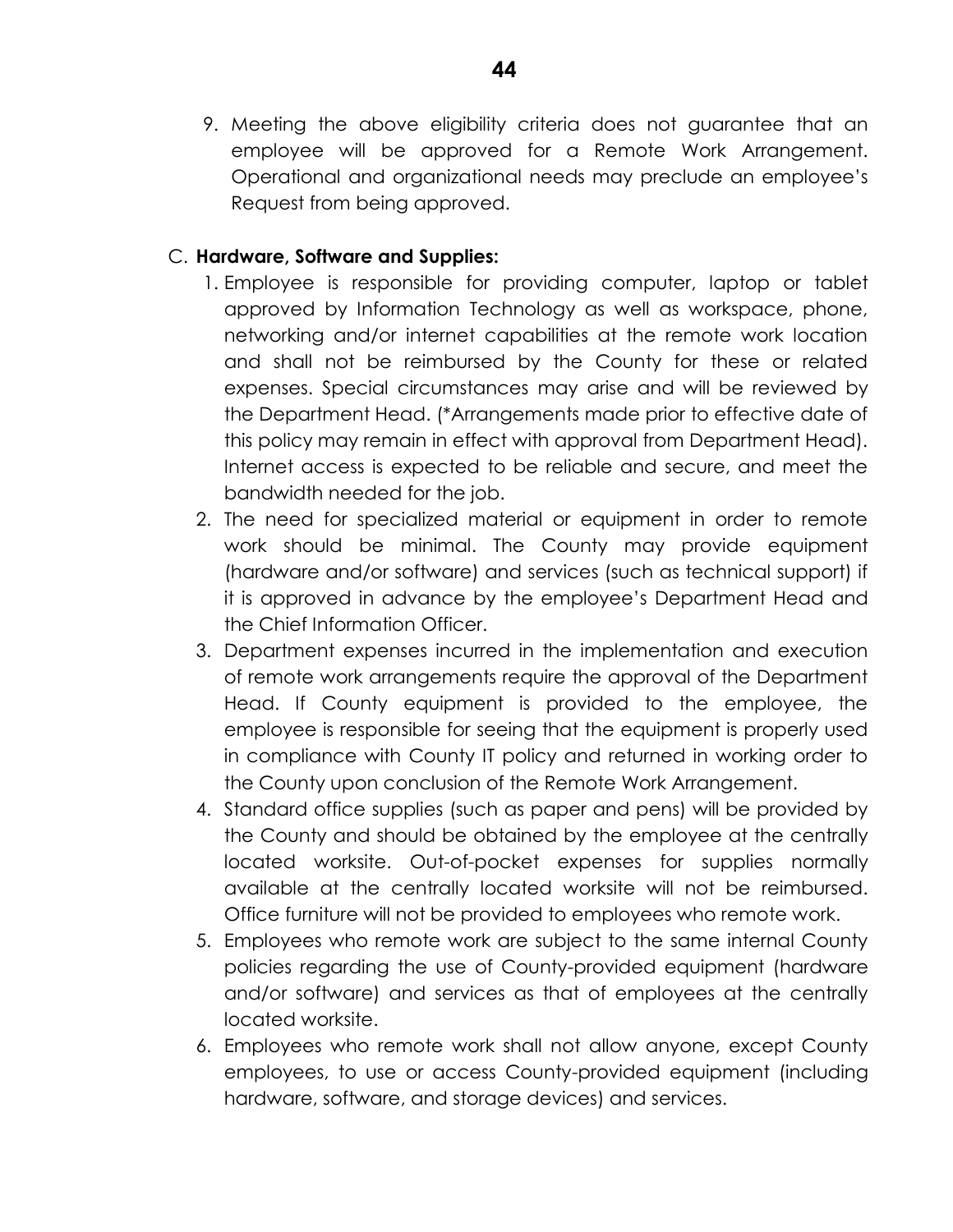9. Meeting the above eligibility criteria does not guarantee that an employee will be approved for a Remote Work Arrangement. Operational and organizational needs may preclude an employee's Request from being approved.

## C. **Hardware, Software and Supplies:**

- 1. Employee is responsible for providing computer, laptop or tablet approved by Information Technology as well as workspace, phone, networking and/or internet capabilities at the remote work location and shall not be reimbursed by the County for these or related expenses. Special circumstances may arise and will be reviewed by the Department Head. (\*Arrangements made prior to effective date of this policy may remain in effect with approval from Department Head). Internet access is expected to be reliable and secure, and meet the bandwidth needed for the job.
- 2. The need for specialized material or equipment in order to remote work should be minimal. The County may provide equipment (hardware and/or software) and services (such as technical support) if it is approved in advance by the employee's Department Head and the Chief Information Officer.
- 3. Department expenses incurred in the implementation and execution of remote work arrangements require the approval of the Department Head. If County equipment is provided to the employee, the employee is responsible for seeing that the equipment is properly used in compliance with County IT policy and returned in working order to the County upon conclusion of the Remote Work Arrangement.
- 4. Standard office supplies (such as paper and pens) will be provided by the County and should be obtained by the employee at the centrally located worksite. Out-of-pocket expenses for supplies normally available at the centrally located worksite will not be reimbursed. Office furniture will not be provided to employees who remote work.
- 5. Employees who remote work are subject to the same internal County policies regarding the use of County-provided equipment (hardware and/or software) and services as that of employees at the centrally located worksite.
- 6. Employees who remote work shall not allow anyone, except County employees, to use or access County-provided equipment (including hardware, software, and storage devices) and services.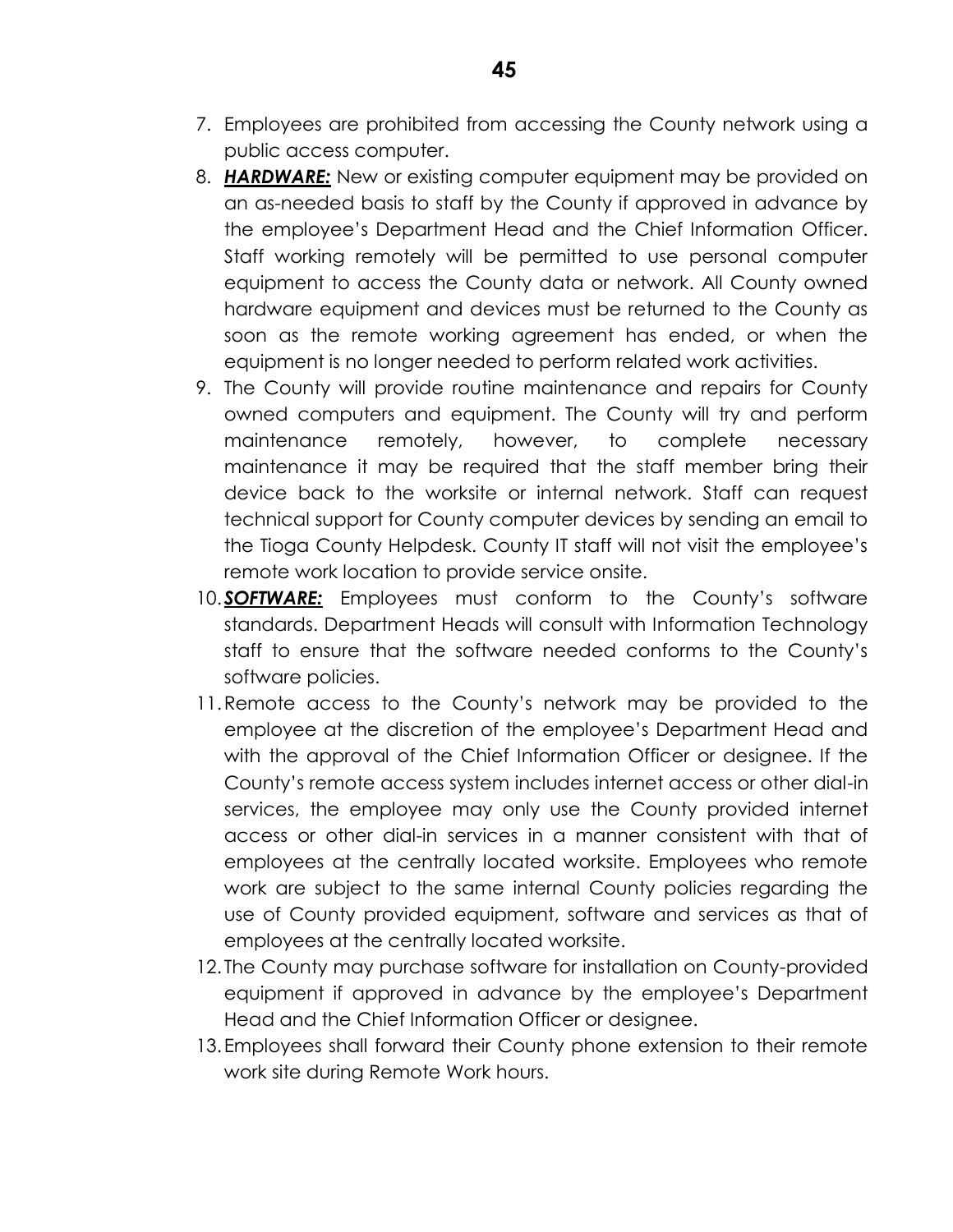- 7. Employees are prohibited from accessing the County network using a public access computer.
- 8. *HARDWARE:* New or existing computer equipment may be provided on an as-needed basis to staff by the County if approved in advance by the employee's Department Head and the Chief Information Officer. Staff working remotely will be permitted to use personal computer equipment to access the County data or network. All County owned hardware equipment and devices must be returned to the County as soon as the remote working agreement has ended, or when the equipment is no longer needed to perform related work activities.
- 9. The County will provide routine maintenance and repairs for County owned computers and equipment. The County will try and perform maintenance remotely, however, to complete necessary maintenance it may be required that the staff member bring their device back to the worksite or internal network. Staff can request technical support for County computer devices by sending an email to the Tioga County Helpdesk. County IT staff will not visit the employee's remote work location to provide service onsite.
- 10.*SOFTWARE:* Employees must conform to the County's software standards. Department Heads will consult with Information Technology staff to ensure that the software needed conforms to the County's software policies.
- 11.Remote access to the County's network may be provided to the employee at the discretion of the employee's Department Head and with the approval of the Chief Information Officer or designee. If the County's remote access system includes internet access or other dial-in services, the employee may only use the County provided internet access or other dial-in services in a manner consistent with that of employees at the centrally located worksite. Employees who remote work are subject to the same internal County policies regarding the use of County provided equipment, software and services as that of employees at the centrally located worksite.
- 12. The County may purchase software for installation on County-provided equipment if approved in advance by the employee's Department Head and the Chief Information Officer or designee.
- 13.Employees shall forward their County phone extension to their remote work site during Remote Work hours.